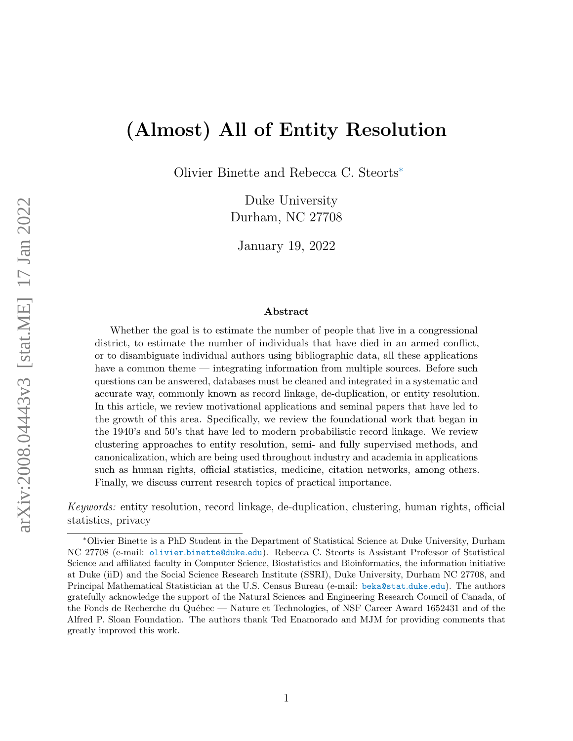# (Almost) All of Entity Resolution

Olivier Binette and Rebecca C. Steort[s](#page-0-0)<sup>∗</sup>

Duke University Durham, NC 27708

January 19, 2022

#### Abstract

Whether the goal is to estimate the number of people that live in a congressional district, to estimate the number of individuals that have died in an armed conflict, or to disambiguate individual authors using bibliographic data, all these applications have a common theme — integrating information from multiple sources. Before such questions can be answered, databases must be cleaned and integrated in a systematic and accurate way, commonly known as record linkage, de-duplication, or entity resolution. In this article, we review motivational applications and seminal papers that have led to the growth of this area. Specifically, we review the foundational work that began in the 1940's and 50's that have led to modern probabilistic record linkage. We review clustering approaches to entity resolution, semi- and fully supervised methods, and canonicalization, which are being used throughout industry and academia in applications such as human rights, official statistics, medicine, citation networks, among others. Finally, we discuss current research topics of practical importance.

Keywords: entity resolution, record linkage, de-duplication, clustering, human rights, official statistics, privacy

<span id="page-0-0"></span><sup>∗</sup>Olivier Binette is a PhD Student in the Department of Statistical Science at Duke University, Durham NC 27708 (e-mail: olivier.[binette@duke](olivier.binette@duke.edu).edu). Rebecca C. Steorts is Assistant Professor of Statistical Science and affiliated faculty in Computer Science, Biostatistics and Bioinformatics, the information initiative at Duke (iiD) and the Social Science Research Institute (SSRI), Duke University, Durham NC 27708, and Principal Mathematical Statistician at the U.S. Census Bureau (e-mail: [beka@stat](beka@stat.duke.edu).duke.edu). The authors gratefully acknowledge the support of the Natural Sciences and Engineering Research Council of Canada, of the Fonds de Recherche du Québec — Nature et Technologies, of NSF Career Award 1652431 and of the Alfred P. Sloan Foundation. The authors thank Ted Enamorado and MJM for providing comments that greatly improved this work.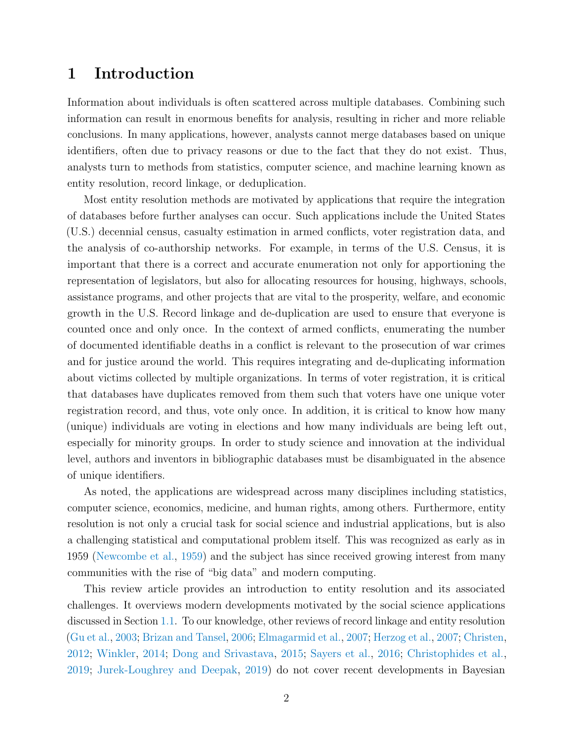## <span id="page-1-0"></span>1 Introduction

Information about individuals is often scattered across multiple databases. Combining such information can result in enormous benefits for analysis, resulting in richer and more reliable conclusions. In many applications, however, analysts cannot merge databases based on unique identifiers, often due to privacy reasons or due to the fact that they do not exist. Thus, analysts turn to methods from statistics, computer science, and machine learning known as entity resolution, record linkage, or deduplication.

Most entity resolution methods are motivated by applications that require the integration of databases before further analyses can occur. Such applications include the United States (U.S.) decennial census, casualty estimation in armed conflicts, voter registration data, and the analysis of co-authorship networks. For example, in terms of the U.S. Census, it is important that there is a correct and accurate enumeration not only for apportioning the representation of legislators, but also for allocating resources for housing, highways, schools, assistance programs, and other projects that are vital to the prosperity, welfare, and economic growth in the U.S. Record linkage and de-duplication are used to ensure that everyone is counted once and only once. In the context of armed conflicts, enumerating the number of documented identifiable deaths in a conflict is relevant to the prosecution of war crimes and for justice around the world. This requires integrating and de-duplicating information about victims collected by multiple organizations. In terms of voter registration, it is critical that databases have duplicates removed from them such that voters have one unique voter registration record, and thus, vote only once. In addition, it is critical to know how many (unique) individuals are voting in elections and how many individuals are being left out, especially for minority groups. In order to study science and innovation at the individual level, authors and inventors in bibliographic databases must be disambiguated in the absence of unique identifiers.

As noted, the applications are widespread across many disciplines including statistics, computer science, economics, medicine, and human rights, among others. Furthermore, entity resolution is not only a crucial task for social science and industrial applications, but is also a challenging statistical and computational problem itself. This was recognized as early as in 1959 [\(Newcombe et al.,](#page-48-0) [1959\)](#page-48-0) and the subject has since received growing interest from many communities with the rise of "big data" and modern computing.

This review article provides an introduction to entity resolution and its associated challenges. It overviews modern developments motivated by the social science applications discussed in Section [1.1.](#page-2-0) To our knowledge, other reviews of record linkage and entity resolution [\(Gu et al.,](#page-44-0) [2003;](#page-44-0) [Brizan and Tansel,](#page-40-0) [2006;](#page-40-0) [Elmagarmid et al.,](#page-42-0) [2007;](#page-42-0) [Herzog et al.,](#page-45-0) [2007;](#page-45-0) [Christen,](#page-41-0) [2012;](#page-41-0) [Winkler,](#page-52-0) [2014;](#page-52-0) [Dong and Srivastava,](#page-42-1) [2015;](#page-42-1) [Sayers et al.,](#page-49-0) [2016;](#page-49-0) [Christophides et al.,](#page-41-1) [2019;](#page-41-1) [Jurek-Loughrey and Deepak,](#page-45-1) [2019\)](#page-45-1) do not cover recent developments in Bayesian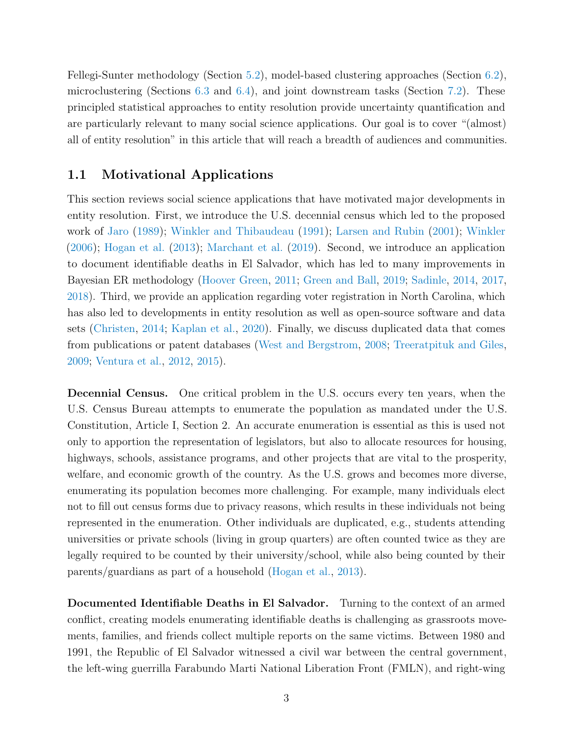Fellegi-Sunter methodology (Section [5.2\)](#page-17-0), model-based clustering approaches (Section [6.2\)](#page-22-0), microclustering (Sections [6.3](#page-23-0) and [6.4\)](#page-23-1), and joint downstream tasks (Section [7.2\)](#page-25-0). These principled statistical approaches to entity resolution provide uncertainty quantification and are particularly relevant to many social science applications. Our goal is to cover "(almost) all of entity resolution" in this article that will reach a breadth of audiences and communities.

## <span id="page-2-0"></span>1.1 Motivational Applications

This section reviews social science applications that have motivated major developments in entity resolution. First, we introduce the U.S. decennial census which led to the proposed work of [Jaro](#page-45-2) [\(1989\)](#page-45-2); [Winkler and Thibaudeau](#page-52-1) [\(1991\)](#page-52-1); [Larsen and Rubin](#page-46-0) [\(2001\)](#page-46-0); [Winkler](#page-52-2) [\(2006\)](#page-52-2); [Hogan et al.](#page-45-3) [\(2013\)](#page-45-3); [Marchant et al.](#page-46-1) [\(2019\)](#page-46-1). Second, we introduce an application to document identifiable deaths in El Salvador, which has led to many improvements in Bayesian ER methodology [\(Hoover Green,](#page-45-4) [2011;](#page-45-4) [Green and Ball,](#page-44-1) [2019;](#page-44-1) [Sadinle,](#page-48-1) [2014,](#page-48-1) [2017,](#page-48-2) [2018\)](#page-48-3). Third, we provide an application regarding voter registration in North Carolina, which has also led to developments in entity resolution as well as open-source software and data sets [\(Christen,](#page-41-2) [2014;](#page-41-2) [Kaplan et al.,](#page-45-5) [2020\)](#page-45-5). Finally, we discuss duplicated data that comes from publications or patent databases [\(West and Bergstrom,](#page-51-0) [2008;](#page-51-0) [Treeratpituk and Giles,](#page-50-0) [2009;](#page-50-0) [Ventura et al.,](#page-51-1) [2012,](#page-51-1) [2015\)](#page-51-2).

Decennial Census. One critical problem in the U.S. occurs every ten years, when the U.S. Census Bureau attempts to enumerate the population as mandated under the U.S. Constitution, Article I, Section 2. An accurate enumeration is essential as this is used not only to apportion the representation of legislators, but also to allocate resources for housing, highways, schools, assistance programs, and other projects that are vital to the prosperity, welfare, and economic growth of the country. As the U.S. grows and becomes more diverse, enumerating its population becomes more challenging. For example, many individuals elect not to fill out census forms due to privacy reasons, which results in these individuals not being represented in the enumeration. Other individuals are duplicated, e.g., students attending universities or private schools (living in group quarters) are often counted twice as they are legally required to be counted by their university/school, while also being counted by their parents/guardians as part of a household [\(Hogan et al.,](#page-45-3) [2013\)](#page-45-3).

Documented Identifiable Deaths in El Salvador. Turning to the context of an armed conflict, creating models enumerating identifiable deaths is challenging as grassroots movements, families, and friends collect multiple reports on the same victims. Between 1980 and 1991, the Republic of El Salvador witnessed a civil war between the central government, the left-wing guerrilla Farabundo Marti National Liberation Front (FMLN), and right-wing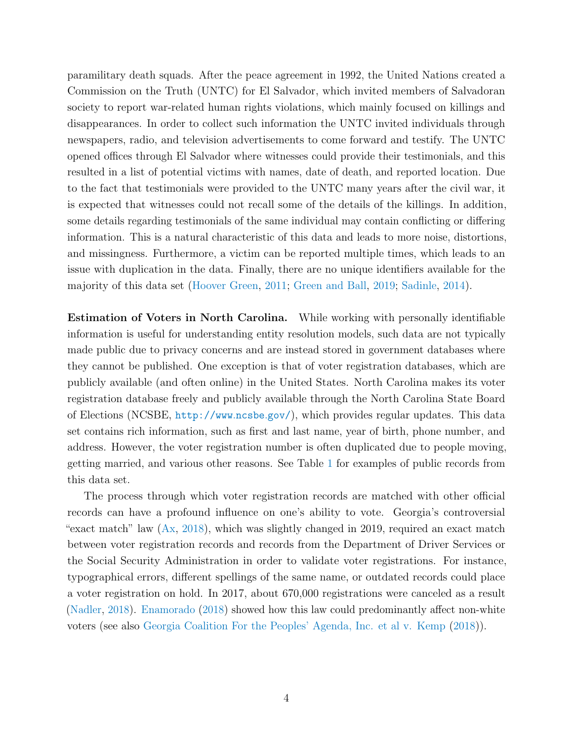paramilitary death squads. After the peace agreement in 1992, the United Nations created a Commission on the Truth (UNTC) for El Salvador, which invited members of Salvadoran society to report war-related human rights violations, which mainly focused on killings and disappearances. In order to collect such information the UNTC invited individuals through newspapers, radio, and television advertisements to come forward and testify. The UNTC opened offices through El Salvador where witnesses could provide their testimonials, and this resulted in a list of potential victims with names, date of death, and reported location. Due to the fact that testimonials were provided to the UNTC many years after the civil war, it is expected that witnesses could not recall some of the details of the killings. In addition, some details regarding testimonials of the same individual may contain conflicting or differing information. This is a natural characteristic of this data and leads to more noise, distortions, and missingness. Furthermore, a victim can be reported multiple times, which leads to an issue with duplication in the data. Finally, there are no unique identifiers available for the majority of this data set [\(Hoover Green,](#page-45-4) [2011;](#page-45-4) [Green and Ball,](#page-44-1) [2019;](#page-44-1) [Sadinle,](#page-48-1) [2014\)](#page-48-1).

Estimation of Voters in North Carolina. While working with personally identifiable information is useful for understanding entity resolution models, such data are not typically made public due to privacy concerns and are instead stored in government databases where they cannot be published. One exception is that of voter registration databases, which are publicly available (and often online) in the United States. North Carolina makes its voter registration database freely and publicly available through the North Carolina State Board of Elections (NCSBE, [http://www](http://www.ncsbe.gov/).ncsbe.gov/), which provides regular updates. This data set contains rich information, such as first and last name, year of birth, phone number, and address. However, the voter registration number is often duplicated due to people moving, getting married, and various other reasons. See Table [1](#page-4-0) for examples of public records from this data set.

The process through which voter registration records are matched with other official records can have a profound influence on one's ability to vote. Georgia's controversial "exact match" law  $(Ax, 2018)$  $(Ax, 2018)$  $(Ax, 2018)$ , which was slightly changed in 2019, required an exact match between voter registration records and records from the Department of Driver Services or the Social Security Administration in order to validate voter registrations. For instance, typographical errors, different spellings of the same name, or outdated records could place a voter registration on hold. In 2017, about 670,000 registrations were canceled as a result [\(Nadler,](#page-47-0) [2018\)](#page-47-0). [Enamorado](#page-42-2) [\(2018\)](#page-42-2) showed how this law could predominantly affect non-white voters (see also [Georgia Coalition For the Peoples' Agenda, Inc. et al v. Kemp](#page-43-0) [\(2018\)](#page-43-0)).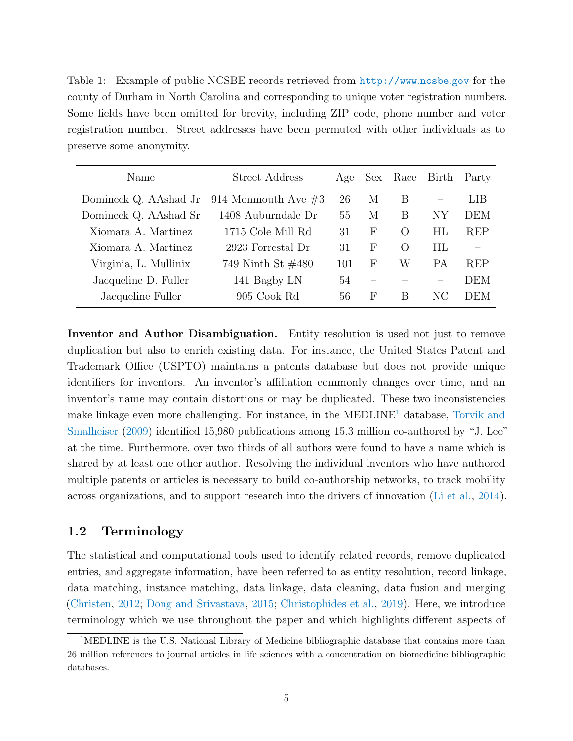<span id="page-4-0"></span>Table 1: Example of public NCSBE records retrieved from [http://www](http://www.ncsbe.gov).ncsbe.gov for the county of Durham in North Carolina and corresponding to unique voter registration numbers. Some fields have been omitted for brevity, including ZIP code, phone number and voter registration number. Street addresses have been permuted with other individuals as to preserve some anonymity.

| Name                  | Street Address        | Age | Sex        | Race             | Birth | Party      |
|-----------------------|-----------------------|-----|------------|------------------|-------|------------|
| Domineck Q. AAshad Jr | 914 Monmouth Ave $#3$ | 26  | М          | B                |       | LIB        |
| Domineck Q. AAshad Sr | 1408 Auburndale Dr    | 55  | М          | В                | NΥ    | <b>DEM</b> |
| Xiomara A. Martinez   | 1715 Cole Mill Rd     | 31  | F          | $\Omega$         | HL    | REP        |
| Xiomara A. Martinez   | 2923 Forrestal Dr     | 31  | F          | $\left( \right)$ | HL    |            |
| Virginia, L. Mullinix | 749 Ninth St $\#480$  | 101 | $_{\rm F}$ | W                | PА    | REP        |
| Jacqueline D. Fuller  | 141 Bagby LN          | 54  |            |                  |       | <b>DEM</b> |
| Jacqueline Fuller     | 905 Cook Rd           | 56  | F          | B                | NС    | DEM        |

Inventor and Author Disambiguation. Entity resolution is used not just to remove duplication but also to enrich existing data. For instance, the United States Patent and Trademark Office (USPTO) maintains a patents database but does not provide unique identifiers for inventors. An inventor's affiliation commonly changes over time, and an inventor's name may contain distortions or may be duplicated. These two inconsistencies make linkage even more challenging. For instance, in the  $\text{MEDLINE}^1$  $\text{MEDLINE}^1$  database, [Torvik and](#page-50-1) [Smalheiser](#page-50-1) [\(2009\)](#page-50-1) identified 15,980 publications among 15.3 million co-authored by "J. Lee" at the time. Furthermore, over two thirds of all authors were found to have a name which is shared by at least one other author. Resolving the individual inventors who have authored multiple patents or articles is necessary to build co-authorship networks, to track mobility across organizations, and to support research into the drivers of innovation [\(Li et al.,](#page-46-2) [2014\)](#page-46-2).

## 1.2 Terminology

The statistical and computational tools used to identify related records, remove duplicated entries, and aggregate information, have been referred to as entity resolution, record linkage, data matching, instance matching, data linkage, data cleaning, data fusion and merging [\(Christen,](#page-41-0) [2012;](#page-41-0) [Dong and Srivastava,](#page-42-1) [2015;](#page-42-1) [Christophides et al.,](#page-41-1) [2019\)](#page-41-1). Here, we introduce terminology which we use throughout the paper and which highlights different aspects of

<span id="page-4-1"></span><sup>&</sup>lt;sup>1</sup>MEDLINE is the U.S. National Library of Medicine bibliographic database that contains more than 26 million references to journal articles in life sciences with a concentration on biomedicine bibliographic databases.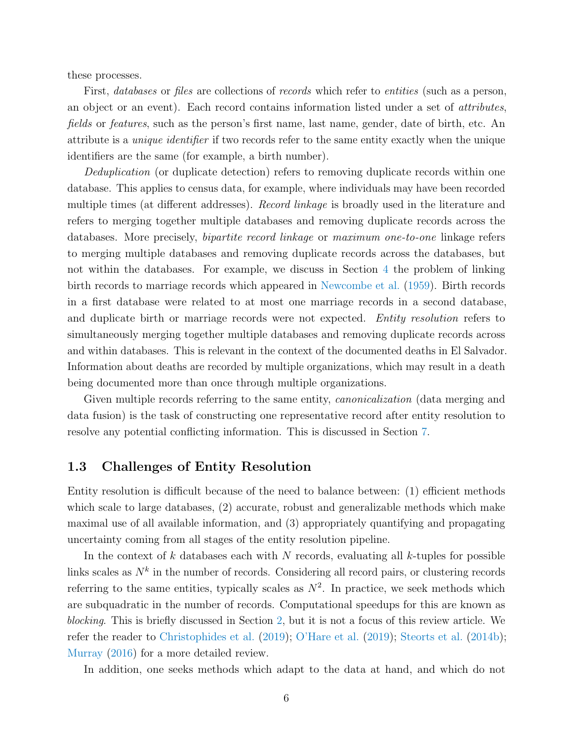these processes.

First, *databases* or *files* are collections of *records* which refer to *entities* (such as a person, an object or an event). Each record contains information listed under a set of attributes, fields or features, such as the person's first name, last name, gender, date of birth, etc. An attribute is a unique identifier if two records refer to the same entity exactly when the unique identifiers are the same (for example, a birth number).

Deduplication (or duplicate detection) refers to removing duplicate records within one database. This applies to census data, for example, where individuals may have been recorded multiple times (at different addresses). *Record linkage* is broadly used in the literature and refers to merging together multiple databases and removing duplicate records across the databases. More precisely, *bipartite record linkage* or maximum one-to-one linkage refers to merging multiple databases and removing duplicate records across the databases, but not within the databases. For example, we discuss in Section [4](#page-10-0) the problem of linking birth records to marriage records which appeared in [Newcombe et al.](#page-48-0) [\(1959\)](#page-48-0). Birth records in a first database were related to at most one marriage records in a second database, and duplicate birth or marriage records were not expected. *Entity resolution* refers to simultaneously merging together multiple databases and removing duplicate records across and within databases. This is relevant in the context of the documented deaths in El Salvador. Information about deaths are recorded by multiple organizations, which may result in a death being documented more than once through multiple organizations.

Given multiple records referring to the same entity, *canonicalization* (data merging and data fusion) is the task of constructing one representative record after entity resolution to resolve any potential conflicting information. This is discussed in Section [7.](#page-24-0)

#### 1.3 Challenges of Entity Resolution

Entity resolution is difficult because of the need to balance between: (1) efficient methods which scale to large databases, (2) accurate, robust and generalizable methods which make maximal use of all available information, and (3) appropriately quantifying and propagating uncertainty coming from all stages of the entity resolution pipeline.

In the context of k databases each with N records, evaluating all k-tuples for possible links scales as  $N^k$  in the number of records. Considering all record pairs, or clustering records referring to the same entities, typically scales as  $N^2$ . In practice, we seek methods which are subquadratic in the number of records. Computational speedups for this are known as blocking. This is briefly discussed in Section [2,](#page-7-0) but it is not a focus of this review article. We refer the reader to [Christophides et al.](#page-41-1) [\(2019\)](#page-41-1); [O'Hare et al.](#page-48-4) [\(2019\)](#page-48-4); [Steorts et al.](#page-49-1) [\(2014b\)](#page-49-1); [Murray](#page-47-1) [\(2016\)](#page-47-1) for a more detailed review.

In addition, one seeks methods which adapt to the data at hand, and which do not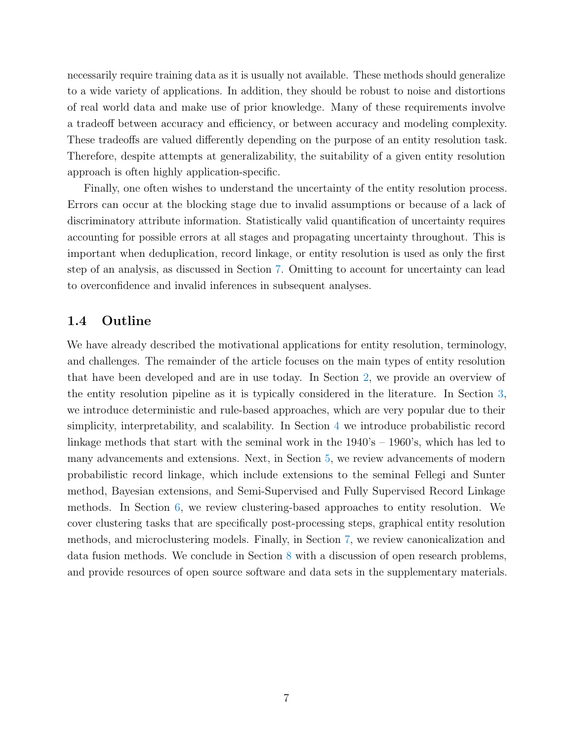necessarily require training data as it is usually not available. These methods should generalize to a wide variety of applications. In addition, they should be robust to noise and distortions of real world data and make use of prior knowledge. Many of these requirements involve a tradeoff between accuracy and efficiency, or between accuracy and modeling complexity. These tradeoffs are valued differently depending on the purpose of an entity resolution task. Therefore, despite attempts at generalizability, the suitability of a given entity resolution approach is often highly application-specific.

Finally, one often wishes to understand the uncertainty of the entity resolution process. Errors can occur at the blocking stage due to invalid assumptions or because of a lack of discriminatory attribute information. Statistically valid quantification of uncertainty requires accounting for possible errors at all stages and propagating uncertainty throughout. This is important when deduplication, record linkage, or entity resolution is used as only the first step of an analysis, as discussed in Section [7.](#page-24-0) Omitting to account for uncertainty can lead to overconfidence and invalid inferences in subsequent analyses.

#### 1.4 Outline

We have already described the motivational applications for entity resolution, terminology, and challenges. The remainder of the article focuses on the main types of entity resolution that have been developed and are in use today. In Section [2,](#page-7-0) we provide an overview of the entity resolution pipeline as it is typically considered in the literature. In Section [3,](#page-8-0) we introduce deterministic and rule-based approaches, which are very popular due to their simplicity, interpretability, and scalability. In Section [4](#page-10-0) we introduce probabilistic record linkage methods that start with the seminal work in the 1940's – 1960's, which has led to many advancements and extensions. Next, in Section [5,](#page-16-0) we review advancements of modern probabilistic record linkage, which include extensions to the seminal Fellegi and Sunter method, Bayesian extensions, and Semi-Supervised and Fully Supervised Record Linkage methods. In Section [6,](#page-20-0) we review clustering-based approaches to entity resolution. We cover clustering tasks that are specifically post-processing steps, graphical entity resolution methods, and microclustering models. Finally, in Section [7,](#page-24-0) we review canonicalization and data fusion methods. We conclude in Section [8](#page-26-0) with a discussion of open research problems, and provide resources of open source software and data sets in the supplementary materials.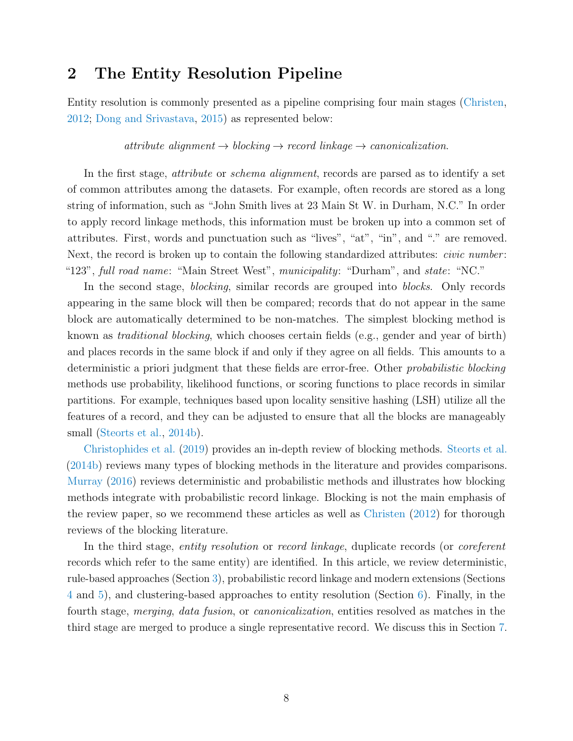## <span id="page-7-0"></span>2 The Entity Resolution Pipeline

Entity resolution is commonly presented as a pipeline comprising four main stages [\(Christen,](#page-41-0) [2012;](#page-41-0) [Dong and Srivastava,](#page-42-1) [2015\)](#page-42-1) as represented below:

attribute alignment  $\rightarrow$  blocking  $\rightarrow$  record linkage  $\rightarrow$  canonicalization.

In the first stage, *attribute* or *schema alignment*, records are parsed as to identify a set of common attributes among the datasets. For example, often records are stored as a long string of information, such as "John Smith lives at 23 Main St W. in Durham, N.C." In order to apply record linkage methods, this information must be broken up into a common set of attributes. First, words and punctuation such as "lives", "at", "in", and "." are removed. Next, the record is broken up to contain the following standardized attributes: *civic number*: "123", full road name: "Main Street West", municipality: "Durham", and state: "NC."

In the second stage, *blocking*, similar records are grouped into *blocks*. Only records appearing in the same block will then be compared; records that do not appear in the same block are automatically determined to be non-matches. The simplest blocking method is known as traditional blocking, which chooses certain fields (e.g., gender and year of birth) and places records in the same block if and only if they agree on all fields. This amounts to a deterministic a priori judgment that these fields are error-free. Other *probabilistic blocking* methods use probability, likelihood functions, or scoring functions to place records in similar partitions. For example, techniques based upon locality sensitive hashing (LSH) utilize all the features of a record, and they can be adjusted to ensure that all the blocks are manageably small [\(Steorts et al.,](#page-49-1) [2014b\)](#page-49-1).

[Christophides et al.](#page-41-1) [\(2019\)](#page-41-1) provides an in-depth review of blocking methods. [Steorts et al.](#page-49-1) [\(2014b\)](#page-49-1) reviews many types of blocking methods in the literature and provides comparisons. [Murray](#page-47-1) [\(2016\)](#page-47-1) reviews deterministic and probabilistic methods and illustrates how blocking methods integrate with probabilistic record linkage. Blocking is not the main emphasis of the review paper, so we recommend these articles as well as [Christen](#page-41-0) [\(2012\)](#page-41-0) for thorough reviews of the blocking literature.

In the third stage, *entity resolution* or *record linkage*, duplicate records (or *coreferent* records which refer to the same entity) are identified. In this article, we review deterministic, rule-based approaches (Section [3\)](#page-8-0), probabilistic record linkage and modern extensions (Sections [4](#page-10-0) and [5\)](#page-16-0), and clustering-based approaches to entity resolution (Section [6\)](#page-20-0). Finally, in the fourth stage, merging, data fusion, or canonicalization, entities resolved as matches in the third stage are merged to produce a single representative record. We discuss this in Section [7.](#page-24-0)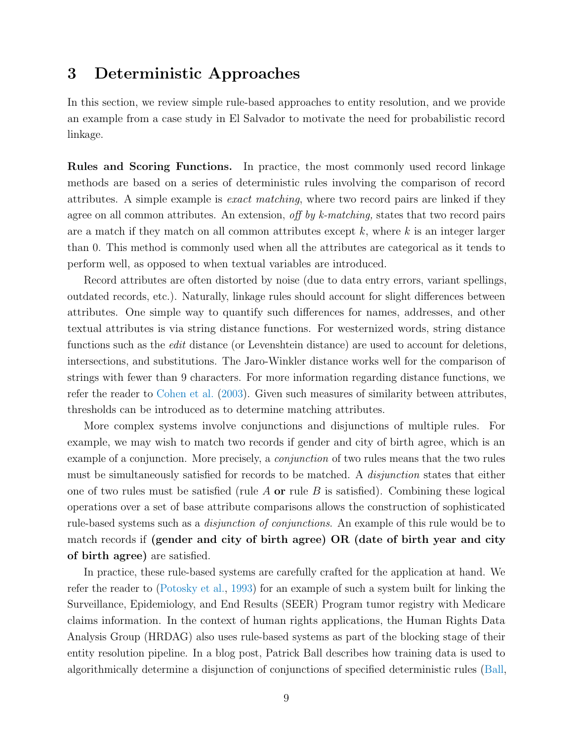## <span id="page-8-0"></span>3 Deterministic Approaches

In this section, we review simple rule-based approaches to entity resolution, and we provide an example from a case study in El Salvador to motivate the need for probabilistic record linkage.

Rules and Scoring Functions. In practice, the most commonly used record linkage methods are based on a series of deterministic rules involving the comparison of record attributes. A simple example is exact matching, where two record pairs are linked if they agree on all common attributes. An extension, off by k-matching, states that two record pairs are a match if they match on all common attributes except  $k$ , where  $k$  is an integer larger than 0. This method is commonly used when all the attributes are categorical as it tends to perform well, as opposed to when textual variables are introduced.

Record attributes are often distorted by noise (due to data entry errors, variant spellings, outdated records, etc.). Naturally, linkage rules should account for slight differences between attributes. One simple way to quantify such differences for names, addresses, and other textual attributes is via string distance functions. For westernized words, string distance functions such as the *edit* distance (or Levenshtein distance) are used to account for deletions, intersections, and substitutions. The Jaro-Winkler distance works well for the comparison of strings with fewer than 9 characters. For more information regarding distance functions, we refer the reader to [Cohen et al.](#page-41-3) [\(2003\)](#page-41-3). Given such measures of similarity between attributes, thresholds can be introduced as to determine matching attributes.

More complex systems involve conjunctions and disjunctions of multiple rules. For example, we may wish to match two records if gender and city of birth agree, which is an example of a conjunction. More precisely, a *conjunction* of two rules means that the two rules must be simultaneously satisfied for records to be matched. A *disjunction* states that either one of two rules must be satisfied (rule A or rule B is satisfied). Combining these logical operations over a set of base attribute comparisons allows the construction of sophisticated rule-based systems such as a disjunction of conjunctions. An example of this rule would be to match records if (gender and city of birth agree) OR (date of birth year and city of birth agree) are satisfied.

In practice, these rule-based systems are carefully crafted for the application at hand. We refer the reader to [\(Potosky et al.,](#page-48-5) [1993\)](#page-48-5) for an example of such a system built for linking the Surveillance, Epidemiology, and End Results (SEER) Program tumor registry with Medicare claims information. In the context of human rights applications, the Human Rights Data Analysis Group (HRDAG) also uses rule-based systems as part of the blocking stage of their entity resolution pipeline. In a blog post, Patrick Ball describes how training data is used to algorithmically determine a disjunction of conjunctions of specified deterministic rules [\(Ball,](#page-39-0)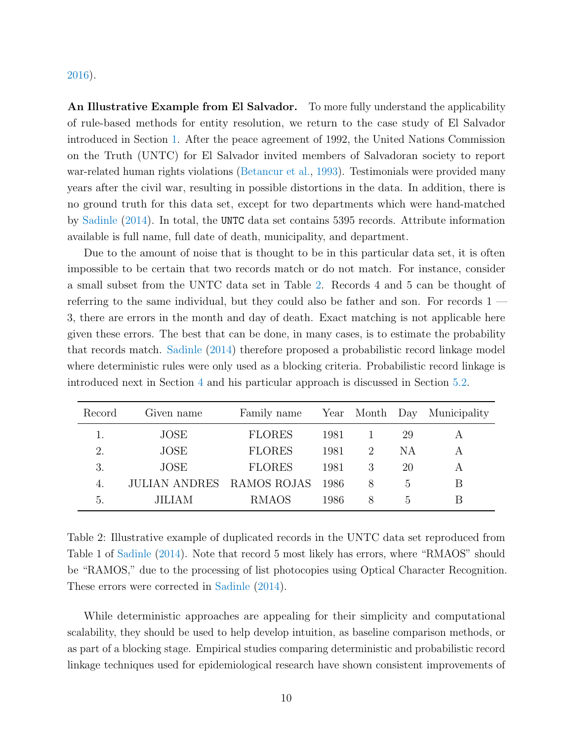#### [2016\)](#page-39-0).

An Illustrative Example from El Salvador. To more fully understand the applicability of rule-based methods for entity resolution, we return to the case study of El Salvador introduced in Section [1.](#page-1-0) After the peace agreement of 1992, the United Nations Commission on the Truth (UNTC) for El Salvador invited members of Salvadoran society to report war-related human rights violations [\(Betancur et al.,](#page-39-1) [1993\)](#page-39-1). Testimonials were provided many years after the civil war, resulting in possible distortions in the data. In addition, there is no ground truth for this data set, except for two departments which were hand-matched by [Sadinle](#page-48-1) [\(2014\)](#page-48-1). In total, the UNTC data set contains 5395 records. Attribute information available is full name, full date of death, municipality, and department.

Due to the amount of noise that is thought to be in this particular data set, it is often impossible to be certain that two records match or do not match. For instance, consider a small subset from the UNTC data set in Table [2.](#page-9-0) Records 4 and 5 can be thought of referring to the same individual, but they could also be father and son. For records 1 — 3, there are errors in the month and day of death. Exact matching is not applicable here given these errors. The best that can be done, in many cases, is to estimate the probability that records match. [Sadinle](#page-48-1) [\(2014\)](#page-48-1) therefore proposed a probabilistic record linkage model where deterministic rules were only used as a blocking criteria. Probabilistic record linkage is introduced next in Section [4](#page-10-0) and his particular approach is discussed in Section [5.2.](#page-17-0)

| Record | Given name                | Family name   |      |                             |               | Year Month Day Municipality |
|--------|---------------------------|---------------|------|-----------------------------|---------------|-----------------------------|
|        | JOSE                      | <b>FLORES</b> | 1981 |                             | 29            |                             |
| 2.     | JOSE                      | <b>FLORES</b> | 1981 | $\mathcal{D}_{\mathcal{L}}$ | NA            |                             |
| 3.     | JOSE                      | <b>FLORES</b> | 1981 |                             | 20            |                             |
| 4.     | JULIAN ANDRES RAMOS ROJAS |               | 1986 | 8                           | b.            | B                           |
| 5.     | JILIAM                    | <b>RMAOS</b>  | 1986 | 8                           | $\mathcal{L}$ | В                           |

<span id="page-9-0"></span>Table 2: Illustrative example of duplicated records in the UNTC data set reproduced from Table 1 of [Sadinle](#page-48-1) [\(2014\)](#page-48-1). Note that record 5 most likely has errors, where "RMAOS" should be "RAMOS," due to the processing of list photocopies using Optical Character Recognition. These errors were corrected in [Sadinle](#page-48-1) [\(2014\)](#page-48-1).

While deterministic approaches are appealing for their simplicity and computational scalability, they should be used to help develop intuition, as baseline comparison methods, or as part of a blocking stage. Empirical studies comparing deterministic and probabilistic record linkage techniques used for epidemiological research have shown consistent improvements of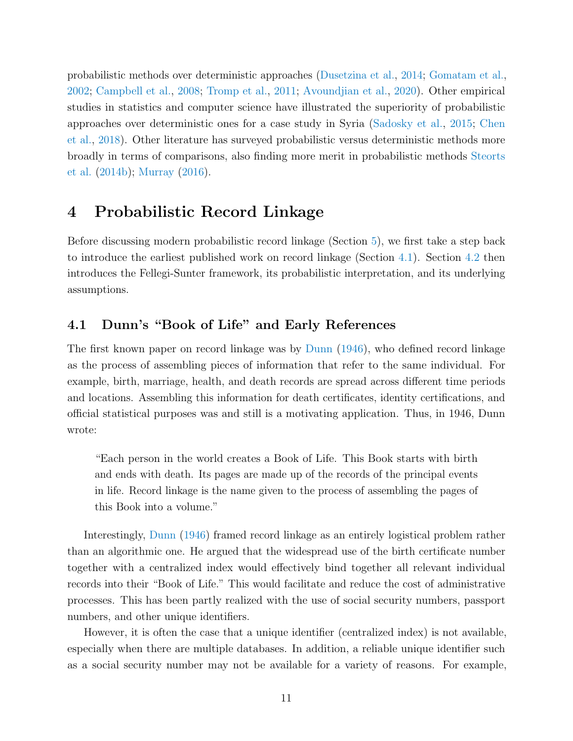probabilistic methods over deterministic approaches [\(Dusetzina et al.,](#page-42-3) [2014;](#page-42-3) [Gomatam et al.,](#page-43-1) [2002;](#page-43-1) [Campbell et al.,](#page-40-1) [2008;](#page-40-1) [Tromp et al.,](#page-51-3) [2011;](#page-51-3) [Avoundjian et al.,](#page-38-1) [2020\)](#page-38-1). Other empirical studies in statistics and computer science have illustrated the superiority of probabilistic approaches over deterministic ones for a case study in Syria [\(Sadosky et al.,](#page-49-2) [2015;](#page-49-2) [Chen](#page-40-2) [et al.,](#page-40-2) [2018\)](#page-40-2). Other literature has surveyed probabilistic versus deterministic methods more broadly in terms of comparisons, also finding more merit in probabilistic methods [Steorts](#page-49-1) [et al.](#page-49-1) [\(2014b\)](#page-49-1); [Murray](#page-47-1) [\(2016\)](#page-47-1).

# <span id="page-10-0"></span>4 Probabilistic Record Linkage

Before discussing modern probabilistic record linkage (Section [5\)](#page-16-0), we first take a step back to introduce the earliest published work on record linkage (Section [4.1\)](#page-10-1). Section [4.2](#page-12-0) then introduces the Fellegi-Sunter framework, its probabilistic interpretation, and its underlying assumptions.

## <span id="page-10-1"></span>4.1 Dunn's "Book of Life" and Early References

The first known paper on record linkage was by [Dunn](#page-42-4) [\(1946\)](#page-42-4), who defined record linkage as the process of assembling pieces of information that refer to the same individual. For example, birth, marriage, health, and death records are spread across different time periods and locations. Assembling this information for death certificates, identity certifications, and official statistical purposes was and still is a motivating application. Thus, in 1946, Dunn wrote:

"Each person in the world creates a Book of Life. This Book starts with birth and ends with death. Its pages are made up of the records of the principal events in life. Record linkage is the name given to the process of assembling the pages of this Book into a volume."

Interestingly, [Dunn](#page-42-4) [\(1946\)](#page-42-4) framed record linkage as an entirely logistical problem rather than an algorithmic one. He argued that the widespread use of the birth certificate number together with a centralized index would effectively bind together all relevant individual records into their "Book of Life." This would facilitate and reduce the cost of administrative processes. This has been partly realized with the use of social security numbers, passport numbers, and other unique identifiers.

However, it is often the case that a unique identifier (centralized index) is not available, especially when there are multiple databases. In addition, a reliable unique identifier such as a social security number may not be available for a variety of reasons. For example,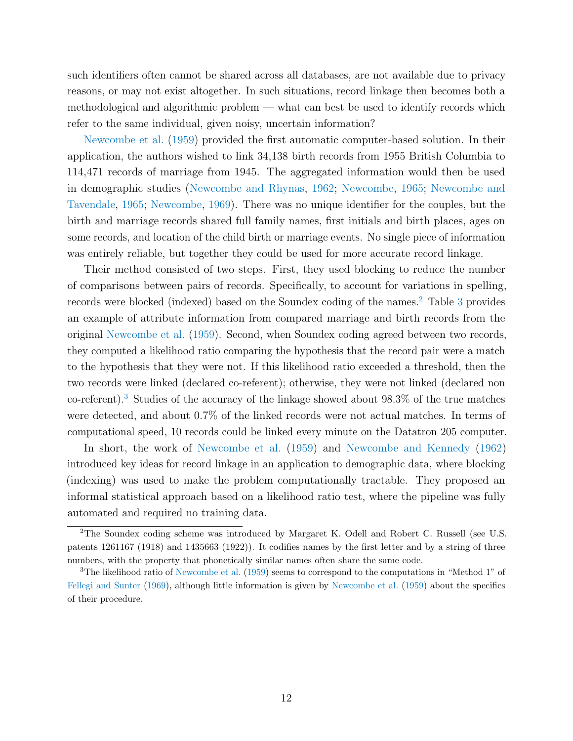such identifiers often cannot be shared across all databases, are not available due to privacy reasons, or may not exist altogether. In such situations, record linkage then becomes both a methodological and algorithmic problem — what can best be used to identify records which refer to the same individual, given noisy, uncertain information?

[Newcombe et al.](#page-48-0) [\(1959\)](#page-48-0) provided the first automatic computer-based solution. In their application, the authors wished to link 34,138 birth records from 1955 British Columbia to 114,471 records of marriage from 1945. The aggregated information would then be used in demographic studies [\(Newcombe and Rhynas,](#page-48-6) [1962;](#page-48-6) [Newcombe,](#page-47-2) [1965;](#page-47-2) [Newcombe and](#page-48-7) [Tavendale,](#page-48-7) [1965;](#page-48-7) [Newcombe,](#page-47-3) [1969\)](#page-47-3). There was no unique identifier for the couples, but the birth and marriage records shared full family names, first initials and birth places, ages on some records, and location of the child birth or marriage events. No single piece of information was entirely reliable, but together they could be used for more accurate record linkage.

Their method consisted of two steps. First, they used blocking to reduce the number of comparisons between pairs of records. Specifically, to account for variations in spelling, records were blocked (indexed) based on the Soundex coding of the names.<sup>[2](#page-11-0)</sup> Table [3](#page-12-1) provides an example of attribute information from compared marriage and birth records from the original [Newcombe et al.](#page-48-0) [\(1959\)](#page-48-0). Second, when Soundex coding agreed between two records, they computed a likelihood ratio comparing the hypothesis that the record pair were a match to the hypothesis that they were not. If this likelihood ratio exceeded a threshold, then the two records were linked (declared co-referent); otherwise, they were not linked (declared non co-referent).[3](#page-11-1) Studies of the accuracy of the linkage showed about 98.3% of the true matches were detected, and about 0.7% of the linked records were not actual matches. In terms of computational speed, 10 records could be linked every minute on the Datatron 205 computer.

In short, the work of [Newcombe et al.](#page-48-0) [\(1959\)](#page-48-0) and [Newcombe and Kennedy](#page-47-4) [\(1962\)](#page-47-4) introduced key ideas for record linkage in an application to demographic data, where blocking (indexing) was used to make the problem computationally tractable. They proposed an informal statistical approach based on a likelihood ratio test, where the pipeline was fully automated and required no training data.

<span id="page-11-0"></span><sup>2</sup>The Soundex coding scheme was introduced by Margaret K. Odell and Robert C. Russell (see U.S. patents 1261167 (1918) and 1435663 (1922)). It codifies names by the first letter and by a string of three numbers, with the property that phonetically similar names often share the same code.

<span id="page-11-1"></span><sup>&</sup>lt;sup>3</sup>The likelihood ratio of [Newcombe et al.](#page-48-0) [\(1959\)](#page-48-0) seems to correspond to the computations in "Method 1" of [Fellegi and Sunter](#page-43-2) [\(1969\)](#page-43-2), although little information is given by [Newcombe et al.](#page-48-0) [\(1959\)](#page-48-0) about the specifics of their procedure.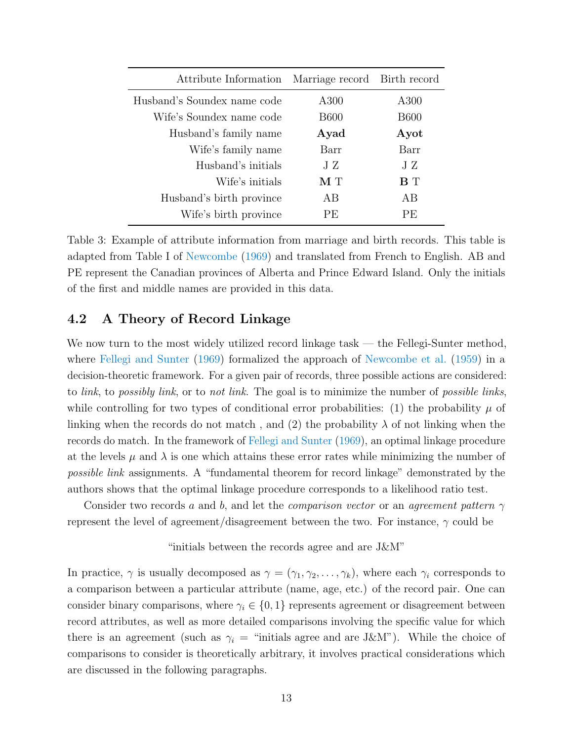| Attribute Information       | Marriage record Birth record |             |
|-----------------------------|------------------------------|-------------|
| Husband's Soundex name code | A300                         | A300        |
| Wife's Soundex name code    | <b>B600</b>                  | <b>B600</b> |
| Husband's family name       | Ayad                         | Ayot        |
| Wife's family name          | Barr                         | Barr        |
| Husband's initials          | J Z                          | ЛZ          |
| Wife's initials             | $\mathbf{M}$ T               | <b>B</b> T  |
| Husband's birth province    | AB                           | AB          |
| Wife's birth province       | PE.                          | PE.         |

<span id="page-12-1"></span>Table 3: Example of attribute information from marriage and birth records. This table is adapted from Table I of [Newcombe](#page-47-3) [\(1969\)](#page-47-3) and translated from French to English. AB and PE represent the Canadian provinces of Alberta and Prince Edward Island. Only the initials of the first and middle names are provided in this data.

#### <span id="page-12-0"></span>4.2 A Theory of Record Linkage

We now turn to the most widely utilized record linkage task — the Fellegi-Sunter method, where [Fellegi and Sunter](#page-43-2) [\(1969\)](#page-43-2) formalized the approach of [Newcombe et al.](#page-48-0) [\(1959\)](#page-48-0) in a decision-theoretic framework. For a given pair of records, three possible actions are considered: to *link*, to *possibly link*, or to *not link*. The goal is to minimize the number of *possible links*, while controlling for two types of conditional error probabilities: (1) the probability  $\mu$  of linking when the records do not match, and (2) the probability  $\lambda$  of not linking when the records do match. In the framework of [Fellegi and Sunter](#page-43-2) [\(1969\)](#page-43-2), an optimal linkage procedure at the levels  $\mu$  and  $\lambda$  is one which attains these error rates while minimizing the number of possible link assignments. A "fundamental theorem for record linkage" demonstrated by the authors shows that the optimal linkage procedure corresponds to a likelihood ratio test.

Consider two records a and b, and let the *comparison vector* or an agreement pattern  $\gamma$ represent the level of agreement/disagreement between the two. For instance,  $\gamma$  could be

"initials between the records agree and are J&M"

In practice,  $\gamma$  is usually decomposed as  $\gamma = (\gamma_1, \gamma_2, \dots, \gamma_k)$ , where each  $\gamma_i$  corresponds to a comparison between a particular attribute (name, age, etc.) of the record pair. One can consider binary comparisons, where  $\gamma_i \in \{0,1\}$  represents agreement or disagreement between record attributes, as well as more detailed comparisons involving the specific value for which there is an agreement (such as  $\gamma_i$  = "initials agree and are J&M"). While the choice of comparisons to consider is theoretically arbitrary, it involves practical considerations which are discussed in the following paragraphs.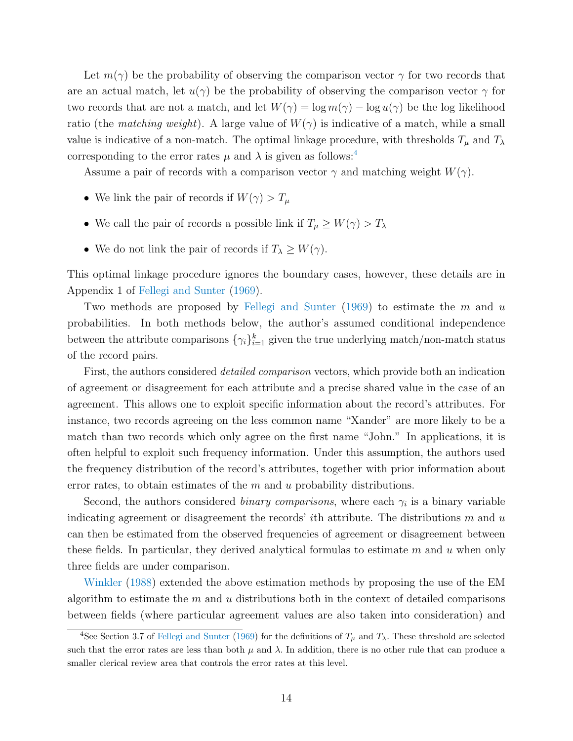Let  $m(\gamma)$  be the probability of observing the comparison vector  $\gamma$  for two records that are an actual match, let  $u(\gamma)$  be the probability of observing the comparison vector  $\gamma$  for two records that are not a match, and let  $W(\gamma) = \log m(\gamma) - \log u(\gamma)$  be the log likelihood ratio (the matching weight). A large value of  $W(\gamma)$  is indicative of a match, while a small value is indicative of a non-match. The optimal linkage procedure, with thresholds  $T_{\mu}$  and  $T_{\lambda}$ corresponding to the error rates  $\mu$  and  $\lambda$  is given as follows:<sup>[4](#page-13-0)</sup>

Assume a pair of records with a comparison vector  $\gamma$  and matching weight  $W(\gamma)$ .

- We link the pair of records if  $W(\gamma) > T_{\mu}$
- $\bullet\,$  We call the pair of records a possible link if  $T_{\mu}\geq W(\gamma)>T_{\lambda}$
- We do not link the pair of records if  $T_{\lambda} \geq W(\gamma)$ .

This optimal linkage procedure ignores the boundary cases, however, these details are in Appendix 1 of [Fellegi and Sunter](#page-43-2) [\(1969\)](#page-43-2).

Two methods are proposed by [Fellegi and Sunter](#page-43-2) [\(1969\)](#page-43-2) to estimate the  $m$  and  $u$ probabilities. In both methods below, the author's assumed conditional independence between the attribute comparisons  $\{\gamma_i\}_{i=1}^k$  given the true underlying match/non-match status of the record pairs.

First, the authors considered *detailed comparison* vectors, which provide both an indication of agreement or disagreement for each attribute and a precise shared value in the case of an agreement. This allows one to exploit specific information about the record's attributes. For instance, two records agreeing on the less common name "Xander" are more likely to be a match than two records which only agree on the first name "John." In applications, it is often helpful to exploit such frequency information. Under this assumption, the authors used the frequency distribution of the record's attributes, together with prior information about error rates, to obtain estimates of the  $m$  and  $u$  probability distributions.

Second, the authors considered *binary comparisons*, where each  $\gamma_i$  is a binary variable indicating agreement or disagreement the records' *i*th attribute. The distributions  $m$  and  $u$ can then be estimated from the observed frequencies of agreement or disagreement between these fields. In particular, they derived analytical formulas to estimate  $m$  and  $u$  when only three fields are under comparison.

[Winkler](#page-52-3) [\(1988\)](#page-52-3) extended the above estimation methods by proposing the use of the EM algorithm to estimate the  $m$  and  $u$  distributions both in the context of detailed comparisons between fields (where particular agreement values are also taken into consideration) and

<span id="page-13-0"></span><sup>&</sup>lt;sup>4</sup>See Section 3.7 of [Fellegi and Sunter](#page-43-2) [\(1969\)](#page-43-2) for the definitions of  $T_{\mu}$  and  $T_{\lambda}$ . These threshold are selected such that the error rates are less than both  $\mu$  and  $\lambda$ . In addition, there is no other rule that can produce a smaller clerical review area that controls the error rates at this level.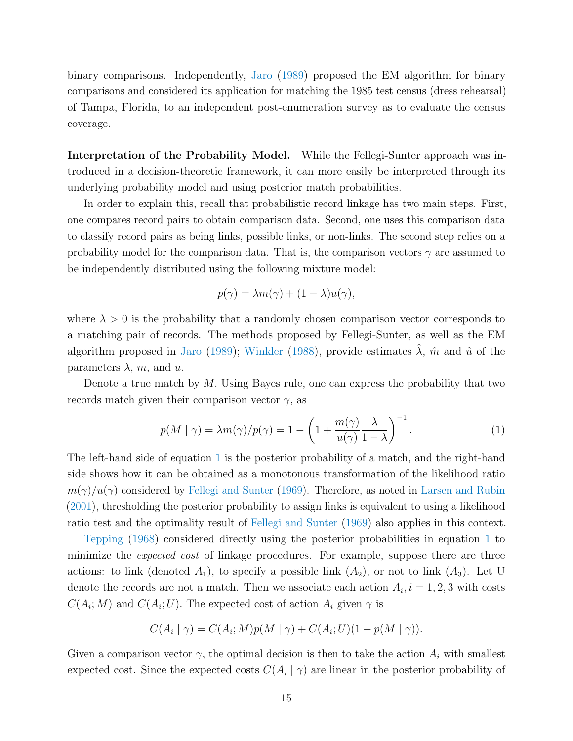binary comparisons. Independently, [Jaro](#page-45-2) [\(1989\)](#page-45-2) proposed the EM algorithm for binary comparisons and considered its application for matching the 1985 test census (dress rehearsal) of Tampa, Florida, to an independent post-enumeration survey as to evaluate the census coverage.

Interpretation of the Probability Model. While the Fellegi-Sunter approach was introduced in a decision-theoretic framework, it can more easily be interpreted through its underlying probability model and using posterior match probabilities.

In order to explain this, recall that probabilistic record linkage has two main steps. First, one compares record pairs to obtain comparison data. Second, one uses this comparison data to classify record pairs as being links, possible links, or non-links. The second step relies on a probability model for the comparison data. That is, the comparison vectors  $\gamma$  are assumed to be independently distributed using the following mixture model:

$$
p(\gamma) = \lambda m(\gamma) + (1 - \lambda)u(\gamma),
$$

where  $\lambda > 0$  is the probability that a randomly chosen comparison vector corresponds to a matching pair of records. The methods proposed by Fellegi-Sunter, as well as the EM algorithm proposed in [Jaro](#page-45-2) [\(1989\)](#page-45-2); [Winkler](#page-52-3) [\(1988\)](#page-52-3), provide estimates  $\lambda$ ,  $\hat{m}$  and  $\hat{u}$  of the parameters  $\lambda$ , m, and u.

Denote a true match by M. Using Bayes rule, one can express the probability that two records match given their comparison vector  $\gamma$ , as

<span id="page-14-0"></span>
$$
p(M \mid \gamma) = \lambda m(\gamma)/p(\gamma) = 1 - \left(1 + \frac{m(\gamma)}{u(\gamma)} \frac{\lambda}{1 - \lambda}\right)^{-1}.
$$
 (1)

The left-hand side of equation [1](#page-14-0) is the posterior probability of a match, and the right-hand side shows how it can be obtained as a monotonous transformation of the likelihood ratio  $m(\gamma)/u(\gamma)$  considered by [Fellegi and Sunter](#page-43-2) [\(1969\)](#page-43-2). Therefore, as noted in [Larsen and Rubin](#page-46-0) [\(2001\)](#page-46-0), thresholding the posterior probability to assign links is equivalent to using a likelihood ratio test and the optimality result of [Fellegi and Sunter](#page-43-2) [\(1969\)](#page-43-2) also applies in this context.

[Tepping](#page-50-2) [\(1968\)](#page-50-2) considered directly using the posterior probabilities in equation [1](#page-14-0) to minimize the expected cost of linkage procedures. For example, suppose there are three actions: to link (denoted  $A_1$ ), to specify a possible link  $(A_2)$ , or not to link  $(A_3)$ . Let U denote the records are not a match. Then we associate each action  $A_i$ ,  $i = 1, 2, 3$  with costs  $C(A_i; M)$  and  $C(A_i; U)$ . The expected cost of action  $A_i$  given  $\gamma$  is

$$
C(A_i | \gamma) = C(A_i; M)p(M | \gamma) + C(A_i; U)(1 - p(M | \gamma)).
$$

Given a comparison vector  $\gamma$ , the optimal decision is then to take the action  $A_i$  with smallest expected cost. Since the expected costs  $C(A_i | \gamma)$  are linear in the posterior probability of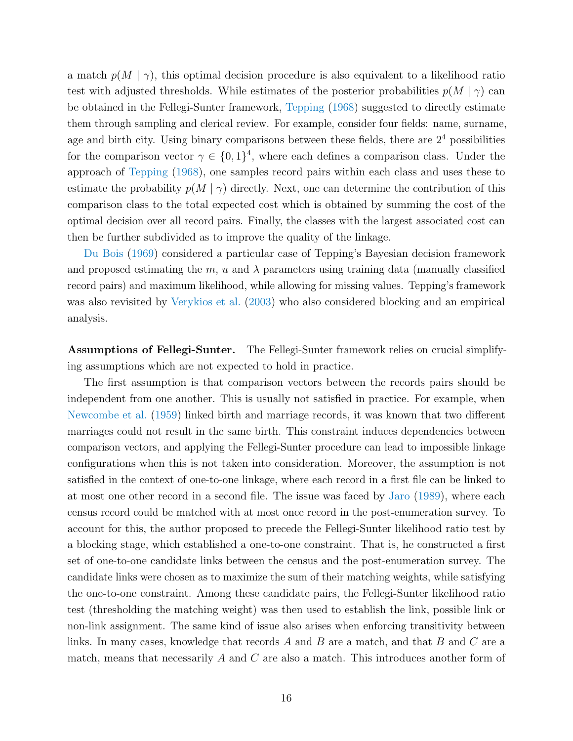a match  $p(M | \gamma)$ , this optimal decision procedure is also equivalent to a likelihood ratio test with adjusted thresholds. While estimates of the posterior probabilities  $p(M | \gamma)$  can be obtained in the Fellegi-Sunter framework, [Tepping](#page-50-2) [\(1968\)](#page-50-2) suggested to directly estimate them through sampling and clerical review. For example, consider four fields: name, surname, age and birth city. Using binary comparisons between these fields, there are  $2<sup>4</sup>$  possibilities for the comparison vector  $\gamma \in \{0,1\}^4$ , where each defines a comparison class. Under the approach of [Tepping](#page-50-2) [\(1968\)](#page-50-2), one samples record pairs within each class and uses these to estimate the probability  $p(M | \gamma)$  directly. Next, one can determine the contribution of this comparison class to the total expected cost which is obtained by summing the cost of the optimal decision over all record pairs. Finally, the classes with the largest associated cost can then be further subdivided as to improve the quality of the linkage.

[Du Bois](#page-42-5) [\(1969\)](#page-42-5) considered a particular case of Tepping's Bayesian decision framework and proposed estimating the m, u and  $\lambda$  parameters using training data (manually classified record pairs) and maximum likelihood, while allowing for missing values. Tepping's framework was also revisited by [Verykios et al.](#page-51-4) [\(2003\)](#page-51-4) who also considered blocking and an empirical analysis.

Assumptions of Fellegi-Sunter. The Fellegi-Sunter framework relies on crucial simplifying assumptions which are not expected to hold in practice.

The first assumption is that comparison vectors between the records pairs should be independent from one another. This is usually not satisfied in practice. For example, when [Newcombe et al.](#page-48-0) [\(1959\)](#page-48-0) linked birth and marriage records, it was known that two different marriages could not result in the same birth. This constraint induces dependencies between comparison vectors, and applying the Fellegi-Sunter procedure can lead to impossible linkage configurations when this is not taken into consideration. Moreover, the assumption is not satisfied in the context of one-to-one linkage, where each record in a first file can be linked to at most one other record in a second file. The issue was faced by [Jaro](#page-45-2) [\(1989\)](#page-45-2), where each census record could be matched with at most once record in the post-enumeration survey. To account for this, the author proposed to precede the Fellegi-Sunter likelihood ratio test by a blocking stage, which established a one-to-one constraint. That is, he constructed a first set of one-to-one candidate links between the census and the post-enumeration survey. The candidate links were chosen as to maximize the sum of their matching weights, while satisfying the one-to-one constraint. Among these candidate pairs, the Fellegi-Sunter likelihood ratio test (thresholding the matching weight) was then used to establish the link, possible link or non-link assignment. The same kind of issue also arises when enforcing transitivity between links. In many cases, knowledge that records  $A$  and  $B$  are a match, and that  $B$  and  $C$  are a match, means that necessarily  $A$  and  $C$  are also a match. This introduces another form of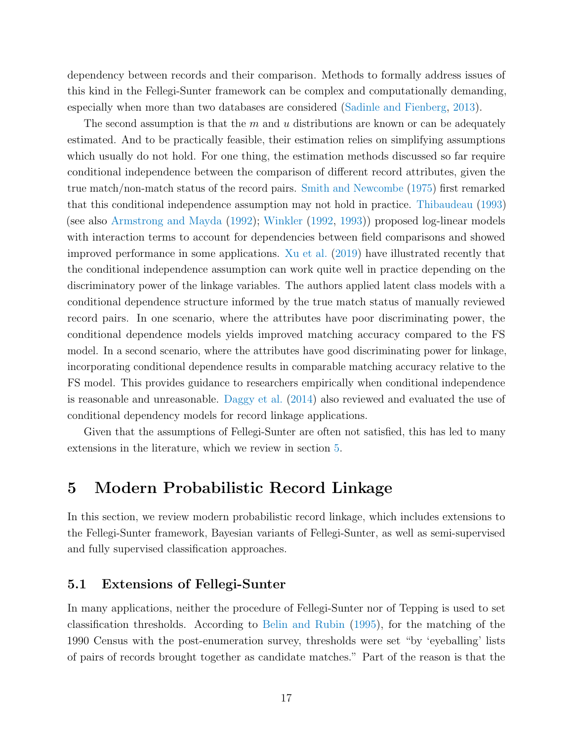dependency between records and their comparison. Methods to formally address issues of this kind in the Fellegi-Sunter framework can be complex and computationally demanding, especially when more than two databases are considered [\(Sadinle and Fienberg,](#page-48-8) [2013\)](#page-48-8).

The second assumption is that the  $m$  and  $u$  distributions are known or can be adequately estimated. And to be practically feasible, their estimation relies on simplifying assumptions which usually do not hold. For one thing, the estimation methods discussed so far require conditional independence between the comparison of different record attributes, given the true match/non-match status of the record pairs. [Smith and Newcombe](#page-49-3) [\(1975\)](#page-49-3) first remarked that this conditional independence assumption may not hold in practice. [Thibaudeau](#page-50-3) [\(1993\)](#page-50-3) (see also [Armstrong and Mayda](#page-38-2) [\(1992\)](#page-38-2); [Winkler](#page-52-4) [\(1992,](#page-52-4) [1993\)](#page-52-5)) proposed log-linear models with interaction terms to account for dependencies between field comparisons and showed improved performance in some applications. [Xu et al.](#page-52-6) [\(2019\)](#page-52-6) have illustrated recently that the conditional independence assumption can work quite well in practice depending on the discriminatory power of the linkage variables. The authors applied latent class models with a conditional dependence structure informed by the true match status of manually reviewed record pairs. In one scenario, where the attributes have poor discriminating power, the conditional dependence models yields improved matching accuracy compared to the FS model. In a second scenario, where the attributes have good discriminating power for linkage, incorporating conditional dependence results in comparable matching accuracy relative to the FS model. This provides guidance to researchers empirically when conditional independence is reasonable and unreasonable. [Daggy et al.](#page-42-6) [\(2014\)](#page-42-6) also reviewed and evaluated the use of conditional dependency models for record linkage applications.

Given that the assumptions of Fellegi-Sunter are often not satisfied, this has led to many extensions in the literature, which we review in section [5.](#page-16-0)

## <span id="page-16-0"></span>5 Modern Probabilistic Record Linkage

In this section, we review modern probabilistic record linkage, which includes extensions to the Fellegi-Sunter framework, Bayesian variants of Fellegi-Sunter, as well as semi-supervised and fully supervised classification approaches.

#### <span id="page-16-1"></span>5.1 Extensions of Fellegi-Sunter

In many applications, neither the procedure of Fellegi-Sunter nor of Tepping is used to set classification thresholds. According to [Belin and Rubin](#page-39-2) [\(1995\)](#page-39-2), for the matching of the 1990 Census with the post-enumeration survey, thresholds were set "by 'eyeballing' lists of pairs of records brought together as candidate matches." Part of the reason is that the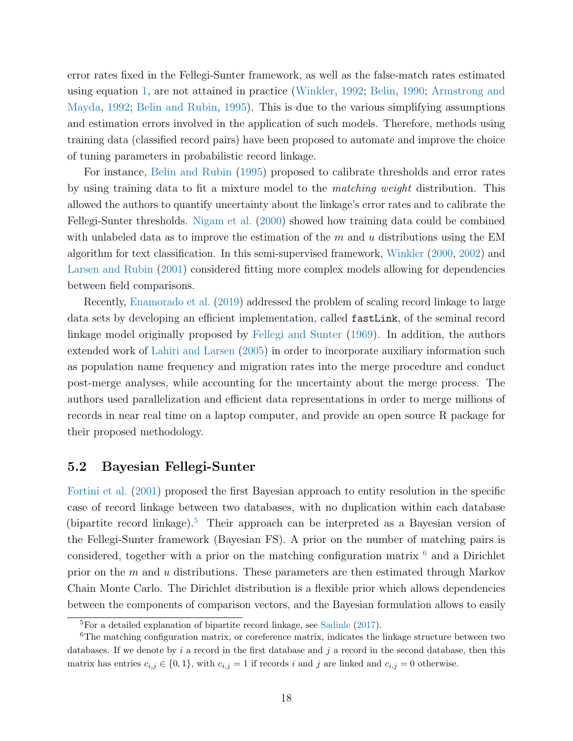error rates fixed in the Fellegi-Sunter framework, as well as the false-match rates estimated using equation [1,](#page-14-0) are not attained in practice [\(Winkler,](#page-52-4) [1992;](#page-52-4) [Belin,](#page-39-3) [1990;](#page-39-3) [Armstrong and](#page-38-2) [Mayda,](#page-38-2) [1992;](#page-38-2) [Belin and Rubin,](#page-39-2) [1995\)](#page-39-2). This is due to the various simplifying assumptions and estimation errors involved in the application of such models. Therefore, methods using training data (classified record pairs) have been proposed to automate and improve the choice of tuning parameters in probabilistic record linkage.

For instance, [Belin and Rubin](#page-39-2) [\(1995\)](#page-39-2) proposed to calibrate thresholds and error rates by using training data to fit a mixture model to the matching weight distribution. This allowed the authors to quantify uncertainty about the linkage's error rates and to calibrate the Fellegi-Sunter thresholds. [Nigam et al.](#page-48-9) [\(2000\)](#page-48-9) showed how training data could be combined with unlabeled data as to improve the estimation of the  $m$  and  $u$  distributions using the EM algorithm for text classification. In this semi-supervised framework, [Winkler](#page-52-7) [\(2000,](#page-52-7) [2002\)](#page-52-8) and [Larsen and Rubin](#page-46-0) [\(2001\)](#page-46-0) considered fitting more complex models allowing for dependencies between field comparisons.

Recently, [Enamorado et al.](#page-43-3) [\(2019\)](#page-43-3) addressed the problem of scaling record linkage to large data sets by developing an efficient implementation, called fastLink, of the seminal record linkage model originally proposed by [Fellegi and Sunter](#page-43-2) [\(1969\)](#page-43-2). In addition, the authors extended work of [Lahiri and Larsen](#page-46-3) [\(2005\)](#page-46-3) in order to incorporate auxiliary information such as population name frequency and migration rates into the merge procedure and conduct post-merge analyses, while accounting for the uncertainty about the merge process. The authors used parallelization and efficient data representations in order to merge millions of records in near real time on a laptop computer, and provide an open source R package for their proposed methodology.

#### <span id="page-17-0"></span>5.2 Bayesian Fellegi-Sunter

[Fortini et al.](#page-43-4) [\(2001\)](#page-43-4) proposed the first Bayesian approach to entity resolution in the specific case of record linkage between two databases, with no duplication within each database (bipartite record linkage).<sup>[5](#page-17-1)</sup> Their approach can be interpreted as a Bayesian version of the Fellegi-Sunter framework (Bayesian FS). A prior on the number of matching pairs is considered, together with a prior on the matching configuration matrix  $6$  and a Dirichlet prior on the m and u distributions. These parameters are then estimated through Markov Chain Monte Carlo. The Dirichlet distribution is a flexible prior which allows dependencies between the components of comparison vectors, and the Bayesian formulation allows to easily

<span id="page-17-2"></span><span id="page-17-1"></span> ${}^{5}$ For a detailed explanation of bipartite record linkage, see [Sadinle](#page-48-2) [\(2017\)](#page-48-2).

<sup>&</sup>lt;sup>6</sup>The matching configuration matrix, or coreference matrix, indicates the linkage structure between two databases. If we denote by i a record in the first database and j a record in the second database, then this matrix has entries  $c_{i,j} \in \{0,1\}$ , with  $c_{i,j} = 1$  if records i and j are linked and  $c_{i,j} = 0$  otherwise.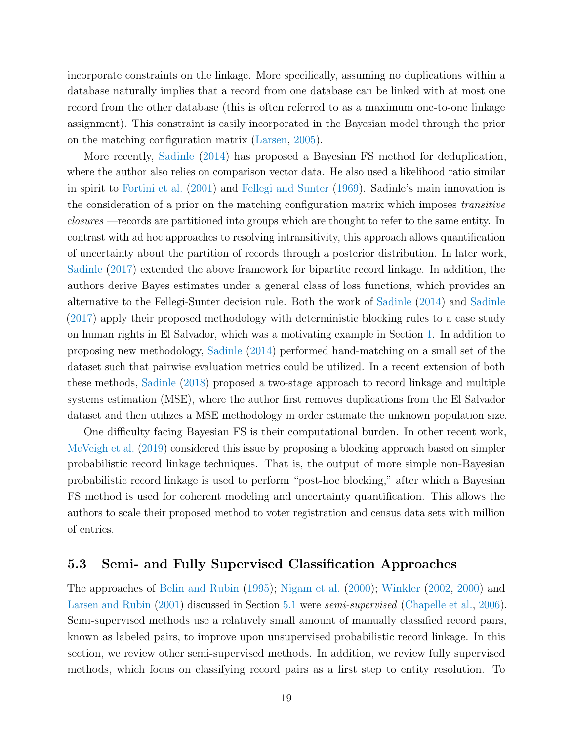incorporate constraints on the linkage. More specifically, assuming no duplications within a database naturally implies that a record from one database can be linked with at most one record from the other database (this is often referred to as a maximum one-to-one linkage assignment). This constraint is easily incorporated in the Bayesian model through the prior on the matching configuration matrix [\(Larsen,](#page-46-4) [2005\)](#page-46-4).

More recently, [Sadinle](#page-48-1) [\(2014\)](#page-48-1) has proposed a Bayesian FS method for deduplication, where the author also relies on comparison vector data. He also used a likelihood ratio similar in spirit to [Fortini et al.](#page-43-4) [\(2001\)](#page-43-4) and [Fellegi and Sunter](#page-43-2) [\(1969\)](#page-43-2). Sadinle's main innovation is the consideration of a prior on the matching configuration matrix which imposes transitive closures —records are partitioned into groups which are thought to refer to the same entity. In contrast with ad hoc approaches to resolving intransitivity, this approach allows quantification of uncertainty about the partition of records through a posterior distribution. In later work, [Sadinle](#page-48-2) [\(2017\)](#page-48-2) extended the above framework for bipartite record linkage. In addition, the authors derive Bayes estimates under a general class of loss functions, which provides an alternative to the Fellegi-Sunter decision rule. Both the work of [Sadinle](#page-48-1) [\(2014\)](#page-48-1) and [Sadinle](#page-48-2) [\(2017\)](#page-48-2) apply their proposed methodology with deterministic blocking rules to a case study on human rights in El Salvador, which was a motivating example in Section [1.](#page-1-0) In addition to proposing new methodology, [Sadinle](#page-48-1) [\(2014\)](#page-48-1) performed hand-matching on a small set of the dataset such that pairwise evaluation metrics could be utilized. In a recent extension of both these methods, [Sadinle](#page-48-3) [\(2018\)](#page-48-3) proposed a two-stage approach to record linkage and multiple systems estimation (MSE), where the author first removes duplications from the El Salvador dataset and then utilizes a MSE methodology in order estimate the unknown population size.

One difficulty facing Bayesian FS is their computational burden. In other recent work, [McVeigh et al.](#page-46-5) [\(2019\)](#page-46-5) considered this issue by proposing a blocking approach based on simpler probabilistic record linkage techniques. That is, the output of more simple non-Bayesian probabilistic record linkage is used to perform "post-hoc blocking," after which a Bayesian FS method is used for coherent modeling and uncertainty quantification. This allows the authors to scale their proposed method to voter registration and census data sets with million of entries.

#### 5.3 Semi- and Fully Supervised Classification Approaches

The approaches of [Belin and Rubin](#page-39-2) [\(1995\)](#page-39-2); [Nigam et al.](#page-48-9) [\(2000\)](#page-48-9); [Winkler](#page-52-8) [\(2002,](#page-52-8) [2000\)](#page-52-7) and [Larsen and Rubin](#page-46-0) [\(2001\)](#page-46-0) discussed in Section [5.1](#page-16-1) were semi-supervised [\(Chapelle et al.,](#page-40-3) [2006\)](#page-40-3). Semi-supervised methods use a relatively small amount of manually classified record pairs, known as labeled pairs, to improve upon unsupervised probabilistic record linkage. In this section, we review other semi-supervised methods. In addition, we review fully supervised methods, which focus on classifying record pairs as a first step to entity resolution. To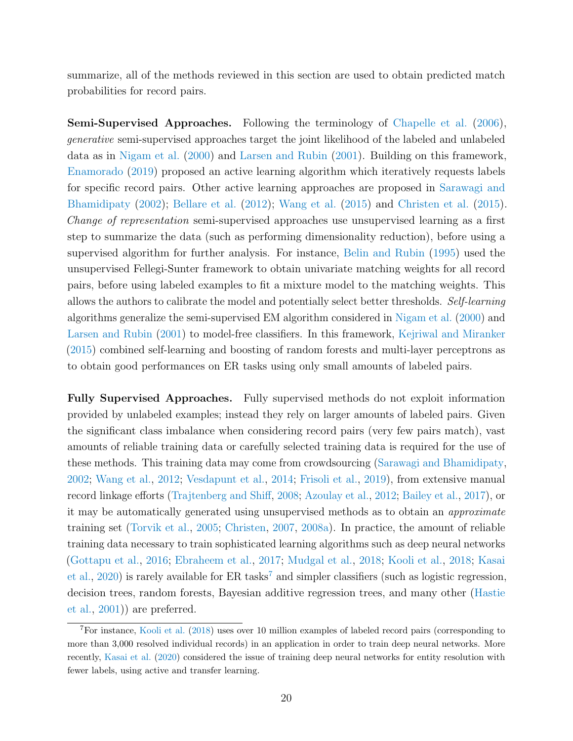summarize, all of the methods reviewed in this section are used to obtain predicted match probabilities for record pairs.

Semi-Supervised Approaches. Following the terminology of [Chapelle et al.](#page-40-3) [\(2006\)](#page-40-3), generative semi-supervised approaches target the joint likelihood of the labeled and unlabeled data as in [Nigam et al.](#page-48-9) [\(2000\)](#page-48-9) and [Larsen and Rubin](#page-46-0) [\(2001\)](#page-46-0). Building on this framework, [Enamorado](#page-43-5) [\(2019\)](#page-43-5) proposed an active learning algorithm which iteratively requests labels for specific record pairs. Other active learning approaches are proposed in [Sarawagi and](#page-49-4) [Bhamidipaty](#page-49-4) [\(2002\)](#page-49-4); [Bellare et al.](#page-39-4) [\(2012\)](#page-39-4); [Wang et al.](#page-51-5) [\(2015\)](#page-51-5) and [Christen et al.](#page-41-4) [\(2015\)](#page-41-4). Change of representation semi-supervised approaches use unsupervised learning as a first step to summarize the data (such as performing dimensionality reduction), before using a supervised algorithm for further analysis. For instance, [Belin and Rubin](#page-39-2) [\(1995\)](#page-39-2) used the unsupervised Fellegi-Sunter framework to obtain univariate matching weights for all record pairs, before using labeled examples to fit a mixture model to the matching weights. This allows the authors to calibrate the model and potentially select better thresholds. Self-learning algorithms generalize the semi-supervised EM algorithm considered in [Nigam et al.](#page-48-9) [\(2000\)](#page-48-9) and [Larsen and Rubin](#page-46-0) [\(2001\)](#page-46-0) to model-free classifiers. In this framework, [Kejriwal and Miranker](#page-46-6) [\(2015\)](#page-46-6) combined self-learning and boosting of random forests and multi-layer perceptrons as to obtain good performances on ER tasks using only small amounts of labeled pairs.

<span id="page-19-1"></span>Fully Supervised Approaches. Fully supervised methods do not exploit information provided by unlabeled examples; instead they rely on larger amounts of labeled pairs. Given the significant class imbalance when considering record pairs (very few pairs match), vast amounts of reliable training data or carefully selected training data is required for the use of these methods. This training data may come from crowdsourcing [\(Sarawagi and Bhamidipaty,](#page-49-4) [2002;](#page-49-4) [Wang et al.,](#page-51-6) [2012;](#page-51-6) [Vesdapunt et al.,](#page-51-7) [2014;](#page-51-7) [Frisoli et al.,](#page-43-6) [2019\)](#page-43-6), from extensive manual record linkage efforts [\(Trajtenberg and Shiff,](#page-50-4) [2008;](#page-50-4) [Azoulay et al.,](#page-39-5) [2012;](#page-39-5) [Bailey et al.,](#page-39-6) [2017\)](#page-39-6), or it may be automatically generated using unsupervised methods as to obtain an approximate training set [\(Torvik et al.,](#page-50-5) [2005;](#page-50-5) [Christen,](#page-40-4) [2007,](#page-40-4) [2008a\)](#page-40-5). In practice, the amount of reliable training data necessary to train sophisticated learning algorithms such as deep neural networks [\(Gottapu et al.,](#page-43-7) [2016;](#page-43-7) [Ebraheem et al.,](#page-42-7) [2017;](#page-42-7) [Mudgal et al.,](#page-47-5) [2018;](#page-47-5) [Kooli et al.,](#page-46-7) [2018;](#page-46-7) [Kasai](#page-46-8) [et al.,](#page-46-8)  $2020$ ) is rarely available for ER tasks<sup>[7](#page-19-0)</sup> and simpler classifiers (such as logistic regression, decision trees, random forests, Bayesian additive regression trees, and many other [\(Hastie](#page-44-2) [et al.,](#page-44-2) [2001\)](#page-44-2)) are preferred.

<span id="page-19-0"></span><sup>7</sup>For instance, [Kooli et al.](#page-46-7) [\(2018\)](#page-46-7) uses over 10 million examples of labeled record pairs (corresponding to more than 3,000 resolved individual records) in an application in order to train deep neural networks. More recently, [Kasai et al.](#page-46-8) [\(2020\)](#page-46-8) considered the issue of training deep neural networks for entity resolution with fewer labels, using active and transfer learning.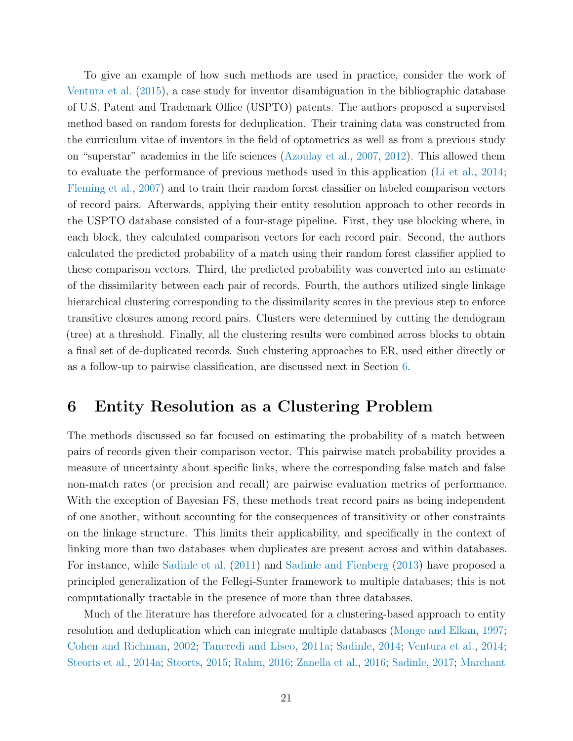To give an example of how such methods are used in practice, consider the work of [Ventura et al.](#page-51-2) [\(2015\)](#page-51-2), a case study for inventor disambiguation in the bibliographic database of U.S. Patent and Trademark Office (USPTO) patents. The authors proposed a supervised method based on random forests for deduplication. Their training data was constructed from the curriculum vitae of inventors in the field of optometrics as well as from a previous study on "superstar" academics in the life sciences [\(Azoulay et al.,](#page-39-7) [2007,](#page-39-7) [2012\)](#page-39-5). This allowed them to evaluate the performance of previous methods used in this application [\(Li et al.,](#page-46-2) [2014;](#page-46-2) [Fleming et al.,](#page-43-8) [2007\)](#page-43-8) and to train their random forest classifier on labeled comparison vectors of record pairs. Afterwards, applying their entity resolution approach to other records in the USPTO database consisted of a four-stage pipeline. First, they use blocking where, in each block, they calculated comparison vectors for each record pair. Second, the authors calculated the predicted probability of a match using their random forest classifier applied to these comparison vectors. Third, the predicted probability was converted into an estimate of the dissimilarity between each pair of records. Fourth, the authors utilized single linkage hierarchical clustering corresponding to the dissimilarity scores in the previous step to enforce transitive closures among record pairs. Clusters were determined by cutting the dendogram (tree) at a threshold. Finally, all the clustering results were combined across blocks to obtain a final set of de-duplicated records. Such clustering approaches to ER, used either directly or as a follow-up to pairwise classification, are discussed next in Section [6.](#page-20-0)

# <span id="page-20-0"></span>6 Entity Resolution as a Clustering Problem

The methods discussed so far focused on estimating the probability of a match between pairs of records given their comparison vector. This pairwise match probability provides a measure of uncertainty about specific links, where the corresponding false match and false non-match rates (or precision and recall) are pairwise evaluation metrics of performance. With the exception of Bayesian FS, these methods treat record pairs as being independent of one another, without accounting for the consequences of transitivity or other constraints on the linkage structure. This limits their applicability, and specifically in the context of linking more than two databases when duplicates are present across and within databases. For instance, while [Sadinle et al.](#page-48-10) [\(2011\)](#page-48-10) and [Sadinle and Fienberg](#page-48-8) [\(2013\)](#page-48-8) have proposed a principled generalization of the Fellegi-Sunter framework to multiple databases; this is not computationally tractable in the presence of more than three databases.

Much of the literature has therefore advocated for a clustering-based approach to entity resolution and deduplication which can integrate multiple databases [\(Monge and Elkan,](#page-47-6) [1997;](#page-47-6) [Cohen and Richman,](#page-41-5) [2002;](#page-41-5) [Tancredi and Liseo,](#page-50-6) [2011a;](#page-50-6) [Sadinle,](#page-48-1) [2014;](#page-48-1) [Ventura et al.,](#page-51-8) [2014;](#page-51-8) [Steorts et al.,](#page-49-5) [2014a;](#page-49-5) [Steorts,](#page-49-6) [2015;](#page-49-6) [Rahm,](#page-48-11) [2016;](#page-48-11) [Zanella et al.,](#page-52-9) [2016;](#page-52-9) [Sadinle,](#page-48-2) [2017;](#page-48-2) [Marchant](#page-46-1)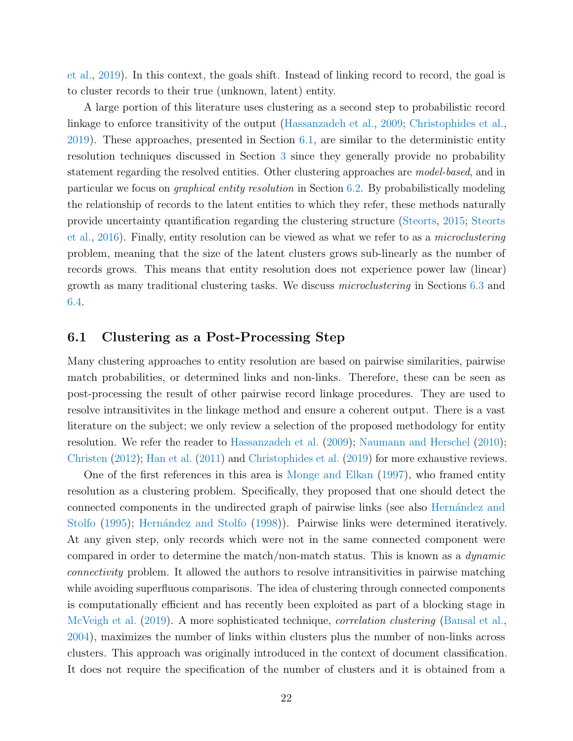[et al.,](#page-46-1) [2019\)](#page-46-1). In this context, the goals shift. Instead of linking record to record, the goal is to cluster records to their true (unknown, latent) entity.

A large portion of this literature uses clustering as a second step to probabilistic record linkage to enforce transitivity of the output [\(Hassanzadeh et al.,](#page-44-3) [2009;](#page-44-3) [Christophides et al.,](#page-41-1) [2019\)](#page-41-1). These approaches, presented in Section [6.1,](#page-21-0) are similar to the deterministic entity resolution techniques discussed in Section [3](#page-8-0) since they generally provide no probability statement regarding the resolved entities. Other clustering approaches are *model-based*, and in particular we focus on graphical entity resolution in Section [6.2.](#page-22-0) By probabilistically modeling the relationship of records to the latent entities to which they refer, these methods naturally provide uncertainty quantification regarding the clustering structure [\(Steorts,](#page-49-6) [2015;](#page-49-6) [Steorts](#page-49-7) [et al.,](#page-49-7) [2016\)](#page-49-7). Finally, entity resolution can be viewed as what we refer to as a microclustering problem, meaning that the size of the latent clusters grows sub-linearly as the number of records grows. This means that entity resolution does not experience power law (linear) growth as many traditional clustering tasks. We discuss microclustering in Sections [6.3](#page-23-0) and [6.4.](#page-23-1)

#### <span id="page-21-0"></span>6.1 Clustering as a Post-Processing Step

Many clustering approaches to entity resolution are based on pairwise similarities, pairwise match probabilities, or determined links and non-links. Therefore, these can be seen as post-processing the result of other pairwise record linkage procedures. They are used to resolve intransitivites in the linkage method and ensure a coherent output. There is a vast literature on the subject; we only review a selection of the proposed methodology for entity resolution. We refer the reader to [Hassanzadeh et al.](#page-44-3) [\(2009\)](#page-44-3); [Naumann and Herschel](#page-47-7) [\(2010\)](#page-47-7); [Christen](#page-41-0) [\(2012\)](#page-41-0); [Han et al.](#page-44-4) [\(2011\)](#page-44-4) and [Christophides et al.](#page-41-1) [\(2019\)](#page-41-1) for more exhaustive reviews.

One of the first references in this area is [Monge and Elkan](#page-47-6) [\(1997\)](#page-47-6), who framed entity resolution as a clustering problem. Specifically, they proposed that one should detect the connected components in the undirected graph of pairwise links (see also Hernández and [Stolfo](#page-44-5) [\(1995\)](#page-44-5); Hernández and Stolfo [\(1998\)](#page-44-6)). Pairwise links were determined iteratively. At any given step, only records which were not in the same connected component were compared in order to determine the match/non-match status. This is known as a dynamic connectivity problem. It allowed the authors to resolve intransitivities in pairwise matching while avoiding superfluous comparisons. The idea of clustering through connected components is computationally efficient and has recently been exploited as part of a blocking stage in [McVeigh et al.](#page-46-5) [\(2019\)](#page-46-5). A more sophisticated technique, *correlation clustering* [\(Bansal et al.,](#page-39-8) [2004\)](#page-39-8), maximizes the number of links within clusters plus the number of non-links across clusters. This approach was originally introduced in the context of document classification. It does not require the specification of the number of clusters and it is obtained from a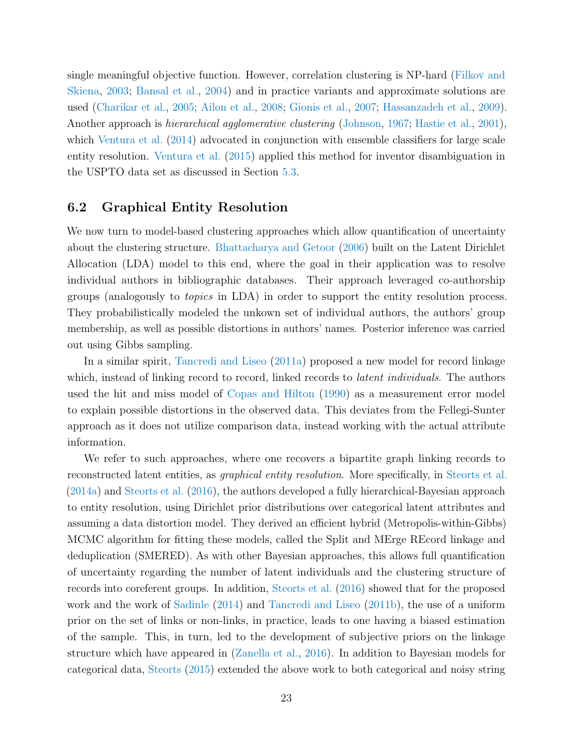single meaningful objective function. However, correlation clustering is NP-hard [\(Filkov and](#page-43-9) [Skiena,](#page-43-9) [2003;](#page-43-9) [Bansal et al.,](#page-39-8) [2004\)](#page-39-8) and in practice variants and approximate solutions are used [\(Charikar et al.,](#page-40-6) [2005;](#page-40-6) [Ailon et al.,](#page-38-3) [2008;](#page-38-3) [Gionis et al.,](#page-43-10) [2007;](#page-43-10) [Hassanzadeh et al.,](#page-44-3) [2009\)](#page-44-3). Another approach is *hierarchical agglomerative clustering* [\(Johnson,](#page-45-6) [1967;](#page-45-6) [Hastie et al.,](#page-44-2) [2001\)](#page-44-2), which [Ventura et al.](#page-51-8) [\(2014\)](#page-51-8) advocated in conjunction with ensemble classifiers for large scale entity resolution. [Ventura et al.](#page-51-2) [\(2015\)](#page-51-2) applied this method for inventor disambiguation in the USPTO data set as discussed in Section [5.3.](#page-19-1)

#### <span id="page-22-0"></span>6.2 Graphical Entity Resolution

We now turn to model-based clustering approaches which allow quantification of uncertainty about the clustering structure. [Bhattacharya and Getoor](#page-40-7) [\(2006\)](#page-40-7) built on the Latent Dirichlet Allocation (LDA) model to this end, where the goal in their application was to resolve individual authors in bibliographic databases. Their approach leveraged co-authorship groups (analogously to topics in LDA) in order to support the entity resolution process. They probabilistically modeled the unkown set of individual authors, the authors' group membership, as well as possible distortions in authors' names. Posterior inference was carried out using Gibbs sampling.

In a similar spirit, [Tancredi and Liseo](#page-50-6) [\(2011a\)](#page-50-6) proposed a new model for record linkage which, instead of linking record to record, linked records to *latent individuals*. The authors used the hit and miss model of [Copas and Hilton](#page-41-6) [\(1990\)](#page-41-6) as a measurement error model to explain possible distortions in the observed data. This deviates from the Fellegi-Sunter approach as it does not utilize comparison data, instead working with the actual attribute information.

We refer to such approaches, where one recovers a bipartite graph linking records to reconstructed latent entities, as *graphical entity resolution*. More specifically, in [Steorts et al.](#page-49-5) [\(2014a\)](#page-49-5) and [Steorts et al.](#page-49-7) [\(2016\)](#page-49-7), the authors developed a fully hierarchical-Bayesian approach to entity resolution, using Dirichlet prior distributions over categorical latent attributes and assuming a data distortion model. They derived an efficient hybrid (Metropolis-within-Gibbs) MCMC algorithm for fitting these models, called the Split and MErge REcord linkage and deduplication (SMERED). As with other Bayesian approaches, this allows full quantification of uncertainty regarding the number of latent individuals and the clustering structure of records into coreferent groups. In addition, [Steorts et al.](#page-49-7) [\(2016\)](#page-49-7) showed that for the proposed work and the work of [Sadinle](#page-48-1) [\(2014\)](#page-48-1) and [Tancredi and Liseo](#page-50-7) [\(2011b\)](#page-50-7), the use of a uniform prior on the set of links or non-links, in practice, leads to one having a biased estimation of the sample. This, in turn, led to the development of subjective priors on the linkage structure which have appeared in [\(Zanella et al.,](#page-52-9) [2016\)](#page-52-9). In addition to Bayesian models for categorical data, [Steorts](#page-49-6) [\(2015\)](#page-49-6) extended the above work to both categorical and noisy string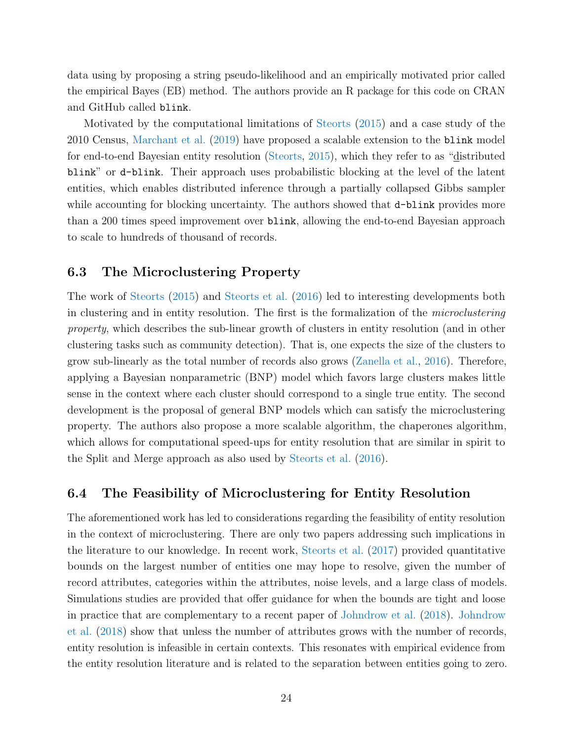data using by proposing a string pseudo-likelihood and an empirically motivated prior called the empirical Bayes (EB) method. The authors provide an R package for this code on CRAN and GitHub called blink.

Motivated by the computational limitations of [Steorts](#page-49-6) [\(2015\)](#page-49-6) and a case study of the 2010 Census, [Marchant et al.](#page-46-1) [\(2019\)](#page-46-1) have proposed a scalable extension to the blink model for end-to-end Bayesian entity resolution [\(Steorts,](#page-49-6) [2015\)](#page-49-6), which they refer to as "distributed blink" or d-blink. Their approach uses probabilistic blocking at the level of the latent entities, which enables distributed inference through a partially collapsed Gibbs sampler while accounting for blocking uncertainty. The authors showed that  $d$ -blink provides more than a 200 times speed improvement over blink, allowing the end-to-end Bayesian approach to scale to hundreds of thousand of records.

#### <span id="page-23-0"></span>6.3 The Microclustering Property

The work of [Steorts](#page-49-6) [\(2015\)](#page-49-6) and [Steorts et al.](#page-49-7) [\(2016\)](#page-49-7) led to interesting developments both in clustering and in entity resolution. The first is the formalization of the microclustering property, which describes the sub-linear growth of clusters in entity resolution (and in other clustering tasks such as community detection). That is, one expects the size of the clusters to grow sub-linearly as the total number of records also grows [\(Zanella et al.,](#page-52-9) [2016\)](#page-52-9). Therefore, applying a Bayesian nonparametric (BNP) model which favors large clusters makes little sense in the context where each cluster should correspond to a single true entity. The second development is the proposal of general BNP models which can satisfy the microclustering property. The authors also propose a more scalable algorithm, the chaperones algorithm, which allows for computational speed-ups for entity resolution that are similar in spirit to the Split and Merge approach as also used by [Steorts et al.](#page-49-7) [\(2016\)](#page-49-7).

#### <span id="page-23-1"></span>6.4 The Feasibility of Microclustering for Entity Resolution

The aforementioned work has led to considerations regarding the feasibility of entity resolution in the context of microclustering. There are only two papers addressing such implications in the literature to our knowledge. In recent work, [Steorts et al.](#page-49-8) [\(2017\)](#page-49-8) provided quantitative bounds on the largest number of entities one may hope to resolve, given the number of record attributes, categories within the attributes, noise levels, and a large class of models. Simulations studies are provided that offer guidance for when the bounds are tight and loose in practice that are complementary to a recent paper of [Johndrow et al.](#page-45-7) [\(2018\)](#page-45-7). [Johndrow](#page-45-7) [et al.](#page-45-7) [\(2018\)](#page-45-7) show that unless the number of attributes grows with the number of records, entity resolution is infeasible in certain contexts. This resonates with empirical evidence from the entity resolution literature and is related to the separation between entities going to zero.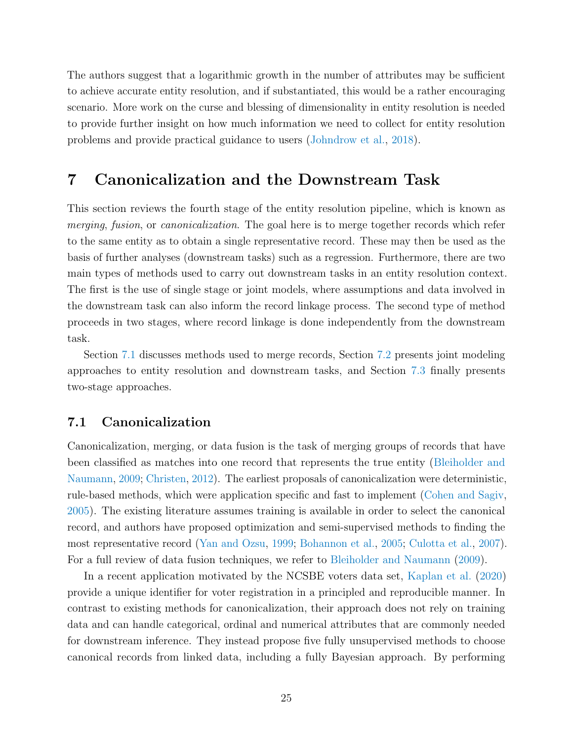The authors suggest that a logarithmic growth in the number of attributes may be sufficient to achieve accurate entity resolution, and if substantiated, this would be a rather encouraging scenario. More work on the curse and blessing of dimensionality in entity resolution is needed to provide further insight on how much information we need to collect for entity resolution problems and provide practical guidance to users [\(Johndrow et al.,](#page-45-7) [2018\)](#page-45-7).

## <span id="page-24-0"></span>7 Canonicalization and the Downstream Task

This section reviews the fourth stage of the entity resolution pipeline, which is known as merging, fusion, or canonicalization. The goal here is to merge together records which refer to the same entity as to obtain a single representative record. These may then be used as the basis of further analyses (downstream tasks) such as a regression. Furthermore, there are two main types of methods used to carry out downstream tasks in an entity resolution context. The first is the use of single stage or joint models, where assumptions and data involved in the downstream task can also inform the record linkage process. The second type of method proceeds in two stages, where record linkage is done independently from the downstream task.

Section [7.1](#page-24-1) discusses methods used to merge records, Section [7.2](#page-25-0) presents joint modeling approaches to entity resolution and downstream tasks, and Section [7.3](#page-25-1) finally presents two-stage approaches.

#### <span id="page-24-1"></span>7.1 Canonicalization

Canonicalization, merging, or data fusion is the task of merging groups of records that have been classified as matches into one record that represents the true entity [\(Bleiholder and](#page-40-8) [Naumann,](#page-40-8) [2009;](#page-40-8) [Christen,](#page-41-0) [2012\)](#page-41-0). The earliest proposals of canonicalization were deterministic, rule-based methods, which were application specific and fast to implement [\(Cohen and Sagiv,](#page-41-7) [2005\)](#page-41-7). The existing literature assumes training is available in order to select the canonical record, and authors have proposed optimization and semi-supervised methods to finding the most representative record [\(Yan and Ozsu,](#page-52-10) [1999;](#page-52-10) [Bohannon et al.,](#page-40-9) [2005;](#page-40-9) [Culotta et al.,](#page-41-8) [2007\)](#page-41-8). For a full review of data fusion techniques, we refer to [Bleiholder and Naumann](#page-40-8) [\(2009\)](#page-40-8).

In a recent application motivated by the NCSBE voters data set, [Kaplan et al.](#page-45-5) [\(2020\)](#page-45-5) provide a unique identifier for voter registration in a principled and reproducible manner. In contrast to existing methods for canonicalization, their approach does not rely on training data and can handle categorical, ordinal and numerical attributes that are commonly needed for downstream inference. They instead propose five fully unsupervised methods to choose canonical records from linked data, including a fully Bayesian approach. By performing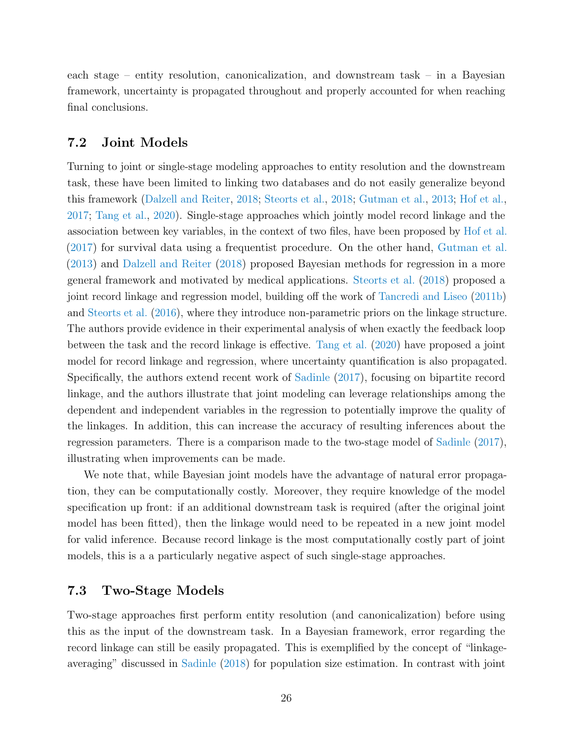each stage – entity resolution, canonicalization, and downstream task – in a Bayesian framework, uncertainty is propagated throughout and properly accounted for when reaching final conclusions.

#### <span id="page-25-0"></span>7.2 Joint Models

Turning to joint or single-stage modeling approaches to entity resolution and the downstream task, these have been limited to linking two databases and do not easily generalize beyond this framework [\(Dalzell and Reiter,](#page-42-8) [2018;](#page-42-8) [Steorts et al.,](#page-49-9) [2018;](#page-49-9) [Gutman et al.,](#page-44-7) [2013;](#page-44-7) [Hof et al.,](#page-45-8) [2017;](#page-45-8) [Tang et al.,](#page-50-8) [2020\)](#page-50-8). Single-stage approaches which jointly model record linkage and the association between key variables, in the context of two files, have been proposed by [Hof et al.](#page-45-8) [\(2017\)](#page-45-8) for survival data using a frequentist procedure. On the other hand, [Gutman et al.](#page-44-7) [\(2013\)](#page-44-7) and [Dalzell and Reiter](#page-42-8) [\(2018\)](#page-42-8) proposed Bayesian methods for regression in a more general framework and motivated by medical applications. [Steorts et al.](#page-49-9) [\(2018\)](#page-49-9) proposed a joint record linkage and regression model, building off the work of [Tancredi and Liseo](#page-50-7) [\(2011b\)](#page-50-7) and [Steorts et al.](#page-49-7) [\(2016\)](#page-49-7), where they introduce non-parametric priors on the linkage structure. The authors provide evidence in their experimental analysis of when exactly the feedback loop between the task and the record linkage is effective. [Tang et al.](#page-50-8) [\(2020\)](#page-50-8) have proposed a joint model for record linkage and regression, where uncertainty quantification is also propagated. Specifically, the authors extend recent work of [Sadinle](#page-48-2) [\(2017\)](#page-48-2), focusing on bipartite record linkage, and the authors illustrate that joint modeling can leverage relationships among the dependent and independent variables in the regression to potentially improve the quality of the linkages. In addition, this can increase the accuracy of resulting inferences about the regression parameters. There is a comparison made to the two-stage model of [Sadinle](#page-48-2) [\(2017\)](#page-48-2), illustrating when improvements can be made.

We note that, while Bayesian joint models have the advantage of natural error propagation, they can be computationally costly. Moreover, they require knowledge of the model specification up front: if an additional downstream task is required (after the original joint model has been fitted), then the linkage would need to be repeated in a new joint model for valid inference. Because record linkage is the most computationally costly part of joint models, this is a a particularly negative aspect of such single-stage approaches.

## <span id="page-25-1"></span>7.3 Two-Stage Models

Two-stage approaches first perform entity resolution (and canonicalization) before using this as the input of the downstream task. In a Bayesian framework, error regarding the record linkage can still be easily propagated. This is exemplified by the concept of "linkageaveraging" discussed in [Sadinle](#page-48-3) [\(2018\)](#page-48-3) for population size estimation. In contrast with joint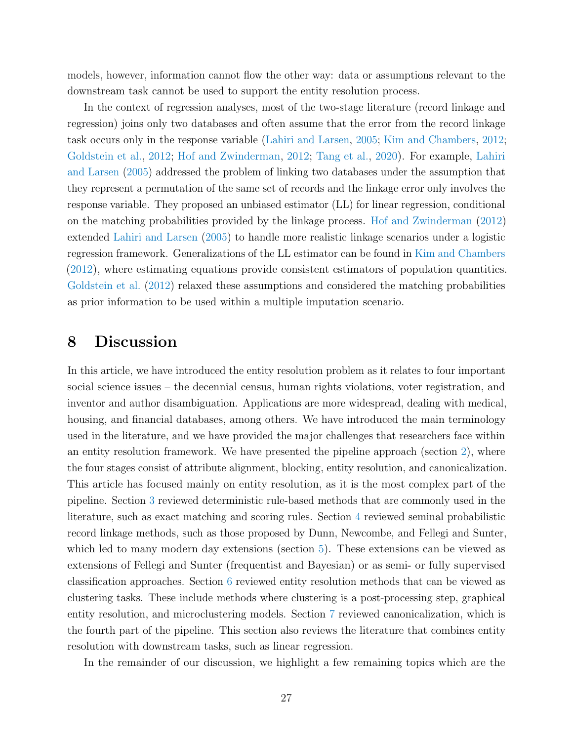models, however, information cannot flow the other way: data or assumptions relevant to the downstream task cannot be used to support the entity resolution process.

In the context of regression analyses, most of the two-stage literature (record linkage and regression) joins only two databases and often assume that the error from the record linkage task occurs only in the response variable [\(Lahiri and Larsen,](#page-46-3) [2005;](#page-46-3) [Kim and Chambers,](#page-46-9) [2012;](#page-46-9) [Goldstein et al.,](#page-43-11) [2012;](#page-43-11) [Hof and Zwinderman,](#page-45-9) [2012;](#page-45-9) [Tang et al.,](#page-50-8) [2020\)](#page-50-8). For example, [Lahiri](#page-46-3) [and Larsen](#page-46-3) [\(2005\)](#page-46-3) addressed the problem of linking two databases under the assumption that they represent a permutation of the same set of records and the linkage error only involves the response variable. They proposed an unbiased estimator (LL) for linear regression, conditional on the matching probabilities provided by the linkage process. [Hof and Zwinderman](#page-45-9) [\(2012\)](#page-45-9) extended [Lahiri and Larsen](#page-46-3) [\(2005\)](#page-46-3) to handle more realistic linkage scenarios under a logistic regression framework. Generalizations of the LL estimator can be found in [Kim and Chambers](#page-46-9) [\(2012\)](#page-46-9), where estimating equations provide consistent estimators of population quantities. [Goldstein et al.](#page-43-11) [\(2012\)](#page-43-11) relaxed these assumptions and considered the matching probabilities as prior information to be used within a multiple imputation scenario.

## <span id="page-26-0"></span>8 Discussion

In this article, we have introduced the entity resolution problem as it relates to four important social science issues – the decennial census, human rights violations, voter registration, and inventor and author disambiguation. Applications are more widespread, dealing with medical, housing, and financial databases, among others. We have introduced the main terminology used in the literature, and we have provided the major challenges that researchers face within an entity resolution framework. We have presented the pipeline approach (section [2\)](#page-7-0), where the four stages consist of attribute alignment, blocking, entity resolution, and canonicalization. This article has focused mainly on entity resolution, as it is the most complex part of the pipeline. Section [3](#page-8-0) reviewed deterministic rule-based methods that are commonly used in the literature, such as exact matching and scoring rules. Section [4](#page-10-0) reviewed seminal probabilistic record linkage methods, such as those proposed by Dunn, Newcombe, and Fellegi and Sunter, which led to many modern day extensions (section [5\)](#page-16-0). These extensions can be viewed as extensions of Fellegi and Sunter (frequentist and Bayesian) or as semi- or fully supervised classification approaches. Section [6](#page-20-0) reviewed entity resolution methods that can be viewed as clustering tasks. These include methods where clustering is a post-processing step, graphical entity resolution, and microclustering models. Section [7](#page-24-0) reviewed canonicalization, which is the fourth part of the pipeline. This section also reviews the literature that combines entity resolution with downstream tasks, such as linear regression.

In the remainder of our discussion, we highlight a few remaining topics which are the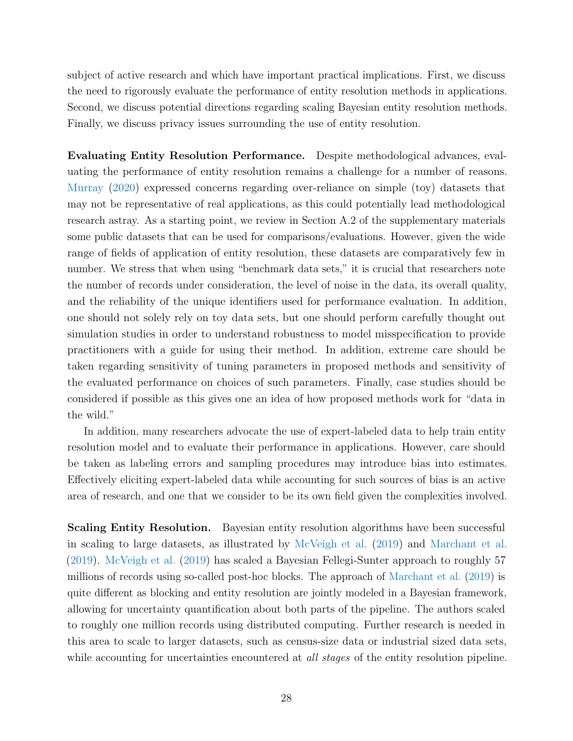subject of active research and which have important practical implications. First, we discuss the need to rigorously evaluate the performance of entity resolution methods in applications. Second, we discuss potential directions regarding scaling Bayesian entity resolution methods. Finally, we discuss privacy issues surrounding the use of entity resolution.

Evaluating Entity Resolution Performance. Despite methodological advances, evaluating the performance of entity resolution remains a challenge for a number of reasons. [Murray](#page-47-8) [\(2020\)](#page-47-8) expressed concerns regarding over-reliance on simple (toy) datasets that may not be representative of real applications, as this could potentially lead methodological research astray. As a starting point, we review in Section A.2 of the supplementary materials some public datasets that can be used for comparisons/evaluations. However, given the wide range of fields of application of entity resolution, these datasets are comparatively few in number. We stress that when using "benchmark data sets," it is crucial that researchers note the number of records under consideration, the level of noise in the data, its overall quality, and the reliability of the unique identifiers used for performance evaluation. In addition, one should not solely rely on toy data sets, but one should perform carefully thought out simulation studies in order to understand robustness to model misspecification to provide practitioners with a guide for using their method. In addition, extreme care should be taken regarding sensitivity of tuning parameters in proposed methods and sensitivity of the evaluated performance on choices of such parameters. Finally, case studies should be considered if possible as this gives one an idea of how proposed methods work for "data in the wild."

In addition, many researchers advocate the use of expert-labeled data to help train entity resolution model and to evaluate their performance in applications. However, care should be taken as labeling errors and sampling procedures may introduce bias into estimates. Effectively eliciting expert-labeled data while accounting for such sources of bias is an active area of research, and one that we consider to be its own field given the complexities involved.

Scaling Entity Resolution. Bayesian entity resolution algorithms have been successful in scaling to large datasets, as illustrated by [McVeigh et al.](#page-46-5) [\(2019\)](#page-46-5) and [Marchant et al.](#page-46-1) [\(2019\)](#page-46-1). [McVeigh et al.](#page-46-5) [\(2019\)](#page-46-5) has scaled a Bayesian Fellegi-Sunter approach to roughly 57 millions of records using so-called post-hoc blocks. The approach of [Marchant et al.](#page-46-1) [\(2019\)](#page-46-1) is quite different as blocking and entity resolution are jointly modeled in a Bayesian framework, allowing for uncertainty quantification about both parts of the pipeline. The authors scaled to roughly one million records using distributed computing. Further research is needed in this area to scale to larger datasets, such as census-size data or industrial sized data sets, while accounting for uncertainties encountered at *all stages* of the entity resolution pipeline.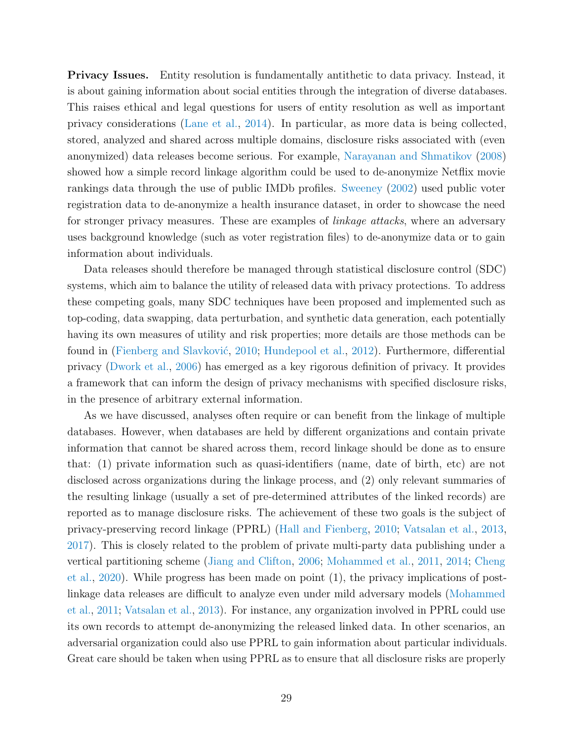**Privacy Issues.** Entity resolution is fundamentally antithetic to data privacy. Instead, it is about gaining information about social entities through the integration of diverse databases. This raises ethical and legal questions for users of entity resolution as well as important privacy considerations [\(Lane et al.,](#page-46-10) [2014\)](#page-46-10). In particular, as more data is being collected, stored, analyzed and shared across multiple domains, disclosure risks associated with (even anonymized) data releases become serious. For example, [Narayanan and Shmatikov](#page-47-9) [\(2008\)](#page-47-9) showed how a simple record linkage algorithm could be used to de-anonymize Netflix movie rankings data through the use of public IMDb profiles. [Sweeney](#page-50-9) [\(2002\)](#page-50-9) used public voter registration data to de-anonymize a health insurance dataset, in order to showcase the need for stronger privacy measures. These are examples of *linkage attacks*, where an adversary uses background knowledge (such as voter registration files) to de-anonymize data or to gain information about individuals.

Data releases should therefore be managed through statistical disclosure control (SDC) systems, which aim to balance the utility of released data with privacy protections. To address these competing goals, many SDC techniques have been proposed and implemented such as top-coding, data swapping, data perturbation, and synthetic data generation, each potentially having its own measures of utility and risk properties; more details are those methods can be found in (Fienberg and Slavković, [2010;](#page-43-12) [Hundepool et al.,](#page-45-10) [2012\)](#page-45-10). Furthermore, differential privacy [\(Dwork et al.,](#page-42-9) [2006\)](#page-42-9) has emerged as a key rigorous definition of privacy. It provides a framework that can inform the design of privacy mechanisms with specified disclosure risks, in the presence of arbitrary external information.

As we have discussed, analyses often require or can benefit from the linkage of multiple databases. However, when databases are held by different organizations and contain private information that cannot be shared across them, record linkage should be done as to ensure that: (1) private information such as quasi-identifiers (name, date of birth, etc) are not disclosed across organizations during the linkage process, and (2) only relevant summaries of the resulting linkage (usually a set of pre-determined attributes of the linked records) are reported as to manage disclosure risks. The achievement of these two goals is the subject of privacy-preserving record linkage (PPRL) [\(Hall and Fienberg,](#page-44-8) [2010;](#page-44-8) [Vatsalan et al.,](#page-51-9) [2013,](#page-51-9) [2017\)](#page-51-10). This is closely related to the problem of private multi-party data publishing under a vertical partitioning scheme [\(Jiang and Clifton,](#page-45-11) [2006;](#page-45-11) [Mohammed et al.,](#page-47-10) [2011,](#page-47-10) [2014;](#page-47-11) [Cheng](#page-40-10) [et al.,](#page-40-10) [2020\)](#page-40-10). While progress has been made on point (1), the privacy implications of postlinkage data releases are difficult to analyze even under mild adversary models [\(Mohammed](#page-47-10) [et al.,](#page-47-10) [2011;](#page-47-10) [Vatsalan et al.,](#page-51-9) [2013\)](#page-51-9). For instance, any organization involved in PPRL could use its own records to attempt de-anonymizing the released linked data. In other scenarios, an adversarial organization could also use PPRL to gain information about particular individuals. Great care should be taken when using PPRL as to ensure that all disclosure risks are properly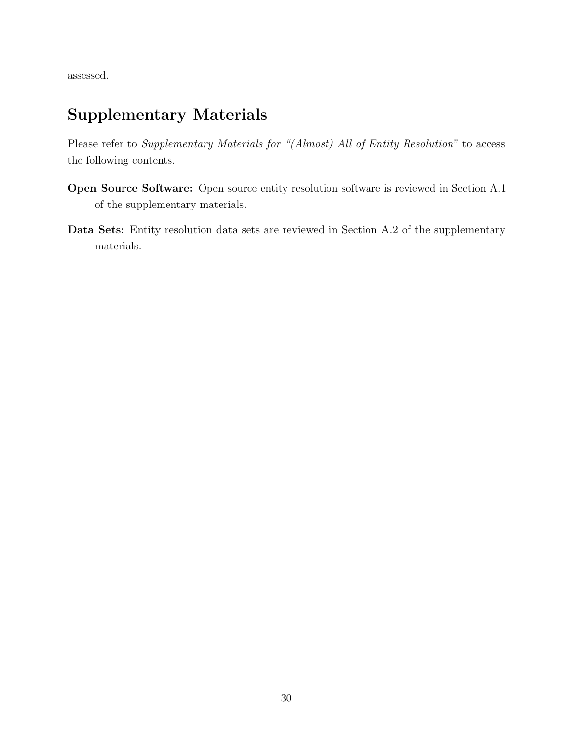assessed.

# Supplementary Materials

Please refer to Supplementary Materials for "(Almost) All of Entity Resolution" to access the following contents.

- Open Source Software: Open source entity resolution software is reviewed in Section A.1 of the supplementary materials.
- Data Sets: Entity resolution data sets are reviewed in Section A.2 of the supplementary materials.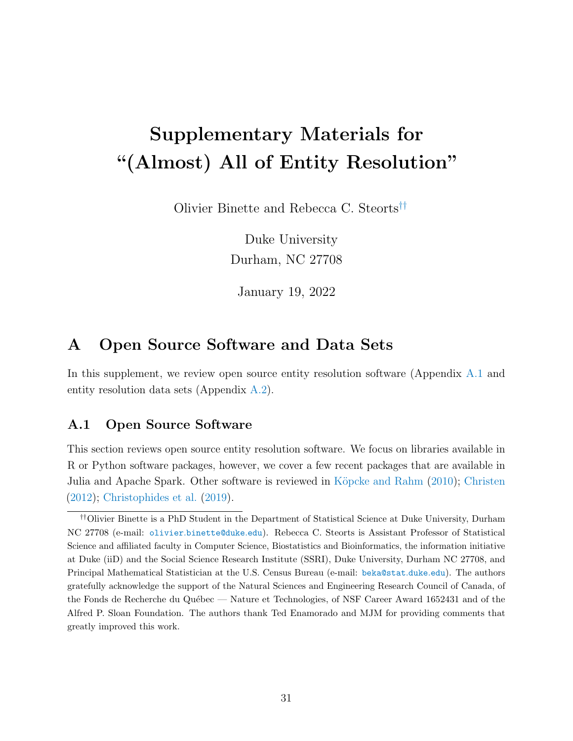# Supplementary Materials for "(Almost) All of Entity Resolution"

Olivier Binette and Rebecca C. Steort[s](#page-30-0)††

Duke University Durham, NC 27708

January 19, 2022

# A Open Source Software and Data Sets

In this supplement, we review open source entity resolution software (Appendix [A.1](#page-30-1) and entity resolution data sets (Appendix [A.2\)](#page-32-0).

## <span id="page-30-1"></span>A.1 Open Source Software

This section reviews open source entity resolution software. We focus on libraries available in R or Python software packages, however, we cover a few recent packages that are available in Julia and Apache Spark. Other software is reviewed in Köpcke and Rahm [\(2010\)](#page-46-11); [Christen](#page-41-0) [\(2012\)](#page-41-0); [Christophides et al.](#page-41-1) [\(2019\)](#page-41-1).

<span id="page-30-0"></span><sup>††</sup>Olivier Binette is a PhD Student in the Department of Statistical Science at Duke University, Durham NC 27708 (e-mail: olivier.[binette@duke](olivier.binette@duke.edu).edu). Rebecca C. Steorts is Assistant Professor of Statistical Science and affiliated faculty in Computer Science, Biostatistics and Bioinformatics, the information initiative at Duke (iiD) and the Social Science Research Institute (SSRI), Duke University, Durham NC 27708, and Principal Mathematical Statistician at the U.S. Census Bureau (e-mail: [beka@stat](beka@stat.duke.edu).duke.edu). The authors gratefully acknowledge the support of the Natural Sciences and Engineering Research Council of Canada, of the Fonds de Recherche du Québec — Nature et Technologies, of NSF Career Award 1652431 and of the Alfred P. Sloan Foundation. The authors thank Ted Enamorado and MJM for providing comments that greatly improved this work.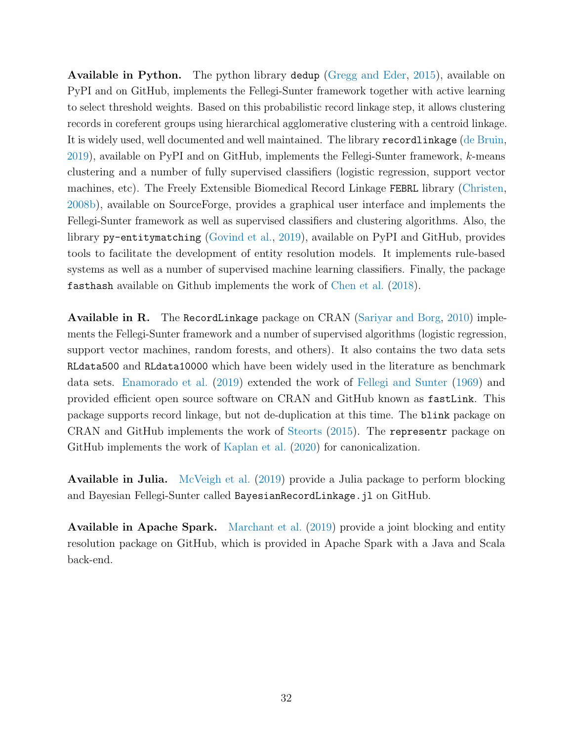Available in Python. The python library dedup [\(Gregg and Eder,](#page-44-9) [2015\)](#page-44-9), available on PyPI and on GitHub, implements the Fellegi-Sunter framework together with active learning to select threshold weights. Based on this probabilistic record linkage step, it allows clustering records in coreferent groups using hierarchical agglomerative clustering with a centroid linkage. It is widely used, well documented and well maintained. The library recordlinkage [\(de Bruin,](#page-42-10) [2019\)](#page-42-10), available on PyPI and on GitHub, implements the Fellegi-Sunter framework, k-means clustering and a number of fully supervised classifiers (logistic regression, support vector machines, etc). The Freely Extensible Biomedical Record Linkage FEBRL library [\(Christen,](#page-41-9) [2008b\)](#page-41-9), available on SourceForge, provides a graphical user interface and implements the Fellegi-Sunter framework as well as supervised classifiers and clustering algorithms. Also, the library py-entitymatching [\(Govind et al.,](#page-44-10) [2019\)](#page-44-10), available on PyPI and GitHub, provides tools to facilitate the development of entity resolution models. It implements rule-based systems as well as a number of supervised machine learning classifiers. Finally, the package fasthash available on Github implements the work of [Chen et al.](#page-40-2) [\(2018\)](#page-40-2).

Available in R. The RecordLinkage package on CRAN [\(Sariyar and Borg,](#page-49-10) [2010\)](#page-49-10) implements the Fellegi-Sunter framework and a number of supervised algorithms (logistic regression, support vector machines, random forests, and others). It also contains the two data sets RLdata500 and RLdata10000 which have been widely used in the literature as benchmark data sets. [Enamorado et al.](#page-43-3) [\(2019\)](#page-43-3) extended the work of [Fellegi and Sunter](#page-43-2) [\(1969\)](#page-43-2) and provided efficient open source software on CRAN and GitHub known as fastLink. This package supports record linkage, but not de-duplication at this time. The blink package on CRAN and GitHub implements the work of [Steorts](#page-49-6) [\(2015\)](#page-49-6). The representr package on GitHub implements the work of [Kaplan et al.](#page-45-5) [\(2020\)](#page-45-5) for canonicalization.

Available in Julia. [McVeigh et al.](#page-46-5) [\(2019\)](#page-46-5) provide a Julia package to perform blocking and Bayesian Fellegi-Sunter called BayesianRecordLinkage.jl on GitHub.

**Available in Apache Spark.** [Marchant et al.](#page-46-1) [\(2019\)](#page-46-1) provide a joint blocking and entity resolution package on GitHub, which is provided in Apache Spark with a Java and Scala back-end.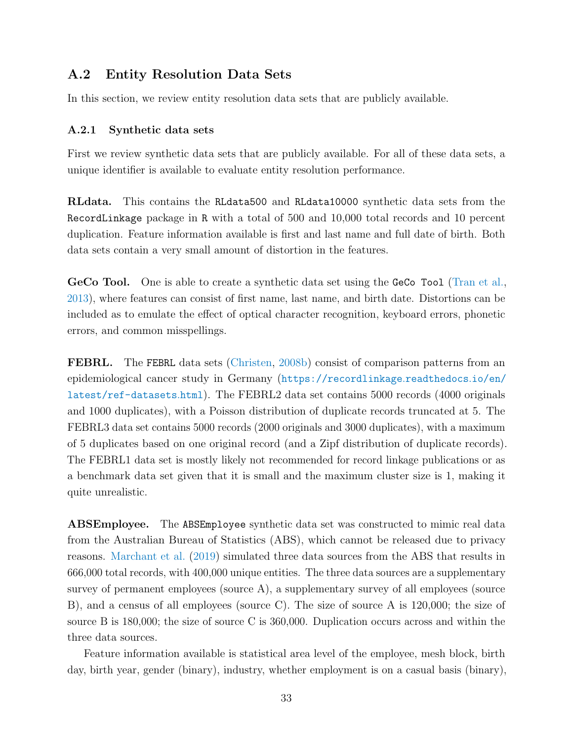## <span id="page-32-0"></span>A.2 Entity Resolution Data Sets

In this section, we review entity resolution data sets that are publicly available.

#### A.2.1 Synthetic data sets

First we review synthetic data sets that are publicly available. For all of these data sets, a unique identifier is available to evaluate entity resolution performance.

RLdata. This contains the RLdata500 and RLdata10000 synthetic data sets from the RecordLinkage package in R with a total of 500 and 10,000 total records and 10 percent duplication. Feature information available is first and last name and full date of birth. Both data sets contain a very small amount of distortion in the features.

GeCo Tool. One is able to create a synthetic data set using the GeCo Tool [\(Tran et al.,](#page-50-10) [2013\)](#page-50-10), where features can consist of first name, last name, and birth date. Distortions can be included as to emulate the effect of optical character recognition, keyboard errors, phonetic errors, and common misspellings.

FEBRL. The FEBRL data sets [\(Christen,](#page-41-9) [2008b\)](#page-41-9) consist of comparison patterns from an epidemiological cancer study in Germany ([https://recordlinkage](https://recordlinkage.readthedocs.io/en/latest/ref-datasets.html).readthedocs.io/en/ [latest/ref-datasets](https://recordlinkage.readthedocs.io/en/latest/ref-datasets.html).html). The FEBRL2 data set contains 5000 records (4000 originals and 1000 duplicates), with a Poisson distribution of duplicate records truncated at 5. The FEBRL3 data set contains 5000 records (2000 originals and 3000 duplicates), with a maximum of 5 duplicates based on one original record (and a Zipf distribution of duplicate records). The FEBRL1 data set is mostly likely not recommended for record linkage publications or as a benchmark data set given that it is small and the maximum cluster size is 1, making it quite unrealistic.

ABSEmployee. The ABSEmployee synthetic data set was constructed to mimic real data from the Australian Bureau of Statistics (ABS), which cannot be released due to privacy reasons. [Marchant et al.](#page-46-1) [\(2019\)](#page-46-1) simulated three data sources from the ABS that results in 666,000 total records, with 400,000 unique entities. The three data sources are a supplementary survey of permanent employees (source A), a supplementary survey of all employees (source B), and a census of all employees (source C). The size of source A is 120,000; the size of source B is 180,000; the size of source C is 360,000. Duplication occurs across and within the three data sources.

Feature information available is statistical area level of the employee, mesh block, birth day, birth year, gender (binary), industry, whether employment is on a casual basis (binary),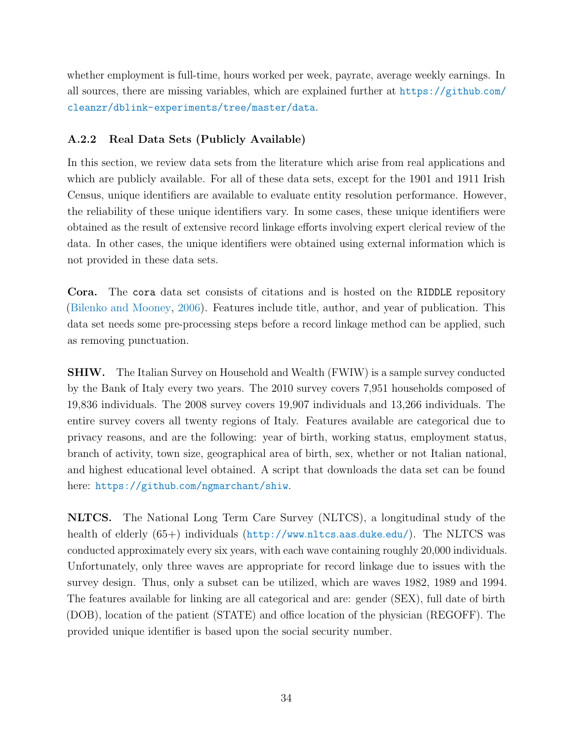whether employment is full-time, hours worked per week, payrate, average weekly earnings. In all sources, there are missing variables, which are explained further at [https://github](https://github.com/cleanzr/dblink-experiments/tree/master/data).com/ [cleanzr/dblink-experiments/tree/master/data](https://github.com/cleanzr/dblink-experiments/tree/master/data).

## A.2.2 Real Data Sets (Publicly Available)

In this section, we review data sets from the literature which arise from real applications and which are publicly available. For all of these data sets, except for the 1901 and 1911 Irish Census, unique identifiers are available to evaluate entity resolution performance. However, the reliability of these unique identifiers vary. In some cases, these unique identifiers were obtained as the result of extensive record linkage efforts involving expert clerical review of the data. In other cases, the unique identifiers were obtained using external information which is not provided in these data sets.

Cora. The cora data set consists of citations and is hosted on the RIDDLE repository [\(Bilenko and Mooney,](#page-40-11) [2006\)](#page-40-11). Features include title, author, and year of publication. This data set needs some pre-processing steps before a record linkage method can be applied, such as removing punctuation.

SHIW. The Italian Survey on Household and Wealth (FWIW) is a sample survey conducted by the Bank of Italy every two years. The 2010 survey covers 7,951 households composed of 19,836 individuals. The 2008 survey covers 19,907 individuals and 13,266 individuals. The entire survey covers all twenty regions of Italy. Features available are categorical due to privacy reasons, and are the following: year of birth, working status, employment status, branch of activity, town size, geographical area of birth, sex, whether or not Italian national, and highest educational level obtained. A script that downloads the data set can be found here: https://github.[com/ngmarchant/shiw](https://github.com/ngmarchant/shiw).

NLTCS. The National Long Term Care Survey (NLTCS), a longitudinal study of the health of elderly (65+) individuals ([http://www](http://www.nltcs.aas.duke.edu/).nltcs.aas.duke.edu/). The NLTCS was conducted approximately every six years, with each wave containing roughly 20,000 individuals. Unfortunately, only three waves are appropriate for record linkage due to issues with the survey design. Thus, only a subset can be utilized, which are waves 1982, 1989 and 1994. The features available for linking are all categorical and are: gender (SEX), full date of birth (DOB), location of the patient (STATE) and office location of the physician (REGOFF). The provided unique identifier is based upon the social security number.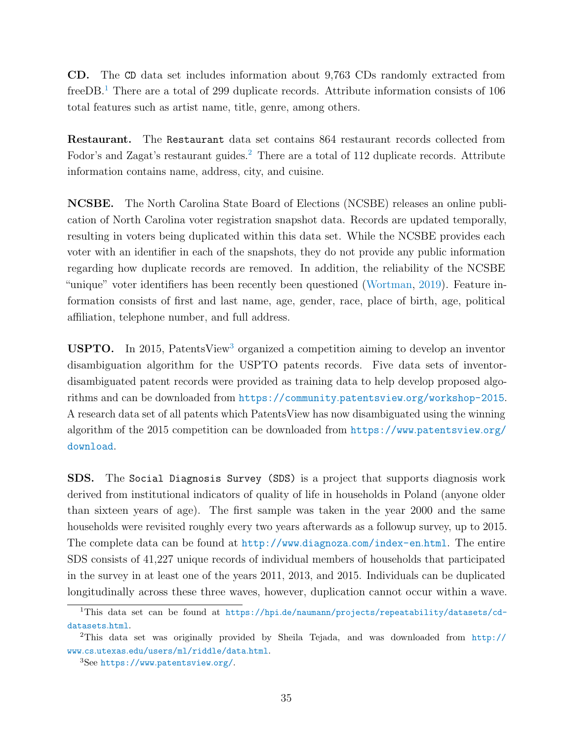CD. The CD data set includes information about 9,763 CDs randomly extracted from freeDB.<sup>[1](#page-34-0)</sup> There are a total of 299 duplicate records. Attribute information consists of 106 total features such as artist name, title, genre, among others.

Restaurant. The Restaurant data set contains 864 restaurant records collected from Fodor's and Zagat's restaurant guides.<sup>[2](#page-34-1)</sup> There are a total of 112 duplicate records. Attribute information contains name, address, city, and cuisine.

NCSBE. The North Carolina State Board of Elections (NCSBE) releases an online publication of North Carolina voter registration snapshot data. Records are updated temporally, resulting in voters being duplicated within this data set. While the NCSBE provides each voter with an identifier in each of the snapshots, they do not provide any public information regarding how duplicate records are removed. In addition, the reliability of the NCSBE "unique" voter identifiers has been recently been questioned [\(Wortman,](#page-52-11) [2019\)](#page-52-11). Feature information consists of first and last name, age, gender, race, place of birth, age, political affiliation, telephone number, and full address.

USPTO. In 2015, PatentsView<sup>[3](#page-34-2)</sup> organized a competition aiming to develop an inventor disambiguation algorithm for the USPTO patents records. Five data sets of inventordisambiguated patent records were provided as training data to help develop proposed algorithms and can be downloaded from https://community.patentsview.[org/workshop-2015](https://community.patentsview.org/workshop-2015). A research data set of all patents which PatentsView has now disambiguated using the winning algorithm of the 2015 competition can be downloaded from https://www.[patentsview](https://www.patentsview.org/download).org/ [download](https://www.patentsview.org/download).

SDS. The Social Diagnosis Survey (SDS) is a project that supports diagnosis work derived from institutional indicators of quality of life in households in Poland (anyone older than sixteen years of age). The first sample was taken in the year 2000 and the same households were revisited roughly every two years afterwards as a followup survey, up to 2015. The complete data can be found at http://www.diagnoza.[com/index-en](http://www.diagnoza.com/index-en.html).html. The entire SDS consists of 41,227 unique records of individual members of households that participated in the survey in at least one of the years 2011, 2013, and 2015. Individuals can be duplicated longitudinally across these three waves, however, duplication cannot occur within a wave.

<span id="page-34-0"></span><sup>1</sup>This data set can be found at https://hpi.[de/naumann/projects/repeatability/datasets/cd](https://hpi.de/naumann/projects/repeatability/datasets/cd-datasets.html)[datasets](https://hpi.de/naumann/projects/repeatability/datasets/cd-datasets.html).html.

<span id="page-34-1"></span><sup>2</sup>This data set was originally provided by Sheila Tejada, and was downloaded from [http://](http://www.cs.utexas.edu/users/ml/riddle/data.html) www.cs.utexas.[edu/users/ml/riddle/data](http://www.cs.utexas.edu/users/ml/riddle/data.html).html.

<span id="page-34-2"></span><sup>3</sup>See [https://www](https://www.patentsview.org/).patentsview.org/.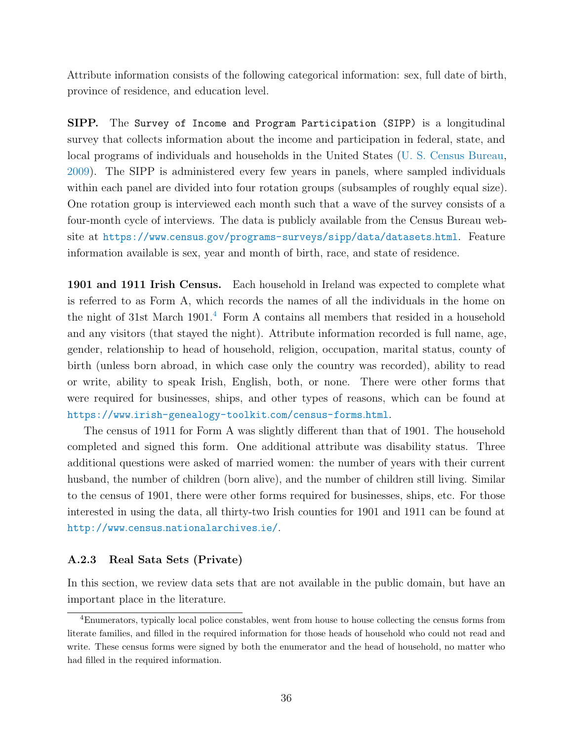Attribute information consists of the following categorical information: sex, full date of birth, province of residence, and education level.

SIPP. The Survey of Income and Program Participation (SIPP) is a longitudinal survey that collects information about the income and participation in federal, state, and local programs of individuals and households in the United States [\(U. S. Census Bureau,](#page-51-11) [2009\)](#page-51-11). The SIPP is administered every few years in panels, where sampled individuals within each panel are divided into four rotation groups (subsamples of roughly equal size). One rotation group is interviewed each month such that a wave of the survey consists of a four-month cycle of interviews. The data is publicly available from the Census Bureau website at https://www.census.[gov/programs-surveys/sipp/data/datasets](https://www.census.gov/programs-surveys/sipp/data/datasets.html).html. Feature information available is sex, year and month of birth, race, and state of residence.

1901 and 1911 Irish Census. Each household in Ireland was expected to complete what is referred to as Form A, which records the names of all the individuals in the home on the night of 31st March  $1901<sup>4</sup>$  $1901<sup>4</sup>$  $1901<sup>4</sup>$  Form A contains all members that resided in a household and any visitors (that stayed the night). Attribute information recorded is full name, age, gender, relationship to head of household, religion, occupation, marital status, county of birth (unless born abroad, in which case only the country was recorded), ability to read or write, ability to speak Irish, English, both, or none. There were other forms that were required for businesses, ships, and other types of reasons, which can be found at https://www.[irish-genealogy-toolkit](https://www.irish-genealogy-toolkit.com/census-forms.html).com/census-forms.html.

The census of 1911 for Form A was slightly different than that of 1901. The household completed and signed this form. One additional attribute was disability status. Three additional questions were asked of married women: the number of years with their current husband, the number of children (born alive), and the number of children still living. Similar to the census of 1901, there were other forms required for businesses, ships, etc. For those interested in using the data, all thirty-two Irish counties for 1901 and 1911 can be found at http://www.census.[nationalarchives](http://www.census.nationalarchives.ie/).ie/.

#### A.2.3 Real Sata Sets (Private)

In this section, we review data sets that are not available in the public domain, but have an important place in the literature.

<span id="page-35-0"></span><sup>4</sup>Enumerators, typically local police constables, went from house to house collecting the census forms from literate families, and filled in the required information for those heads of household who could not read and write. These census forms were signed by both the enumerator and the head of household, no matter who had filled in the required information.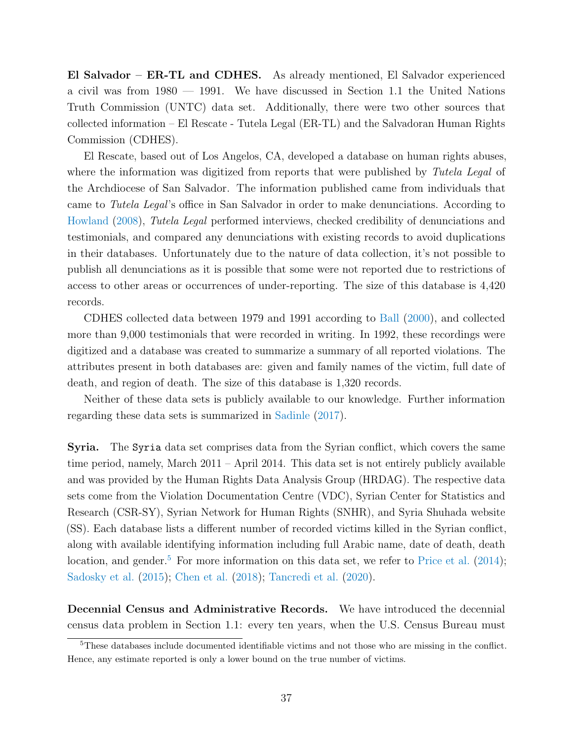El Salvador – ER-TL and CDHES. As already mentioned, El Salvador experienced a civil was from 1980 — 1991. We have discussed in Section 1.1 the United Nations Truth Commission (UNTC) data set. Additionally, there were two other sources that collected information – El Rescate - Tutela Legal (ER-TL) and the Salvadoran Human Rights Commission (CDHES).

El Rescate, based out of Los Angelos, CA, developed a database on human rights abuses, where the information was digitized from reports that were published by Tutela Legal of the Archdiocese of San Salvador. The information published came from individuals that came to Tutela Legal's office in San Salvador in order to make denunciations. According to [Howland](#page-45-12) [\(2008\)](#page-45-12), Tutela Legal performed interviews, checked credibility of denunciations and testimonials, and compared any denunciations with existing records to avoid duplications in their databases. Unfortunately due to the nature of data collection, it's not possible to publish all denunciations as it is possible that some were not reported due to restrictions of access to other areas or occurrences of under-reporting. The size of this database is 4,420 records.

CDHES collected data between 1979 and 1991 according to [Ball](#page-39-9) [\(2000\)](#page-39-9), and collected more than 9,000 testimonials that were recorded in writing. In 1992, these recordings were digitized and a database was created to summarize a summary of all reported violations. The attributes present in both databases are: given and family names of the victim, full date of death, and region of death. The size of this database is 1,320 records.

Neither of these data sets is publicly available to our knowledge. Further information regarding these data sets is summarized in [Sadinle](#page-48-2) [\(2017\)](#page-48-2).

Syria. The Syria data set comprises data from the Syrian conflict, which covers the same time period, namely, March 2011 – April 2014. This data set is not entirely publicly available and was provided by the Human Rights Data Analysis Group (HRDAG). The respective data sets come from the Violation Documentation Centre (VDC), Syrian Center for Statistics and Research (CSR-SY), Syrian Network for Human Rights (SNHR), and Syria Shuhada website (SS). Each database lists a different number of recorded victims killed in the Syrian conflict, along with available identifying information including full Arabic name, date of death, death location, and gender.<sup>[5](#page-36-0)</sup> For more information on this data set, we refer to [Price et al.](#page-48-12)  $(2014)$ ; [Sadosky et al.](#page-49-2) [\(2015\)](#page-49-2); [Chen et al.](#page-40-2) [\(2018\)](#page-40-2); [Tancredi et al.](#page-50-11) [\(2020\)](#page-50-11).

Decennial Census and Administrative Records. We have introduced the decennial census data problem in Section 1.1: every ten years, when the U.S. Census Bureau must

<span id="page-36-0"></span><sup>5</sup>These databases include documented identifiable victims and not those who are missing in the conflict. Hence, any estimate reported is only a lower bound on the true number of victims.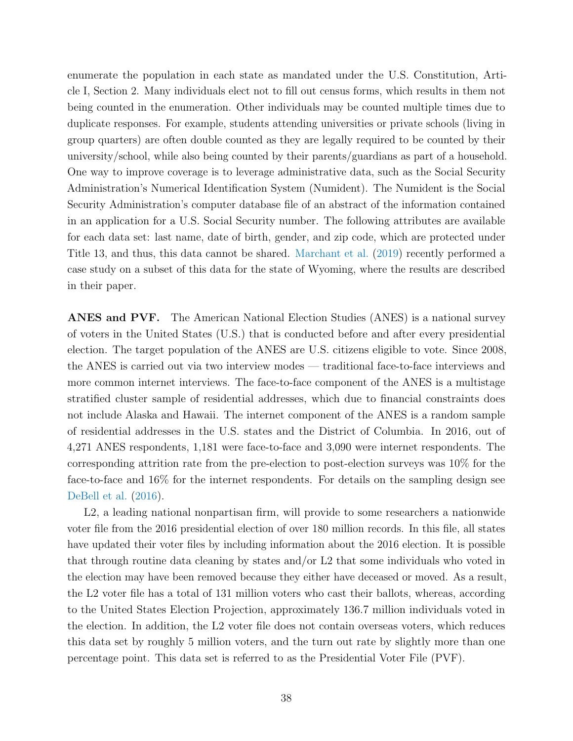enumerate the population in each state as mandated under the U.S. Constitution, Article I, Section 2. Many individuals elect not to fill out census forms, which results in them not being counted in the enumeration. Other individuals may be counted multiple times due to duplicate responses. For example, students attending universities or private schools (living in group quarters) are often double counted as they are legally required to be counted by their university/school, while also being counted by their parents/guardians as part of a household. One way to improve coverage is to leverage administrative data, such as the Social Security Administration's Numerical Identification System (Numident). The Numident is the Social Security Administration's computer database file of an abstract of the information contained in an application for a U.S. Social Security number. The following attributes are available for each data set: last name, date of birth, gender, and zip code, which are protected under Title 13, and thus, this data cannot be shared. [Marchant et al.](#page-46-1) [\(2019\)](#page-46-1) recently performed a case study on a subset of this data for the state of Wyoming, where the results are described in their paper.

ANES and PVF. The American National Election Studies (ANES) is a national survey of voters in the United States (U.S.) that is conducted before and after every presidential election. The target population of the ANES are U.S. citizens eligible to vote. Since 2008, the ANES is carried out via two interview modes — traditional face-to-face interviews and more common internet interviews. The face-to-face component of the ANES is a multistage stratified cluster sample of residential addresses, which due to financial constraints does not include Alaska and Hawaii. The internet component of the ANES is a random sample of residential addresses in the U.S. states and the District of Columbia. In 2016, out of 4,271 ANES respondents, 1,181 were face-to-face and 3,090 were internet respondents. The corresponding attrition rate from the pre-election to post-election surveys was 10% for the face-to-face and 16% for the internet respondents. For details on the sampling design see [DeBell et al.](#page-42-11)  $(2016)$ .

L2, a leading national nonpartisan firm, will provide to some researchers a nationwide voter file from the 2016 presidential election of over 180 million records. In this file, all states have updated their voter files by including information about the 2016 election. It is possible that through routine data cleaning by states and/or L2 that some individuals who voted in the election may have been removed because they either have deceased or moved. As a result, the L2 voter file has a total of 131 million voters who cast their ballots, whereas, according to the United States Election Projection, approximately 136.7 million individuals voted in the election. In addition, the L2 voter file does not contain overseas voters, which reduces this data set by roughly 5 million voters, and the turn out rate by slightly more than one percentage point. This data set is referred to as the Presidential Voter File (PVF).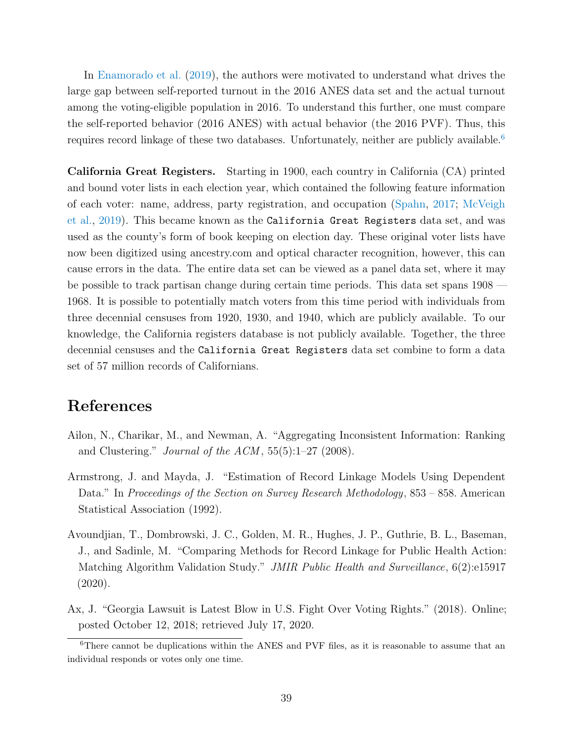In [Enamorado et al.](#page-43-3) [\(2019\)](#page-43-3), the authors were motivated to understand what drives the large gap between self-reported turnout in the 2016 ANES data set and the actual turnout among the voting-eligible population in 2016. To understand this further, one must compare the self-reported behavior (2016 ANES) with actual behavior (the 2016 PVF). Thus, this requires record linkage of these two databases. Unfortunately, neither are publicly available.<sup>[6](#page-38-4)</sup>

California Great Registers. Starting in 1900, each country in California (CA) printed and bound voter lists in each election year, which contained the following feature information of each voter: name, address, party registration, and occupation [\(Spahn,](#page-49-11) [2017;](#page-49-11) [McVeigh](#page-46-5) [et al.,](#page-46-5) [2019\)](#page-46-5). This became known as the California Great Registers data set, and was used as the county's form of book keeping on election day. These original voter lists have now been digitized using ancestry.com and optical character recognition, however, this can cause errors in the data. The entire data set can be viewed as a panel data set, where it may be possible to track partisan change during certain time periods. This data set spans 1908 — 1968. It is possible to potentially match voters from this time period with individuals from three decennial censuses from 1920, 1930, and 1940, which are publicly available. To our knowledge, the California registers database is not publicly available. Together, the three decennial censuses and the California Great Registers data set combine to form a data set of 57 million records of Californians.

# References

- <span id="page-38-3"></span>Ailon, N., Charikar, M., and Newman, A. "Aggregating Inconsistent Information: Ranking and Clustering." *Journal of the ACM*,  $55(5):1-27$  (2008).
- <span id="page-38-2"></span>Armstrong, J. and Mayda, J. "Estimation of Record Linkage Models Using Dependent Data." In Proceedings of the Section on Survey Research Methodology, 853 – 858. American Statistical Association (1992).
- <span id="page-38-1"></span>Avoundjian, T., Dombrowski, J. C., Golden, M. R., Hughes, J. P., Guthrie, B. L., Baseman, J., and Sadinle, M. "Comparing Methods for Record Linkage for Public Health Action: Matching Algorithm Validation Study." JMIR Public Health and Surveillance, 6(2):e15917 (2020).
- <span id="page-38-0"></span>Ax, J. "Georgia Lawsuit is Latest Blow in U.S. Fight Over Voting Rights." (2018). Online; posted October 12, 2018; retrieved July 17, 2020.

<span id="page-38-4"></span><sup>6</sup>There cannot be duplications within the ANES and PVF files, as it is reasonable to assume that an individual responds or votes only one time.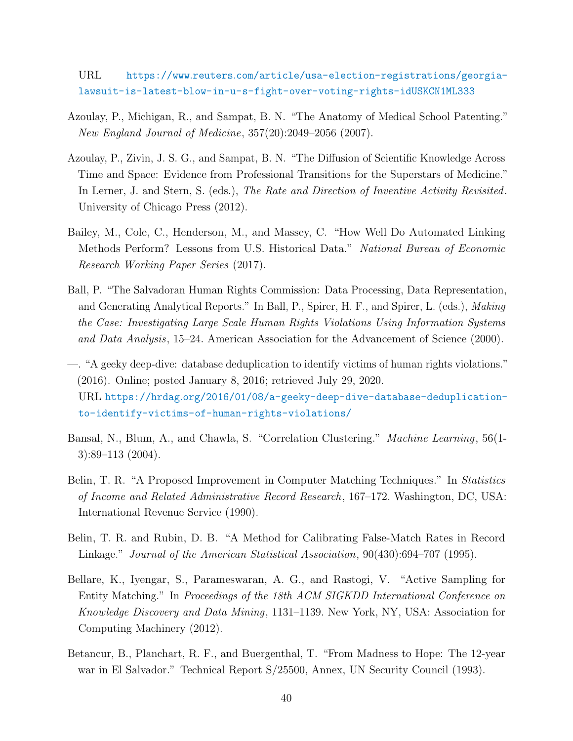URL https://www.reuters.[com/article/usa-election-registrations/georgia](https://www.reuters.com/article/usa-election-registrations/georgia-lawsuit-is-latest-blow-in-u-s-fight-over-voting-rights-idUSKCN1ML333)[lawsuit-is-latest-blow-in-u-s-fight-over-voting-rights-idUSKCN1ML333](https://www.reuters.com/article/usa-election-registrations/georgia-lawsuit-is-latest-blow-in-u-s-fight-over-voting-rights-idUSKCN1ML333)

- <span id="page-39-7"></span>Azoulay, P., Michigan, R., and Sampat, B. N. "The Anatomy of Medical School Patenting." New England Journal of Medicine, 357(20):2049–2056 (2007).
- <span id="page-39-5"></span>Azoulay, P., Zivin, J. S. G., and Sampat, B. N. "The Diffusion of Scientific Knowledge Across Time and Space: Evidence from Professional Transitions for the Superstars of Medicine." In Lerner, J. and Stern, S. (eds.), The Rate and Direction of Inventive Activity Revisited. University of Chicago Press (2012).
- <span id="page-39-6"></span>Bailey, M., Cole, C., Henderson, M., and Massey, C. "How Well Do Automated Linking Methods Perform? Lessons from U.S. Historical Data." National Bureau of Economic Research Working Paper Series (2017).
- <span id="page-39-9"></span>Ball, P. "The Salvadoran Human Rights Commission: Data Processing, Data Representation, and Generating Analytical Reports." In Ball, P., Spirer, H. F., and Spirer, L. (eds.), *Making* the Case: Investigating Large Scale Human Rights Violations Using Information Systems and Data Analysis, 15–24. American Association for the Advancement of Science (2000).
- <span id="page-39-0"></span>—. "A geeky deep-dive: database deduplication to identify victims of human rights violations." (2016). Online; posted January 8, 2016; retrieved July 29, 2020. URL https://hrdag.[org/2016/01/08/a-geeky-deep-dive-database-deduplication](https://hrdag.org/2016/01/08/a-geeky-deep-dive-database-deduplication-to-identify-victims-of-human-rights-violations/)[to-identify-victims-of-human-rights-violations/](https://hrdag.org/2016/01/08/a-geeky-deep-dive-database-deduplication-to-identify-victims-of-human-rights-violations/)
- <span id="page-39-8"></span>Bansal, N., Blum, A., and Chawla, S. "Correlation Clustering." Machine Learning, 56(1- 3):89–113 (2004).
- <span id="page-39-3"></span>Belin, T. R. "A Proposed Improvement in Computer Matching Techniques." In Statistics of Income and Related Administrative Record Research, 167–172. Washington, DC, USA: International Revenue Service (1990).
- <span id="page-39-2"></span>Belin, T. R. and Rubin, D. B. "A Method for Calibrating False-Match Rates in Record Linkage." Journal of the American Statistical Association, 90(430):694–707 (1995).
- <span id="page-39-4"></span>Bellare, K., Iyengar, S., Parameswaran, A. G., and Rastogi, V. "Active Sampling for Entity Matching." In Proceedings of the 18th ACM SIGKDD International Conference on Knowledge Discovery and Data Mining, 1131–1139. New York, NY, USA: Association for Computing Machinery (2012).
- <span id="page-39-1"></span>Betancur, B., Planchart, R. F., and Buergenthal, T. "From Madness to Hope: The 12-year war in El Salvador." Technical Report S/25500, Annex, UN Security Council (1993).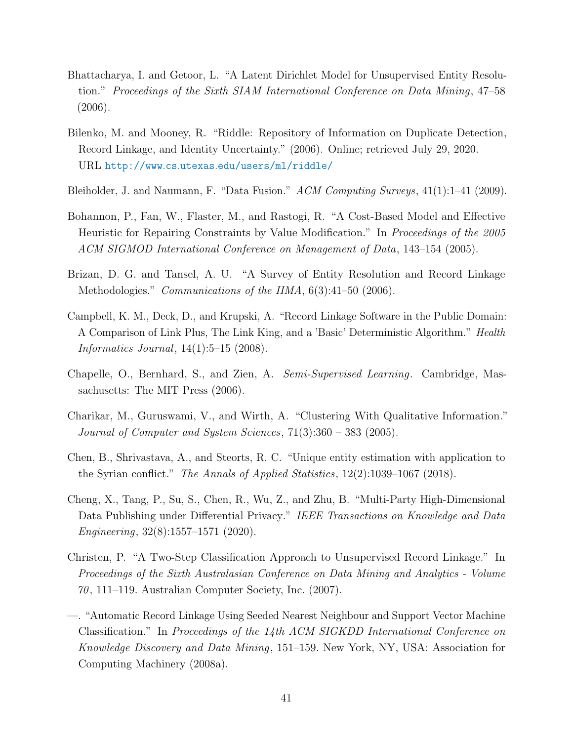- <span id="page-40-7"></span>Bhattacharya, I. and Getoor, L. "A Latent Dirichlet Model for Unsupervised Entity Resolution." Proceedings of the Sixth SIAM International Conference on Data Mining, 47–58 (2006).
- <span id="page-40-11"></span>Bilenko, M. and Mooney, R. "Riddle: Repository of Information on Duplicate Detection, Record Linkage, and Identity Uncertainty." (2006). Online; retrieved July 29, 2020. URL http://www.cs.utexas.[edu/users/ml/riddle/](http://www.cs.utexas.edu/users/ml/riddle/)
- <span id="page-40-8"></span>Bleiholder, J. and Naumann, F. "Data Fusion." ACM Computing Surveys, 41(1):1–41 (2009).
- <span id="page-40-9"></span>Bohannon, P., Fan, W., Flaster, M., and Rastogi, R. "A Cost-Based Model and Effective Heuristic for Repairing Constraints by Value Modification." In Proceedings of the 2005 ACM SIGMOD International Conference on Management of Data, 143–154 (2005).
- <span id="page-40-0"></span>Brizan, D. G. and Tansel, A. U. "A Survey of Entity Resolution and Record Linkage Methodologies." Communications of the IIMA, 6(3):41–50 (2006).
- <span id="page-40-1"></span>Campbell, K. M., Deck, D., and Krupski, A. "Record Linkage Software in the Public Domain: A Comparison of Link Plus, The Link King, and a 'Basic' Deterministic Algorithm." Health *Informatics Journal*,  $14(1):5-15(2008)$ .
- <span id="page-40-3"></span>Chapelle, O., Bernhard, S., and Zien, A. Semi-Supervised Learning. Cambridge, Massachusetts: The MIT Press (2006).
- <span id="page-40-6"></span>Charikar, M., Guruswami, V., and Wirth, A. "Clustering With Qualitative Information." Journal of Computer and System Sciences, 71(3):360 – 383 (2005).
- <span id="page-40-2"></span>Chen, B., Shrivastava, A., and Steorts, R. C. "Unique entity estimation with application to the Syrian conflict." The Annals of Applied Statistics, 12(2):1039–1067 (2018).
- <span id="page-40-10"></span>Cheng, X., Tang, P., Su, S., Chen, R., Wu, Z., and Zhu, B. "Multi-Party High-Dimensional Data Publishing under Differential Privacy." IEEE Transactions on Knowledge and Data Engineering, 32(8):1557–1571 (2020).
- <span id="page-40-4"></span>Christen, P. "A Two-Step Classification Approach to Unsupervised Record Linkage." In Proceedings of the Sixth Australasian Conference on Data Mining and Analytics - Volume  $70, 111-119$ . Australian Computer Society, Inc.  $(2007)$ .
- <span id="page-40-5"></span>—. "Automatic Record Linkage Using Seeded Nearest Neighbour and Support Vector Machine Classification." In Proceedings of the 14th ACM SIGKDD International Conference on Knowledge Discovery and Data Mining, 151–159. New York, NY, USA: Association for Computing Machinery (2008a).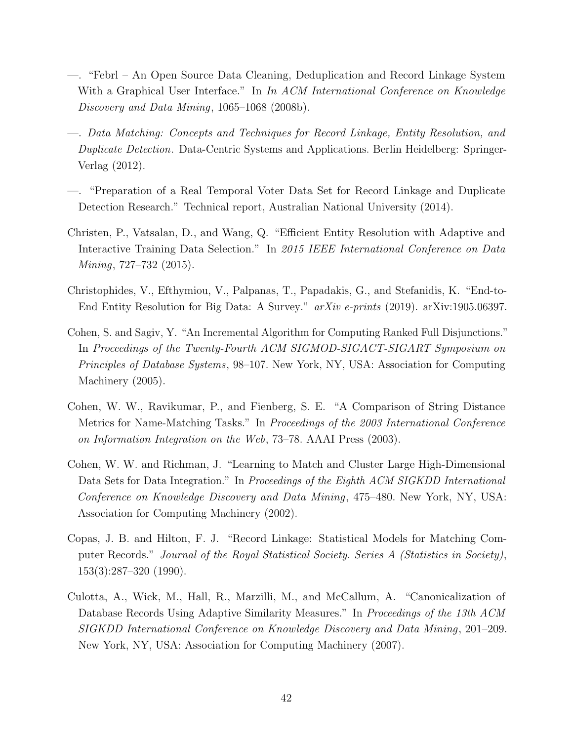- <span id="page-41-9"></span>—. "Febrl – An Open Source Data Cleaning, Deduplication and Record Linkage System With a Graphical User Interface." In In ACM International Conference on Knowledge Discovery and Data Mining, 1065–1068 (2008b).
- <span id="page-41-0"></span>—. Data Matching: Concepts and Techniques for Record Linkage, Entity Resolution, and Duplicate Detection. Data-Centric Systems and Applications. Berlin Heidelberg: Springer-Verlag (2012).
- <span id="page-41-2"></span>—. "Preparation of a Real Temporal Voter Data Set for Record Linkage and Duplicate Detection Research." Technical report, Australian National University (2014).
- <span id="page-41-4"></span>Christen, P., Vatsalan, D., and Wang, Q. "Efficient Entity Resolution with Adaptive and Interactive Training Data Selection." In 2015 IEEE International Conference on Data Mining, 727–732 (2015).
- <span id="page-41-1"></span>Christophides, V., Efthymiou, V., Palpanas, T., Papadakis, G., and Stefanidis, K. "End-to-End Entity Resolution for Big Data: A Survey." arXiv e-prints (2019). arXiv:1905.06397.
- <span id="page-41-7"></span>Cohen, S. and Sagiv, Y. "An Incremental Algorithm for Computing Ranked Full Disjunctions." In Proceedings of the Twenty-Fourth ACM SIGMOD-SIGACT-SIGART Symposium on Principles of Database Systems, 98–107. New York, NY, USA: Association for Computing Machinery  $(2005)$ .
- <span id="page-41-3"></span>Cohen, W. W., Ravikumar, P., and Fienberg, S. E. "A Comparison of String Distance Metrics for Name-Matching Tasks." In Proceedings of the 2003 International Conference on Information Integration on the Web, 73–78. AAAI Press (2003).
- <span id="page-41-5"></span>Cohen, W. W. and Richman, J. "Learning to Match and Cluster Large High-Dimensional Data Sets for Data Integration." In Proceedings of the Eighth ACM SIGKDD International Conference on Knowledge Discovery and Data Mining, 475–480. New York, NY, USA: Association for Computing Machinery (2002).
- <span id="page-41-6"></span>Copas, J. B. and Hilton, F. J. "Record Linkage: Statistical Models for Matching Computer Records." Journal of the Royal Statistical Society. Series A (Statistics in Society), 153(3):287–320 (1990).
- <span id="page-41-8"></span>Culotta, A., Wick, M., Hall, R., Marzilli, M., and McCallum, A. "Canonicalization of Database Records Using Adaptive Similarity Measures." In Proceedings of the 13th ACM SIGKDD International Conference on Knowledge Discovery and Data Mining, 201–209. New York, NY, USA: Association for Computing Machinery (2007).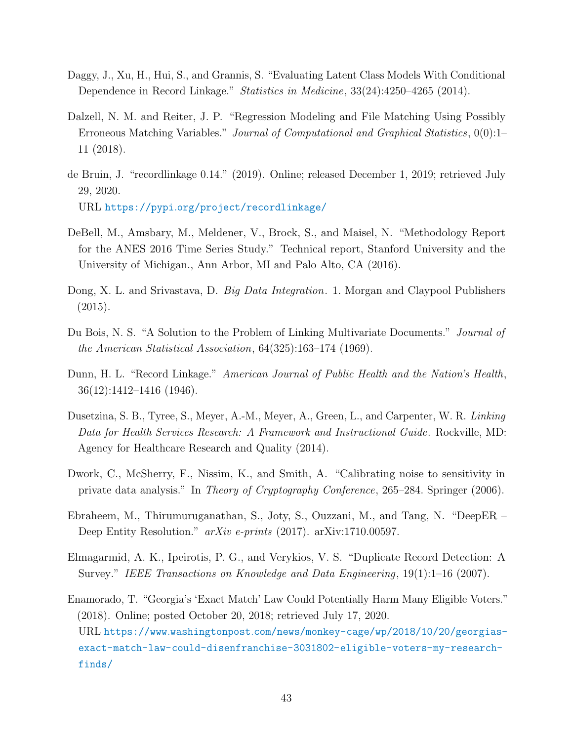- <span id="page-42-6"></span>Daggy, J., Xu, H., Hui, S., and Grannis, S. "Evaluating Latent Class Models With Conditional Dependence in Record Linkage." Statistics in Medicine, 33(24):4250–4265 (2014).
- <span id="page-42-8"></span>Dalzell, N. M. and Reiter, J. P. "Regression Modeling and File Matching Using Possibly Erroneous Matching Variables." Journal of Computational and Graphical Statistics,  $0(0)$ :1– 11 (2018).
- <span id="page-42-10"></span>de Bruin, J. "recordlinkage 0.14." (2019). Online; released December 1, 2019; retrieved July 29, 2020. URL https://pypi.[org/project/recordlinkage/](https://pypi.org/project/recordlinkage/)
- <span id="page-42-11"></span>DeBell, M., Amsbary, M., Meldener, V., Brock, S., and Maisel, N. "Methodology Report for the ANES 2016 Time Series Study." Technical report, Stanford University and the University of Michigan., Ann Arbor, MI and Palo Alto, CA (2016).
- <span id="page-42-1"></span>Dong, X. L. and Srivastava, D. *Big Data Integration*. 1. Morgan and Claypool Publishers (2015).
- <span id="page-42-5"></span>Du Bois, N. S. "A Solution to the Problem of Linking Multivariate Documents." *Journal of* the American Statistical Association, 64(325):163–174 (1969).
- <span id="page-42-4"></span>Dunn, H. L. "Record Linkage." American Journal of Public Health and the Nation's Health, 36(12):1412–1416 (1946).
- <span id="page-42-3"></span>Dusetzina, S. B., Tyree, S., Meyer, A.-M., Meyer, A., Green, L., and Carpenter, W. R. Linking Data for Health Services Research: A Framework and Instructional Guide. Rockville, MD: Agency for Healthcare Research and Quality (2014).
- <span id="page-42-9"></span>Dwork, C., McSherry, F., Nissim, K., and Smith, A. "Calibrating noise to sensitivity in private data analysis." In Theory of Cryptography Conference, 265–284. Springer (2006).
- <span id="page-42-7"></span>Ebraheem, M., Thirumuruganathan, S., Joty, S., Ouzzani, M., and Tang, N. "DeepER – Deep Entity Resolution." arXiv e-prints (2017). arXiv:1710.00597.
- <span id="page-42-0"></span>Elmagarmid, A. K., Ipeirotis, P. G., and Verykios, V. S. "Duplicate Record Detection: A Survey." IEEE Transactions on Knowledge and Data Engineering, 19(1):1–16 (2007).
- <span id="page-42-2"></span>Enamorado, T. "Georgia's 'Exact Match' Law Could Potentially Harm Many Eligible Voters." (2018). Online; posted October 20, 2018; retrieved July 17, 2020. URL https://www.washingtonpost.[com/news/monkey-cage/wp/2018/10/20/georgias](https://www.washingtonpost.com/news/monkey-cage/wp/2018/10/20/georgias-exact-match-law-could-disenfranchise-3031802-eligible-voters-my-research-finds/)[exact-match-law-could-disenfranchise-3031802-eligible-voters-my-research](https://www.washingtonpost.com/news/monkey-cage/wp/2018/10/20/georgias-exact-match-law-could-disenfranchise-3031802-eligible-voters-my-research-finds/)[finds/](https://www.washingtonpost.com/news/monkey-cage/wp/2018/10/20/georgias-exact-match-law-could-disenfranchise-3031802-eligible-voters-my-research-finds/)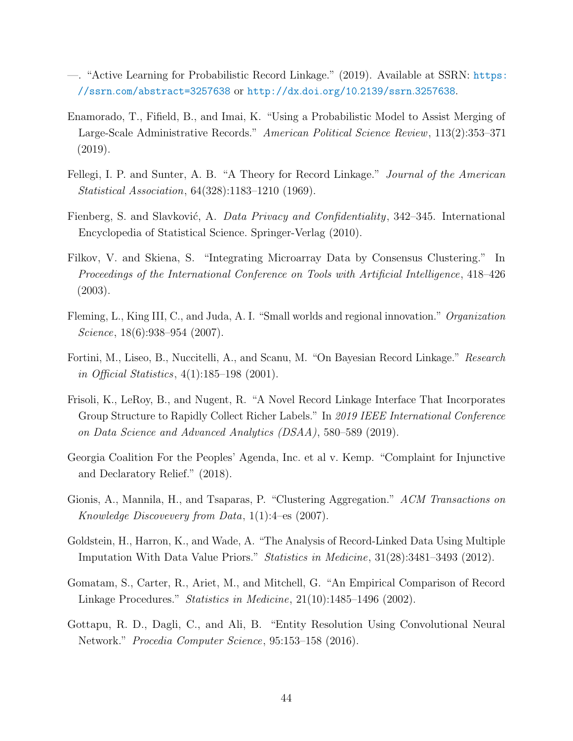- <span id="page-43-5"></span>—. "Active Learning for Probabilistic Record Linkage." (2019). Available at SSRN: [https:](https://ssrn.com/abstract=3257638) //ssrn.[com/abstract=3257638](https://ssrn.com/abstract=3257638) or [http://dx](http://dx.doi.org/10.2139/ssrn.3257638).doi.org/10.2139/ssrn.3257638.
- <span id="page-43-3"></span>Enamorado, T., Fifield, B., and Imai, K. "Using a Probabilistic Model to Assist Merging of Large-Scale Administrative Records." American Political Science Review, 113(2):353–371 (2019).
- <span id="page-43-2"></span>Fellegi, I. P. and Sunter, A. B. "A Theory for Record Linkage." *Journal of the American* Statistical Association, 64(328):1183–1210 (1969).
- <span id="page-43-12"></span>Fienberg, S. and Slavković, A. Data Privacy and Confidentiality, 342–345. International Encyclopedia of Statistical Science. Springer-Verlag (2010).
- <span id="page-43-9"></span>Filkov, V. and Skiena, S. "Integrating Microarray Data by Consensus Clustering." In Proceedings of the International Conference on Tools with Artificial Intelligence, 418–426 (2003).
- <span id="page-43-8"></span>Fleming, L., King III, C., and Juda, A. I. "Small worlds and regional innovation." Organization Science, 18(6):938–954 (2007).
- <span id="page-43-4"></span>Fortini, M., Liseo, B., Nuccitelli, A., and Scanu, M. "On Bayesian Record Linkage." Research in Official Statistics, 4(1):185–198 (2001).
- <span id="page-43-6"></span>Frisoli, K., LeRoy, B., and Nugent, R. "A Novel Record Linkage Interface That Incorporates Group Structure to Rapidly Collect Richer Labels." In 2019 IEEE International Conference on Data Science and Advanced Analytics (DSAA), 580–589 (2019).
- <span id="page-43-0"></span>Georgia Coalition For the Peoples' Agenda, Inc. et al v. Kemp. "Complaint for Injunctive and Declaratory Relief." (2018).
- <span id="page-43-10"></span>Gionis, A., Mannila, H., and Tsaparas, P. "Clustering Aggregation." ACM Transactions on Knowledge Discovevery from Data, 1(1):4–es (2007).
- <span id="page-43-11"></span>Goldstein, H., Harron, K., and Wade, A. "The Analysis of Record-Linked Data Using Multiple Imputation With Data Value Priors." Statistics in Medicine, 31(28):3481–3493 (2012).
- <span id="page-43-1"></span>Gomatam, S., Carter, R., Ariet, M., and Mitchell, G. "An Empirical Comparison of Record Linkage Procedures." Statistics in Medicine, 21(10):1485–1496 (2002).
- <span id="page-43-7"></span>Gottapu, R. D., Dagli, C., and Ali, B. "Entity Resolution Using Convolutional Neural Network." Procedia Computer Science, 95:153–158 (2016).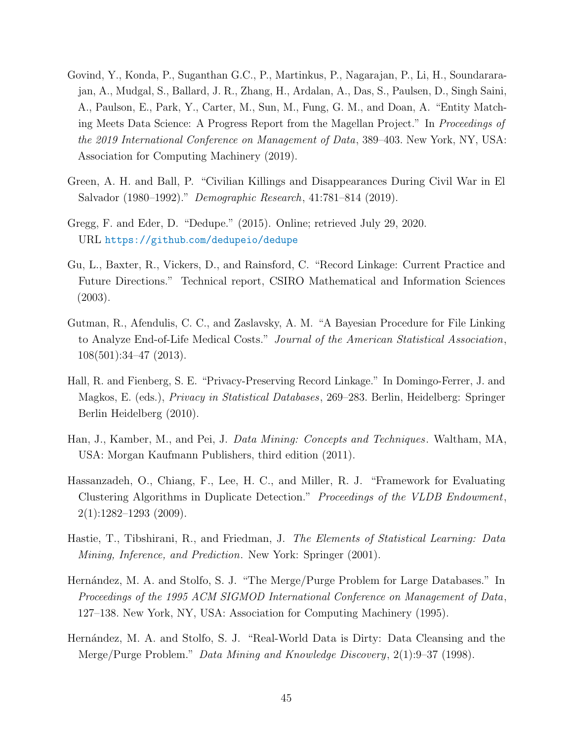- <span id="page-44-10"></span>Govind, Y., Konda, P., Suganthan G.C., P., Martinkus, P., Nagarajan, P., Li, H., Soundararajan, A., Mudgal, S., Ballard, J. R., Zhang, H., Ardalan, A., Das, S., Paulsen, D., Singh Saini, A., Paulson, E., Park, Y., Carter, M., Sun, M., Fung, G. M., and Doan, A. "Entity Matching Meets Data Science: A Progress Report from the Magellan Project." In Proceedings of the 2019 International Conference on Management of Data, 389–403. New York, NY, USA: Association for Computing Machinery (2019).
- <span id="page-44-1"></span>Green, A. H. and Ball, P. "Civilian Killings and Disappearances During Civil War in El Salvador (1980–1992)." Demographic Research, 41:781–814 (2019).
- <span id="page-44-9"></span>Gregg, F. and Eder, D. "Dedupe." (2015). Online; retrieved July 29, 2020. URL https://github.[com/dedupeio/dedupe](https://github.com/dedupeio/dedupe)
- <span id="page-44-0"></span>Gu, L., Baxter, R., Vickers, D., and Rainsford, C. "Record Linkage: Current Practice and Future Directions." Technical report, CSIRO Mathematical and Information Sciences (2003).
- <span id="page-44-7"></span>Gutman, R., Afendulis, C. C., and Zaslavsky, A. M. "A Bayesian Procedure for File Linking to Analyze End-of-Life Medical Costs." Journal of the American Statistical Association, 108(501):34–47 (2013).
- <span id="page-44-8"></span>Hall, R. and Fienberg, S. E. "Privacy-Preserving Record Linkage." In Domingo-Ferrer, J. and Magkos, E. (eds.), Privacy in Statistical Databases, 269–283. Berlin, Heidelberg: Springer Berlin Heidelberg (2010).
- <span id="page-44-4"></span>Han, J., Kamber, M., and Pei, J. Data Mining: Concepts and Techniques. Waltham, MA, USA: Morgan Kaufmann Publishers, third edition (2011).
- <span id="page-44-3"></span>Hassanzadeh, O., Chiang, F., Lee, H. C., and Miller, R. J. "Framework for Evaluating Clustering Algorithms in Duplicate Detection." Proceedings of the VLDB Endowment, 2(1):1282–1293 (2009).
- <span id="page-44-2"></span>Hastie, T., Tibshirani, R., and Friedman, J. The Elements of Statistical Learning: Data Mining, Inference, and Prediction. New York: Springer (2001).
- <span id="page-44-5"></span>Hernández, M. A. and Stolfo, S. J. "The Merge/Purge Problem for Large Databases." In Proceedings of the 1995 ACM SIGMOD International Conference on Management of Data, 127–138. New York, NY, USA: Association for Computing Machinery (1995).
- <span id="page-44-6"></span>Hernández, M. A. and Stolfo, S. J. "Real-World Data is Dirty: Data Cleansing and the Merge/Purge Problem." Data Mining and Knowledge Discovery, 2(1):9–37 (1998).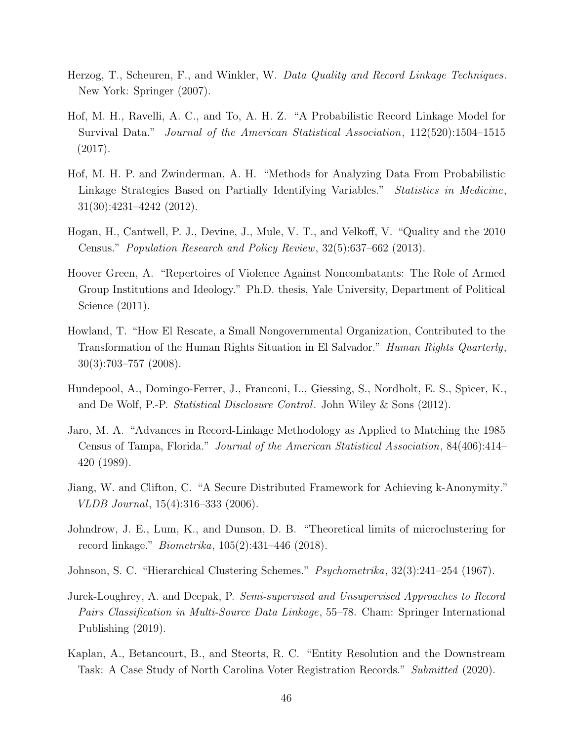- <span id="page-45-0"></span>Herzog, T., Scheuren, F., and Winkler, W. Data Quality and Record Linkage Techniques. New York: Springer (2007).
- <span id="page-45-8"></span>Hof, M. H., Ravelli, A. C., and To, A. H. Z. "A Probabilistic Record Linkage Model for Survival Data." Journal of the American Statistical Association, 112(520):1504–1515 (2017).
- <span id="page-45-9"></span>Hof, M. H. P. and Zwinderman, A. H. "Methods for Analyzing Data From Probabilistic Linkage Strategies Based on Partially Identifying Variables." Statistics in Medicine, 31(30):4231–4242 (2012).
- <span id="page-45-3"></span>Hogan, H., Cantwell, P. J., Devine, J., Mule, V. T., and Velkoff, V. "Quality and the 2010 Census." Population Research and Policy Review, 32(5):637–662 (2013).
- <span id="page-45-4"></span>Hoover Green, A. "Repertoires of Violence Against Noncombatants: The Role of Armed Group Institutions and Ideology." Ph.D. thesis, Yale University, Department of Political Science (2011).
- <span id="page-45-12"></span>Howland, T. "How El Rescate, a Small Nongovernmental Organization, Contributed to the Transformation of the Human Rights Situation in El Salvador." Human Rights Quarterly, 30(3):703–757 (2008).
- <span id="page-45-10"></span>Hundepool, A., Domingo-Ferrer, J., Franconi, L., Giessing, S., Nordholt, E. S., Spicer, K., and De Wolf, P.-P. Statistical Disclosure Control. John Wiley & Sons (2012).
- <span id="page-45-2"></span>Jaro, M. A. "Advances in Record-Linkage Methodology as Applied to Matching the 1985 Census of Tampa, Florida." Journal of the American Statistical Association, 84(406):414– 420 (1989).
- <span id="page-45-11"></span>Jiang, W. and Clifton, C. "A Secure Distributed Framework for Achieving k-Anonymity." VLDB Journal, 15(4):316–333 (2006).
- <span id="page-45-7"></span>Johndrow, J. E., Lum, K., and Dunson, D. B. "Theoretical limits of microclustering for record linkage." Biometrika, 105(2):431–446 (2018).
- <span id="page-45-6"></span>Johnson, S. C. "Hierarchical Clustering Schemes." Psychometrika, 32(3):241–254 (1967).
- <span id="page-45-1"></span>Jurek-Loughrey, A. and Deepak, P. Semi-supervised and Unsupervised Approaches to Record Pairs Classification in Multi-Source Data Linkage, 55–78. Cham: Springer International Publishing (2019).
- <span id="page-45-5"></span>Kaplan, A., Betancourt, B., and Steorts, R. C. "Entity Resolution and the Downstream Task: A Case Study of North Carolina Voter Registration Records." Submitted (2020).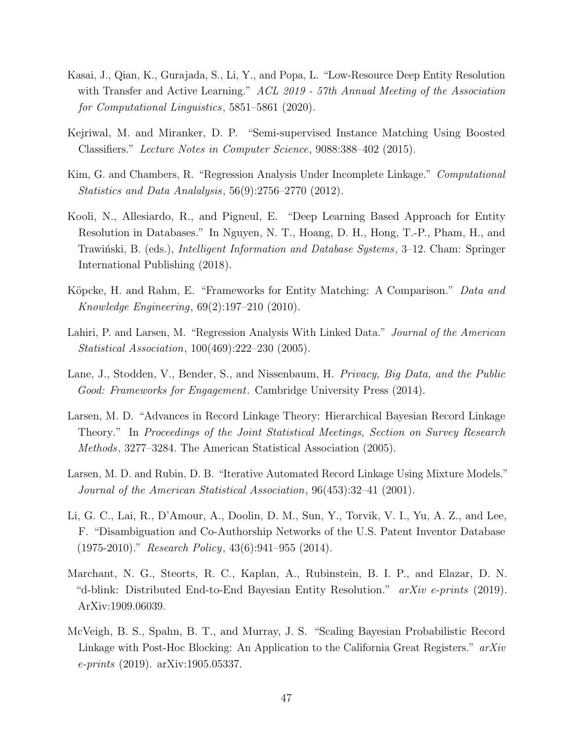- <span id="page-46-8"></span>Kasai, J., Qian, K., Gurajada, S., Li, Y., and Popa, L. "Low-Resource Deep Entity Resolution with Transfer and Active Learning." ACL 2019 - 57th Annual Meeting of the Association for Computational Linguistics, 5851–5861 (2020).
- <span id="page-46-6"></span>Kejriwal, M. and Miranker, D. P. "Semi-supervised Instance Matching Using Boosted Classifiers." Lecture Notes in Computer Science, 9088:388–402 (2015).
- <span id="page-46-9"></span>Kim, G. and Chambers, R. "Regression Analysis Under Incomplete Linkage." Computational Statistics and Data Analalysis, 56(9):2756–2770 (2012).
- <span id="page-46-7"></span>Kooli, N., Allesiardo, R., and Pigneul, E. "Deep Learning Based Approach for Entity Resolution in Databases." In Nguyen, N. T., Hoang, D. H., Hong, T.-P., Pham, H., and Trawinski, B. (eds.), *Intelligent Information and Database Systems*, 3–12. Cham: Springer International Publishing (2018).
- <span id="page-46-11"></span>Köpcke, H. and Rahm, E. "Frameworks for Entity Matching: A Comparison." Data and Knowledge Engineering, 69(2):197–210 (2010).
- <span id="page-46-3"></span>Lahiri, P. and Larsen, M. "Regression Analysis With Linked Data." Journal of the American Statistical Association, 100(469):222–230 (2005).
- <span id="page-46-10"></span>Lane, J., Stodden, V., Bender, S., and Nissenbaum, H. Privacy, Big Data, and the Public Good: Frameworks for Engagement. Cambridge University Press (2014).
- <span id="page-46-4"></span>Larsen, M. D. "Advances in Record Linkage Theory: Hierarchical Bayesian Record Linkage Theory." In Proceedings of the Joint Statistical Meetings, Section on Survey Research Methods, 3277–3284. The American Statistical Association (2005).
- <span id="page-46-0"></span>Larsen, M. D. and Rubin, D. B. "Iterative Automated Record Linkage Using Mixture Models." Journal of the American Statistical Association, 96(453):32–41 (2001).
- <span id="page-46-2"></span>Li, G. C., Lai, R., D'Amour, A., Doolin, D. M., Sun, Y., Torvik, V. I., Yu, A. Z., and Lee, F. "Disambiguation and Co-Authorship Networks of the U.S. Patent Inventor Database  $(1975-2010)$ ." Research Policy, 43(6):941–955 (2014).
- <span id="page-46-1"></span>Marchant, N. G., Steorts, R. C., Kaplan, A., Rubinstein, B. I. P., and Elazar, D. N. "d-blink: Distributed End-to-End Bayesian Entity Resolution."  $arXiv$  e-prints (2019). ArXiv:1909.06039.
- <span id="page-46-5"></span>McVeigh, B. S., Spahn, B. T., and Murray, J. S. "Scaling Bayesian Probabilistic Record Linkage with Post-Hoc Blocking: An Application to the California Great Registers."  $arXiv$ e-prints (2019). arXiv:1905.05337.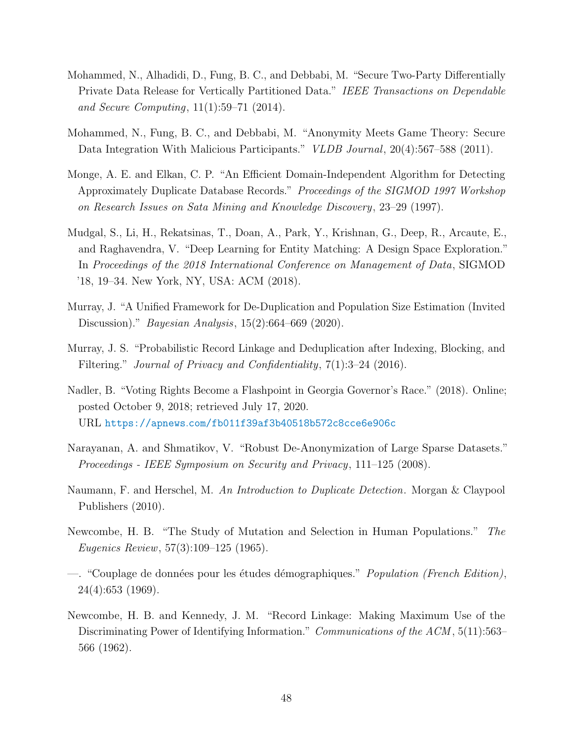- <span id="page-47-11"></span>Mohammed, N., Alhadidi, D., Fung, B. C., and Debbabi, M. "Secure Two-Party Differentially Private Data Release for Vertically Partitioned Data." IEEE Transactions on Dependable and Secure Computing, 11(1):59–71 (2014).
- <span id="page-47-10"></span>Mohammed, N., Fung, B. C., and Debbabi, M. "Anonymity Meets Game Theory: Secure Data Integration With Malicious Participants." *VLDB Journal*, 20(4):567–588 (2011).
- <span id="page-47-6"></span>Monge, A. E. and Elkan, C. P. "An Efficient Domain-Independent Algorithm for Detecting Approximately Duplicate Database Records." Proceedings of the SIGMOD 1997 Workshop on Research Issues on Sata Mining and Knowledge Discovery, 23–29 (1997).
- <span id="page-47-5"></span>Mudgal, S., Li, H., Rekatsinas, T., Doan, A., Park, Y., Krishnan, G., Deep, R., Arcaute, E., and Raghavendra, V. "Deep Learning for Entity Matching: A Design Space Exploration." In Proceedings of the 2018 International Conference on Management of Data, SIGMOD '18, 19–34. New York, NY, USA: ACM (2018).
- <span id="page-47-8"></span>Murray, J. "A Unified Framework for De-Duplication and Population Size Estimation (Invited Discussion)." Bayesian Analysis, 15(2):664–669 (2020).
- <span id="page-47-1"></span>Murray, J. S. "Probabilistic Record Linkage and Deduplication after Indexing, Blocking, and Filtering." Journal of Privacy and Confidentiality, 7(1):3-24 (2016).
- <span id="page-47-0"></span>Nadler, B. "Voting Rights Become a Flashpoint in Georgia Governor's Race." (2018). Online; posted October 9, 2018; retrieved July 17, 2020. URL https://apnews.[com/fb011f39af3b40518b572c8cce6e906c](https://apnews.com/fb011f39af3b40518b572c8cce6e906c)
- <span id="page-47-9"></span>Narayanan, A. and Shmatikov, V. "Robust De-Anonymization of Large Sparse Datasets." Proceedings - IEEE Symposium on Security and Privacy, 111–125 (2008).
- <span id="page-47-7"></span>Naumann, F. and Herschel, M. An Introduction to Duplicate Detection. Morgan & Claypool Publishers (2010).
- <span id="page-47-2"></span>Newcombe, H. B. "The Study of Mutation and Selection in Human Populations." The Eugenics Review, 57(3):109–125 (1965).
- <span id="page-47-3"></span>—. "Couplage de données pour les études démographiques." *Population (French Edition)*, 24(4):653 (1969).
- <span id="page-47-4"></span>Newcombe, H. B. and Kennedy, J. M. "Record Linkage: Making Maximum Use of the Discriminating Power of Identifying Information." Communications of the ACM, 5(11):563– 566 (1962).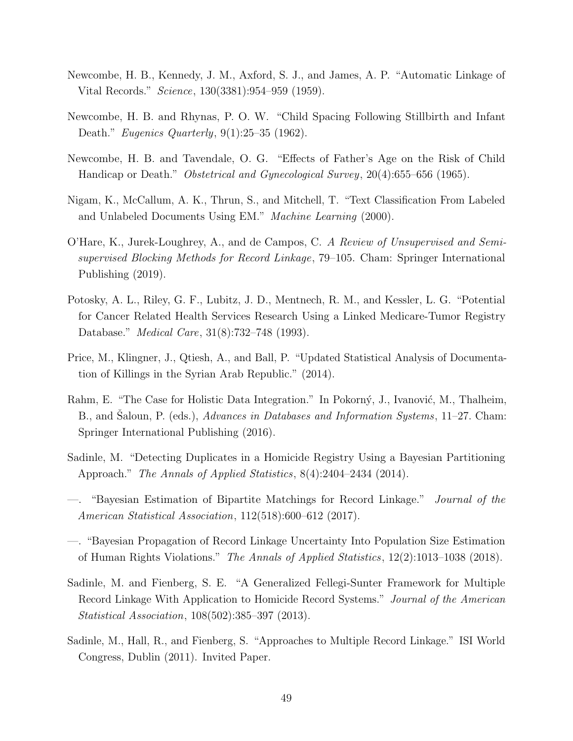- <span id="page-48-0"></span>Newcombe, H. B., Kennedy, J. M., Axford, S. J., and James, A. P. "Automatic Linkage of Vital Records." Science, 130(3381):954–959 (1959).
- <span id="page-48-6"></span>Newcombe, H. B. and Rhynas, P. O. W. "Child Spacing Following Stillbirth and Infant Death." *Eugenics Quarterly*, 9(1):25–35 (1962).
- <span id="page-48-7"></span>Newcombe, H. B. and Tavendale, O. G. "Effects of Father's Age on the Risk of Child Handicap or Death." *Obstetrical and Gynecological Survey*, 20(4):655–656 (1965).
- <span id="page-48-9"></span>Nigam, K., McCallum, A. K., Thrun, S., and Mitchell, T. "Text Classification From Labeled and Unlabeled Documents Using EM." Machine Learning (2000).
- <span id="page-48-4"></span>O'Hare, K., Jurek-Loughrey, A., and de Campos, C. A Review of Unsupervised and Semisupervised Blocking Methods for Record Linkage, 79–105. Cham: Springer International Publishing (2019).
- <span id="page-48-5"></span>Potosky, A. L., Riley, G. F., Lubitz, J. D., Mentnech, R. M., and Kessler, L. G. "Potential for Cancer Related Health Services Research Using a Linked Medicare-Tumor Registry Database." Medical Care, 31(8):732–748 (1993).
- <span id="page-48-12"></span>Price, M., Klingner, J., Qtiesh, A., and Ball, P. "Updated Statistical Analysis of Documentation of Killings in the Syrian Arab Republic." (2014).
- <span id="page-48-11"></span>Rahm, E. "The Case for Holistic Data Integration." In Pokorný, J., Ivanović, M., Thalheim, B., and Saloun, P. (eds.), *Advances in Databases and Information Systems*, 11–27. Cham: Springer International Publishing (2016).
- <span id="page-48-1"></span>Sadinle, M. "Detecting Duplicates in a Homicide Registry Using a Bayesian Partitioning Approach." The Annals of Applied Statistics, 8(4):2404–2434 (2014).
- <span id="page-48-2"></span><sup>"</sup>Bayesian Estimation of Bipartite Matchings for Record Linkage." *Journal of the* American Statistical Association, 112(518):600–612 (2017).
- <span id="page-48-3"></span>—. "Bayesian Propagation of Record Linkage Uncertainty Into Population Size Estimation of Human Rights Violations." The Annals of Applied Statistics, 12(2):1013–1038 (2018).
- <span id="page-48-8"></span>Sadinle, M. and Fienberg, S. E. "A Generalized Fellegi-Sunter Framework for Multiple Record Linkage With Application to Homicide Record Systems." Journal of the American Statistical Association, 108(502):385–397 (2013).
- <span id="page-48-10"></span>Sadinle, M., Hall, R., and Fienberg, S. "Approaches to Multiple Record Linkage." ISI World Congress, Dublin (2011). Invited Paper.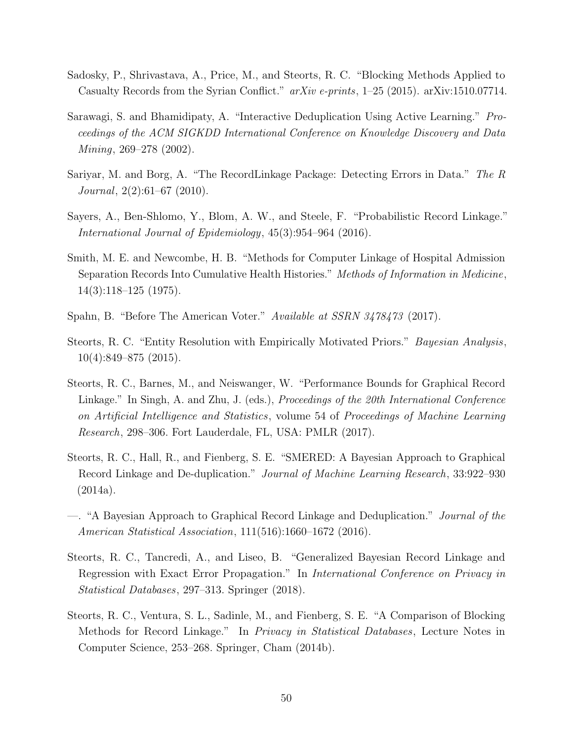- <span id="page-49-2"></span>Sadosky, P., Shrivastava, A., Price, M., and Steorts, R. C. "Blocking Methods Applied to Casualty Records from the Syrian Conflict." arXiv e-prints, 1–25 (2015). arXiv:1510.07714.
- <span id="page-49-4"></span>Sarawagi, S. and Bhamidipaty, A. "Interactive Deduplication Using Active Learning." Proceedings of the ACM SIGKDD International Conference on Knowledge Discovery and Data Mining, 269–278 (2002).
- <span id="page-49-10"></span>Sariyar, M. and Borg, A. "The RecordLinkage Package: Detecting Errors in Data." The R Journal,  $2(2):61-67$  (2010).
- <span id="page-49-0"></span>Sayers, A., Ben-Shlomo, Y., Blom, A. W., and Steele, F. "Probabilistic Record Linkage." International Journal of Epidemiology, 45(3):954–964 (2016).
- <span id="page-49-3"></span>Smith, M. E. and Newcombe, H. B. "Methods for Computer Linkage of Hospital Admission Separation Records Into Cumulative Health Histories." Methods of Information in Medicine, 14(3):118–125 (1975).
- <span id="page-49-11"></span>Spahn, B. "Before The American Voter." Available at SSRN 3478473 (2017).
- <span id="page-49-6"></span>Steorts, R. C. "Entity Resolution with Empirically Motivated Priors." Bayesian Analysis, 10(4):849–875 (2015).
- <span id="page-49-8"></span>Steorts, R. C., Barnes, M., and Neiswanger, W. "Performance Bounds for Graphical Record Linkage." In Singh, A. and Zhu, J. (eds.), *Proceedings of the 20th International Conference* on Artificial Intelligence and Statistics, volume 54 of Proceedings of Machine Learning Research, 298–306. Fort Lauderdale, FL, USA: PMLR (2017).
- <span id="page-49-5"></span>Steorts, R. C., Hall, R., and Fienberg, S. E. "SMERED: A Bayesian Approach to Graphical Record Linkage and De-duplication." Journal of Machine Learning Research, 33:922–930  $(2014a).$
- <span id="page-49-7"></span>—. "A Bayesian Approach to Graphical Record Linkage and Deduplication." Journal of the American Statistical Association, 111(516):1660–1672 (2016).
- <span id="page-49-9"></span>Steorts, R. C., Tancredi, A., and Liseo, B. "Generalized Bayesian Record Linkage and Regression with Exact Error Propagation." In International Conference on Privacy in Statistical Databases, 297–313. Springer (2018).
- <span id="page-49-1"></span>Steorts, R. C., Ventura, S. L., Sadinle, M., and Fienberg, S. E. "A Comparison of Blocking Methods for Record Linkage." In Privacy in Statistical Databases, Lecture Notes in Computer Science, 253–268. Springer, Cham (2014b).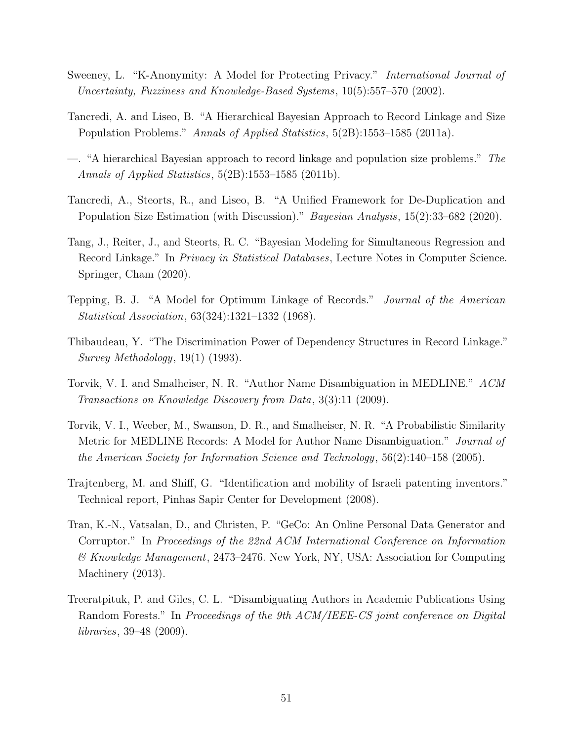- <span id="page-50-9"></span>Sweeney, L. "K-Anonymity: A Model for Protecting Privacy." International Journal of Uncertainty, Fuzziness and Knowledge-Based Systems, 10(5):557–570 (2002).
- <span id="page-50-6"></span>Tancredi, A. and Liseo, B. "A Hierarchical Bayesian Approach to Record Linkage and Size Population Problems." Annals of Applied Statistics, 5(2B):1553–1585 (2011a).
- <span id="page-50-7"></span>—. "A hierarchical Bayesian approach to record linkage and population size problems." The Annals of Applied Statistics, 5(2B):1553–1585 (2011b).
- <span id="page-50-11"></span>Tancredi, A., Steorts, R., and Liseo, B. "A Unified Framework for De-Duplication and Population Size Estimation (with Discussion)." Bayesian Analysis, 15(2):33–682 (2020).
- <span id="page-50-8"></span>Tang, J., Reiter, J., and Steorts, R. C. "Bayesian Modeling for Simultaneous Regression and Record Linkage." In Privacy in Statistical Databases, Lecture Notes in Computer Science. Springer, Cham (2020).
- <span id="page-50-2"></span>Tepping, B. J. "A Model for Optimum Linkage of Records." Journal of the American Statistical Association, 63(324):1321–1332 (1968).
- <span id="page-50-3"></span>Thibaudeau, Y. "The Discrimination Power of Dependency Structures in Record Linkage." Survey Methodology, 19(1) (1993).
- <span id="page-50-1"></span>Torvik, V. I. and Smalheiser, N. R. "Author Name Disambiguation in MEDLINE." ACM Transactions on Knowledge Discovery from Data, 3(3):11 (2009).
- <span id="page-50-5"></span>Torvik, V. I., Weeber, M., Swanson, D. R., and Smalheiser, N. R. "A Probabilistic Similarity Metric for MEDLINE Records: A Model for Author Name Disambiguation." Journal of the American Society for Information Science and Technology, 56(2):140–158 (2005).
- <span id="page-50-4"></span>Trajtenberg, M. and Shiff, G. "Identification and mobility of Israeli patenting inventors." Technical report, Pinhas Sapir Center for Development (2008).
- <span id="page-50-10"></span>Tran, K.-N., Vatsalan, D., and Christen, P. "GeCo: An Online Personal Data Generator and Corruptor." In Proceedings of the 22nd ACM International Conference on Information & Knowledge Management, 2473–2476. New York, NY, USA: Association for Computing Machinery (2013).
- <span id="page-50-0"></span>Treeratpituk, P. and Giles, C. L. "Disambiguating Authors in Academic Publications Using Random Forests." In Proceedings of the 9th ACM/IEEE-CS joint conference on Digital libraries, 39–48 (2009).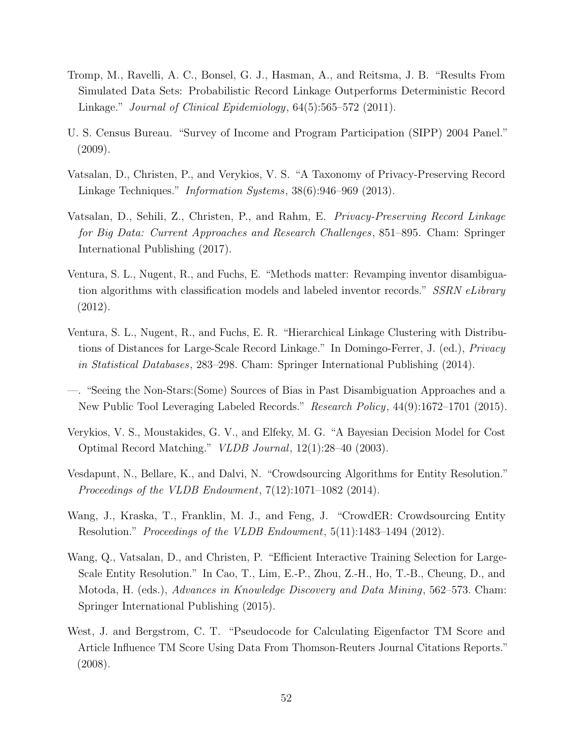- <span id="page-51-3"></span>Tromp, M., Ravelli, A. C., Bonsel, G. J., Hasman, A., and Reitsma, J. B. "Results From Simulated Data Sets: Probabilistic Record Linkage Outperforms Deterministic Record Linkage." Journal of Clinical Epidemiology, 64(5):565–572 (2011).
- <span id="page-51-11"></span>U. S. Census Bureau. "Survey of Income and Program Participation (SIPP) 2004 Panel." (2009).
- <span id="page-51-9"></span>Vatsalan, D., Christen, P., and Verykios, V. S. "A Taxonomy of Privacy-Preserving Record Linkage Techniques." *Information Systems*, 38(6):946–969 (2013).
- <span id="page-51-10"></span>Vatsalan, D., Sehili, Z., Christen, P., and Rahm, E. Privacy-Preserving Record Linkage for Big Data: Current Approaches and Research Challenges, 851–895. Cham: Springer International Publishing (2017).
- <span id="page-51-1"></span>Ventura, S. L., Nugent, R., and Fuchs, E. "Methods matter: Revamping inventor disambiguation algorithms with classification models and labeled inventor records." SSRN eLibrary (2012).
- <span id="page-51-8"></span>Ventura, S. L., Nugent, R., and Fuchs, E. R. "Hierarchical Linkage Clustering with Distributions of Distances for Large-Scale Record Linkage." In Domingo-Ferrer, J. (ed.), Privacy in Statistical Databases, 283–298. Cham: Springer International Publishing (2014).
- <span id="page-51-2"></span>—. "Seeing the Non-Stars:(Some) Sources of Bias in Past Disambiguation Approaches and a New Public Tool Leveraging Labeled Records." Research Policy, 44(9):1672–1701 (2015).
- <span id="page-51-4"></span>Verykios, V. S., Moustakides, G. V., and Elfeky, M. G. "A Bayesian Decision Model for Cost Optimal Record Matching." VLDB Journal, 12(1):28–40 (2003).
- <span id="page-51-7"></span>Vesdapunt, N., Bellare, K., and Dalvi, N. "Crowdsourcing Algorithms for Entity Resolution." Proceedings of the VLDB Endowment, 7(12):1071–1082 (2014).
- <span id="page-51-6"></span>Wang, J., Kraska, T., Franklin, M. J., and Feng, J. "CrowdER: Crowdsourcing Entity Resolution." Proceedings of the VLDB Endowment, 5(11):1483-1494 (2012).
- <span id="page-51-5"></span>Wang, Q., Vatsalan, D., and Christen, P. "Efficient Interactive Training Selection for Large-Scale Entity Resolution." In Cao, T., Lim, E.-P., Zhou, Z.-H., Ho, T.-B., Cheung, D., and Motoda, H. (eds.), Advances in Knowledge Discovery and Data Mining, 562–573. Cham: Springer International Publishing (2015).
- <span id="page-51-0"></span>West, J. and Bergstrom, C. T. "Pseudocode for Calculating Eigenfactor TM Score and Article Influence TM Score Using Data From Thomson-Reuters Journal Citations Reports." (2008).